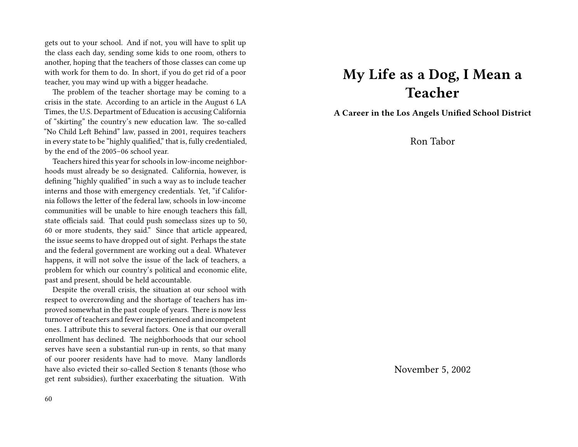gets out to your school. And if not, you will have to split up the class each day, sending some kids to one room, others to another, hoping that the teachers of those classes can come up with work for them to do. In short, if you do get rid of a poor teacher, you may wind up with a bigger headache.

The problem of the teacher shortage may be coming to a crisis in the state. According to an article in the August 6 LA Times, the U.S. Department of Education is accusing California of "skirting" the country's new education law. The so-called "No Child Left Behind" law, passed in 2001, requires teachers in every state to be "highly qualified," that is, fully credentialed, by the end of the 2005–06 school year.

Teachers hired this year for schools in low-income neighborhoods must already be so designated. California, however, is defining "highly qualified" in such a way as to include teacher interns and those with emergency credentials. Yet, "if California follows the letter of the federal law, schools in low-income communities will be unable to hire enough teachers this fall, state officials said. That could push someclass sizes up to 50, 60 or more students, they said." Since that article appeared, the issue seems to have dropped out of sight. Perhaps the state and the federal government are working out a deal. Whatever happens, it will not solve the issue of the lack of teachers, a problem for which our country's political and economic elite, past and present, should be held accountable.

Despite the overall crisis, the situation at our school with respect to overcrowding and the shortage of teachers has improved somewhat in the past couple of years. There is now less turnover of teachers and fewer inexperienced and incompetent ones. I attribute this to several factors. One is that our overall enrollment has declined. The neighborhoods that our school serves have seen a substantial run-up in rents, so that many of our poorer residents have had to move. Many landlords have also evicted their so-called Section 8 tenants (those who get rent subsidies), further exacerbating the situation. With

## **My Life as a Dog, I Mean a Teacher**

**A Career in the Los Angels Unified School District**

Ron Tabor

November 5, 2002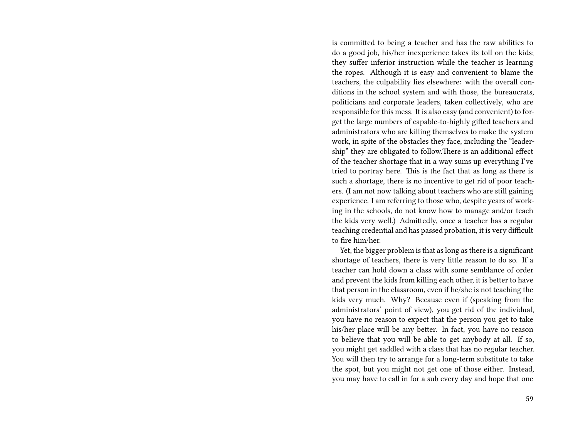is committed to being a teacher and has the raw abilities to do a good job, his/her inexperience takes its toll on the kids; they suffer inferior instruction while the teacher is learning the ropes. Although it is easy and convenient to blame the teachers, the culpability lies elsewhere: with the overall conditions in the school system and with those, the bureaucrats, politicians and corporate leaders, taken collectively, who are responsible for this mess. It is also easy (and convenient) to forget the large numbers of capable-to-highly gifted teachers and administrators who are killing themselves to make the system work, in spite of the obstacles they face, including the "leadership" they are obligated to follow.There is an additional effect of the teacher shortage that in a way sums up everything I've tried to portray here. This is the fact that as long as there is such a shortage, there is no incentive to get rid of poor teachers. (I am not now talking about teachers who are still gaining experience. I am referring to those who, despite years of working in the schools, do not know how to manage and/or teach the kids very well.) Admittedly, once a teacher has a regular teaching credential and has passed probation, it is very difficult to fire him/her.

Yet, the bigger problem is that as long as there is a significant shortage of teachers, there is very little reason to do so. If a teacher can hold down a class with some semblance of order and prevent the kids from killing each other, it is better to have that person in the classroom, even if he/she is not teaching the kids very much. Why? Because even if (speaking from the administrators' point of view), you get rid of the individual, you have no reason to expect that the person you get to take his/her place will be any better. In fact, you have no reason to believe that you will be able to get anybody at all. If so, you might get saddled with a class that has no regular teacher. You will then try to arrange for a long-term substitute to take the spot, but you might not get one of those either. Instead, you may have to call in for a sub every day and hope that one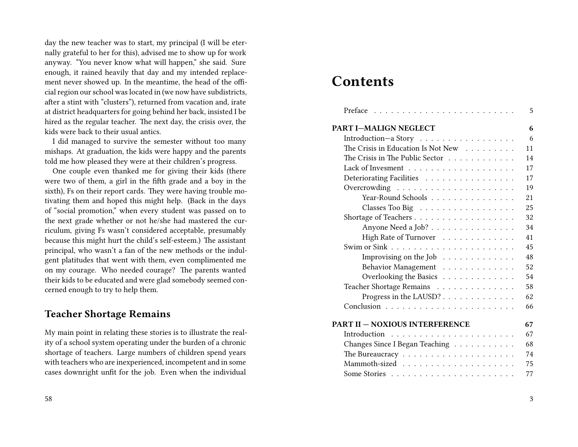day the new teacher was to start, my principal (I will be eternally grateful to her for this), advised me to show up for work anyway. "You never know what will happen," she said. Sure enough, it rained heavily that day and my intended replacement never showed up. In the meantime, the head of the official region our school was located in (we now have subdistricts, after a stint with "clusters"), returned from vacation and, irate at district headquarters for going behind her back, insisted I be hired as the regular teacher. The next day, the crisis over, the kids were back to their usual antics.

I did managed to survive the semester without too many mishaps. At graduation, the kids were happy and the parents told me how pleased they were at their children's progress.

One couple even thanked me for giving their kids (there were two of them, a girl in the fifth grade and a boy in the sixth), Fs on their report cards. They were having trouble motivating them and hoped this might help. (Back in the days of "social promotion," when every student was passed on to the next grade whether or not he/she had mastered the curriculum, giving Fs wasn't considered acceptable, presumably because this might hurt the child's self-esteem.) The assistant principal, who wasn't a fan of the new methods or the indulgent platitudes that went with them, even complimented me on my courage. Who needed courage? The parents wanted their kids to be educated and were glad somebody seemed concerned enough to try to help them.

#### **Teacher Shortage Remains**

My main point in relating these stories is to illustrate the reality of a school system operating under the burden of a chronic shortage of teachers. Large numbers of children spend years with teachers who are inexperienced, incompetent and in some cases downright unfit for the job. Even when the individual

## **Contents**

|                                                             | 5  |
|-------------------------------------------------------------|----|
| <b>PART I-MALIGN NEGLECT</b>                                | 6  |
| Introduction-a Story                                        | 6  |
| The Crisis in Education Is Not New                          | 11 |
| The Crisis in The Public Sector                             | 14 |
|                                                             | 17 |
| Deteriorating Facilities                                    | 17 |
|                                                             | 19 |
| Year-Round Schools                                          | 21 |
| Classes Too Big                                             | 25 |
| Shortage of Teachers                                        | 32 |
| Anyone Need a Job?                                          | 34 |
| High Rate of Turnover                                       | 41 |
|                                                             | 45 |
| Improvising on the Job $\dots \dots \dots \dots$            | 48 |
| Behavior Management                                         | 52 |
| Overlooking the Basics                                      | 54 |
| Teacher Shortage Remains                                    | 58 |
| Progress in the LAUSD?                                      | 62 |
|                                                             | 66 |
|                                                             |    |
| PART II – NOXIOUS INTERFERENCE                              | 67 |
|                                                             | 67 |
| Changes Since I Began Teaching                              | 68 |
| The Bureaucracy $\dots \dots \dots \dots \dots \dots \dots$ | 74 |
|                                                             | 75 |
|                                                             | 77 |
|                                                             |    |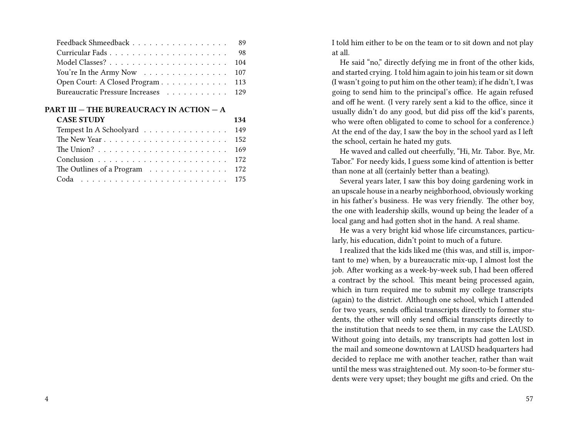| Feedback Shmeedback 89              |  |
|-------------------------------------|--|
|                                     |  |
|                                     |  |
| You're In the Army Now 107          |  |
| Open Court: A Closed Program 113    |  |
| Bureaucratic Pressure Increases 129 |  |

| <b>CASE STUDY</b>             | 134 |
|-------------------------------|-----|
| Tempest In A Schoolyard 149   |     |
|                               |     |
|                               |     |
|                               |     |
| The Outlines of a Program 172 |     |
|                               |     |

I told him either to be on the team or to sit down and not play at all.

He said "no," directly defying me in front of the other kids, and started crying. I told him again to join his team or sit down (I wasn't going to put him on the other team); if he didn't, I was going to send him to the principal's office. He again refused and off he went. (I very rarely sent a kid to the office, since it usually didn't do any good, but did piss off the kid's parents, who were often obligated to come to school for a conference.) At the end of the day, I saw the boy in the school yard as I left the school, certain he hated my guts.

He waved and called out cheerfully, "Hi, Mr. Tabor. Bye, Mr. Tabor." For needy kids, I guess some kind of attention is better than none at all (certainly better than a beating).

Several years later, I saw this boy doing gardening work in an upscale house in a nearby neighborhood, obviously working in his father's business. He was very friendly. The other boy, the one with leadership skills, wound up being the leader of a local gang and had gotten shot in the hand. A real shame.

He was a very bright kid whose life circumstances, particularly, his education, didn't point to much of a future.

I realized that the kids liked me (this was, and still is, important to me) when, by a bureaucratic mix-up, I almost lost the job. After working as a week-by-week sub, I had been offered a contract by the school. This meant being processed again, which in turn required me to submit my college transcripts (again) to the district. Although one school, which I attended for two years, sends official transcripts directly to former students, the other will only send official transcripts directly to the institution that needs to see them, in my case the LAUSD. Without going into details, my transcripts had gotten lost in the mail and someone downtown at LAUSD headquarters had decided to replace me with another teacher, rather than wait until the mess was straightened out. My soon-to-be former students were very upset; they bought me gifts and cried. On the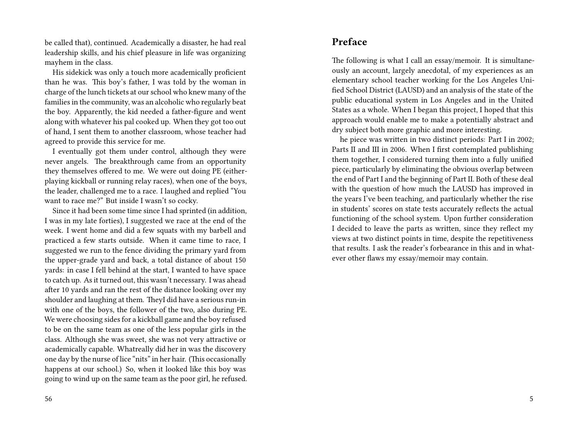be called that), continued. Academically a disaster, he had real leadership skills, and his chief pleasure in life was organizing mayhem in the class.

His sidekick was only a touch more academically proficient than he was. This boy's father, I was told by the woman in charge of the lunch tickets at our school who knew many of the families in the community, was an alcoholic who regularly beat the boy. Apparently, the kid needed a father-figure and went along with whatever his pal cooked up. When they got too out of hand, I sent them to another classroom, whose teacher had agreed to provide this service for me.

I eventually got them under control, although they were never angels. The breakthrough came from an opportunity they themselves offered to me. We were out doing PE (eitherplaying kickball or running relay races), when one of the boys, the leader, challenged me to a race. I laughed and replied "You want to race me?" But inside I wasn't so cocky.

Since it had been some time since I had sprinted (in addition, I was in my late forties), I suggested we race at the end of the week. I went home and did a few squats with my barbell and practiced a few starts outside. When it came time to race, I suggested we run to the fence dividing the primary yard from the upper-grade yard and back, a total distance of about 150 yards: in case I fell behind at the start, I wanted to have space to catch up. As it turned out, this wasn't necessary. I was ahead after 10 yards and ran the rest of the distance looking over my shoulder and laughing at them. TheyI did have a serious run-in with one of the boys, the follower of the two, also during PE. We were choosing sides for a kickball game and the boy refused to be on the same team as one of the less popular girls in the class. Although she was sweet, she was not very attractive or academically capable. Whatreally did her in was the discovery one day by the nurse of lice "nits" in her hair. (This occasionally happens at our school.) So, when it looked like this boy was going to wind up on the same team as the poor girl, he refused.

## **Preface**

The following is what I call an essay/memoir. It is simultaneously an account, largely anecdotal, of my experiences as an elementary school teacher working for the Los Angeles Unified School District (LAUSD) and an analysis of the state of the public educational system in Los Angeles and in the United States as a whole. When I began this project, I hoped that this approach would enable me to make a potentially abstract and dry subject both more graphic and more interesting.

he piece was written in two distinct periods: Part I in 2002; Parts II and III in 2006. When I first contemplated publishing them together, I considered turning them into a fully unified piece, particularly by eliminating the obvious overlap between the end of Part I and the beginning of Part II. Both of these deal with the question of how much the LAUSD has improved in the years I've been teaching, and particularly whether the rise in students' scores on state tests accurately reflects the actual functioning of the school system. Upon further consideration I decided to leave the parts as written, since they reflect my views at two distinct points in time, despite the repetitiveness that results. I ask the reader's forbearance in this and in whatever other flaws my essay/memoir may contain.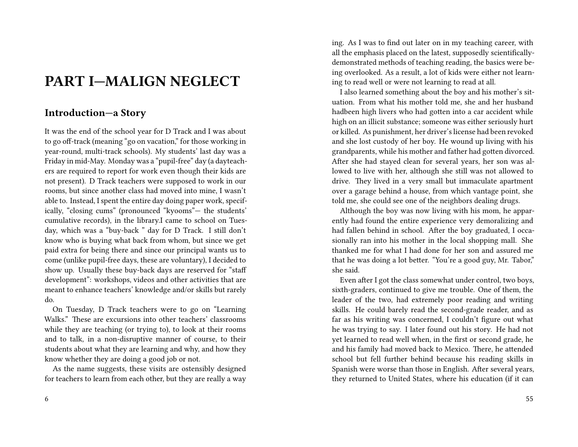# **PART I—MALIGN NEGLECT**

## **Introduction—a Story**

It was the end of the school year for D Track and I was about to go off-track (meaning "go on vacation," for those working in year-round, multi-track schools). My students' last day was a Friday in mid-May. Monday was a "pupil-free" day (a dayteachers are required to report for work even though their kids are not present). D Track teachers were supposed to work in our rooms, but since another class had moved into mine, I wasn't able to. Instead, I spent the entire day doing paper work, specifically, "closing cums" (pronounced "kyooms"— the students' cumulative records), in the library.I came to school on Tuesday, which was a "buy-back " day for D Track. I still don't know who is buying what back from whom, but since we get paid extra for being there and since our principal wants us to come (unlike pupil-free days, these are voluntary), I decided to show up. Usually these buy-back days are reserved for "staff development": workshops, videos and other activities that are meant to enhance teachers' knowledge and/or skills but rarely do.

On Tuesday, D Track teachers were to go on "Learning Walks." These are excursions into other teachers' classrooms while they are teaching (or trying to), to look at their rooms and to talk, in a non-disruptive manner of course, to their students about what they are learning and why, and how they know whether they are doing a good job or not.

As the name suggests, these visits are ostensibly designed for teachers to learn from each other, but they are really a way ing. As I was to find out later on in my teaching career, with all the emphasis placed on the latest, supposedly scientificallydemonstrated methods of teaching reading, the basics were being overlooked. As a result, a lot of kids were either not learning to read well or were not learning to read at all.

I also learned something about the boy and his mother's situation. From what his mother told me, she and her husband hadbeen high livers who had gotten into a car accident while high on an illicit substance; someone was either seriously hurt or killed. As punishment, her driver's license had been revoked and she lost custody of her boy. He wound up living with his grandparents, while his mother and father had gotten divorced. After she had stayed clean for several years, her son was allowed to live with her, although she still was not allowed to drive. They lived in a very small but immaculate apartment over a garage behind a house, from which vantage point, she told me, she could see one of the neighbors dealing drugs.

Although the boy was now living with his mom, he apparently had found the entire experience very demoralizing and had fallen behind in school. After the boy graduated, I occasionally ran into his mother in the local shopping mall. She thanked me for what I had done for her son and assured me that he was doing a lot better. "You're a good guy, Mr. Tabor," she said.

Even after I got the class somewhat under control, two boys, sixth-graders, continued to give me trouble. One of them, the leader of the two, had extremely poor reading and writing skills. He could barely read the second-grade reader, and as far as his writing was concerned, I couldn't figure out what he was trying to say. I later found out his story. He had not yet learned to read well when, in the first or second grade, he and his family had moved back to Mexico. There, he attended school but fell further behind because his reading skills in Spanish were worse than those in English. After several years, they returned to United States, where his education (if it can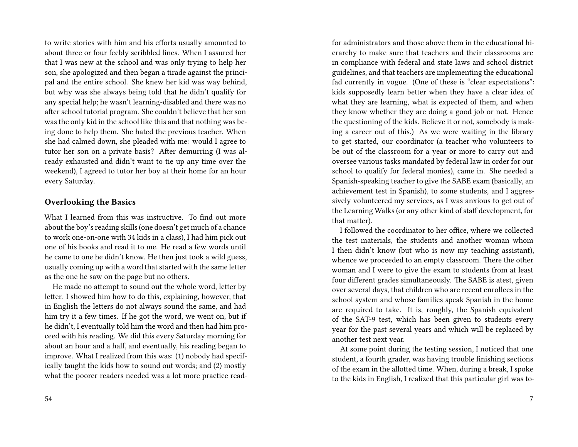to write stories with him and his efforts usually amounted to about three or four feebly scribbled lines. When I assured her that I was new at the school and was only trying to help her son, she apologized and then began a tirade against the principal and the entire school. She knew her kid was way behind, but why was she always being told that he didn't qualify for any special help; he wasn't learning-disabled and there was no after school tutorial program. She couldn't believe that her son was the only kid in the school like this and that nothing was being done to help them. She hated the previous teacher. When she had calmed down, she pleaded with me: would I agree to tutor her son on a private basis? After demurring (I was already exhausted and didn't want to tie up any time over the weekend), I agreed to tutor her boy at their home for an hour every Saturday.

#### **Overlooking the Basics**

What I learned from this was instructive. To find out more about the boy's reading skills (one doesn't get much of a chance to work one-on-one with 34 kids in a class), I had him pick out one of his books and read it to me. He read a few words until he came to one he didn't know. He then just took a wild guess, usually coming up with a word that started with the same letter as the one he saw on the page but no others.

He made no attempt to sound out the whole word, letter by letter. I showed him how to do this, explaining, however, that in English the letters do not always sound the same, and had him try it a few times. If he got the word, we went on, but if he didn't, I eventually told him the word and then had him proceed with his reading. We did this every Saturday morning for about an hour and a half, and eventually, his reading began to improve. What I realized from this was: (1) nobody had specifically taught the kids how to sound out words; and (2) mostly what the poorer readers needed was a lot more practice readfor administrators and those above them in the educational hierarchy to make sure that teachers and their classrooms are in compliance with federal and state laws and school district guidelines, and that teachers are implementing the educational fad currently in vogue. (One of these is "clear expectations": kids supposedly learn better when they have a clear idea of what they are learning, what is expected of them, and when they know whether they are doing a good job or not. Hence the questioning of the kids. Believe it or not, somebody is making a career out of this.) As we were waiting in the library to get started, our coordinator (a teacher who volunteers to be out of the classroom for a year or more to carry out and oversee various tasks mandated by federal law in order for our school to qualify for federal monies), came in. She needed a Spanish-speaking teacher to give the SABE exam (basically, an achievement test in Spanish), to some students, and I aggressively volunteered my services, as I was anxious to get out of the Learning Walks (or any other kind of staff development, for that matter).

I followed the coordinator to her office, where we collected the test materials, the students and another woman whom I then didn't know (but who is now my teaching assistant), whence we proceeded to an empty classroom. There the other woman and I were to give the exam to students from at least four different grades simultaneously. The SABE is atest, given over several days, that children who are recent enrollees in the school system and whose families speak Spanish in the home are required to take. It is, roughly, the Spanish equivalent of the SAT-9 test, which has been given to students every year for the past several years and which will be replaced by another test next year.

At some point during the testing session, I noticed that one student, a fourth grader, was having trouble finishing sections of the exam in the allotted time. When, during a break, I spoke to the kids in English, I realized that this particular girl was to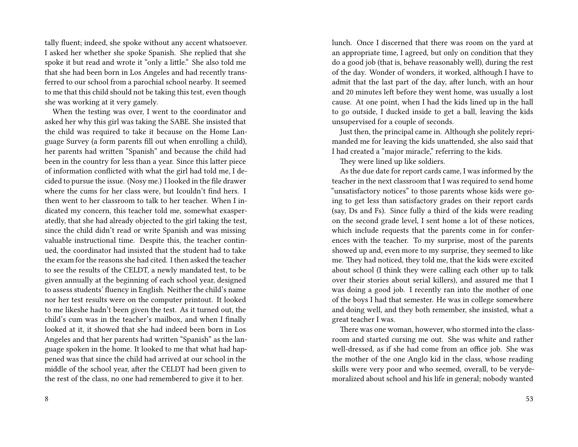tally fluent; indeed, she spoke without any accent whatsoever. I asked her whether she spoke Spanish. She replied that she spoke it but read and wrote it "only a little." She also told me that she had been born in Los Angeles and had recently transferred to our school from a parochial school nearby. It seemed to me that this child should not be taking this test, even though she was working at it very gamely.

When the testing was over, I went to the coordinator and asked her why this girl was taking the SABE. She insisted that the child was required to take it because on the Home Language Survey (a form parents fill out when enrolling a child), her parents had written "Spanish" and because the child had been in the country for less than a year. Since this latter piece of information conflicted with what the girl had told me, I decided to pursue the issue. (Nosy me.) I looked in the file drawer where the cums for her class were, but Icouldn't find hers. I then went to her classroom to talk to her teacher. When I indicated my concern, this teacher told me, somewhat exasperatedly, that she had already objected to the girl taking the test, since the child didn't read or write Spanish and was missing valuable instructional time. Despite this, the teacher continued, the coordinator had insisted that the student had to take the exam for the reasons she had cited. I then asked the teacher to see the results of the CELDT, a newly mandated test, to be given annually at the beginning of each school year, designed to assess students' fluency in English. Neither the child's name nor her test results were on the computer printout. It looked to me likeshe hadn't been given the test. As it turned out, the child's cum was in the teacher's mailbox, and when I finally looked at it, it showed that she had indeed been born in Los Angeles and that her parents had written "Spanish" as the language spoken in the home. It looked to me that what had happened was that since the child had arrived at our school in the middle of the school year, after the CELDT had been given to the rest of the class, no one had remembered to give it to her.

lunch. Once I discerned that there was room on the yard at an appropriate time, I agreed, but only on condition that they do a good job (that is, behave reasonably well), during the rest of the day. Wonder of wonders, it worked, although I have to admit that the last part of the day, after lunch, with an hour and 20 minutes left before they went home, was usually a lost cause. At one point, when I had the kids lined up in the hall to go outside, I ducked inside to get a ball, leaving the kids unsupervised for a couple of seconds.

Just then, the principal came in. Although she politely reprimanded me for leaving the kids unattended, she also said that I had created a "major miracle," referring to the kids.

They were lined up like soldiers.

As the due date for report cards came, I was informed by the teacher in the next classroom that I was required to send home "unsatisfactory notices" to those parents whose kids were going to get less than satisfactory grades on their report cards (say, Ds and Fs). Since fully a third of the kids were reading on the second grade level, I sent home a lot of these notices, which include requests that the parents come in for conferences with the teacher. To my surprise, most of the parents showed up and, even more to my surprise, they seemed to like me. They had noticed, they told me, that the kids were excited about school (I think they were calling each other up to talk over their stories about serial killers), and assured me that I was doing a good job. I recently ran into the mother of one of the boys I had that semester. He was in college somewhere and doing well, and they both remember, she insisted, what a great teacher I was.

There was one woman, however, who stormed into the classroom and started cursing me out. She was white and rather well-dressed, as if she had come from an office job. She was the mother of the one Anglo kid in the class, whose reading skills were very poor and who seemed, overall, to be verydemoralized about school and his life in general; nobody wanted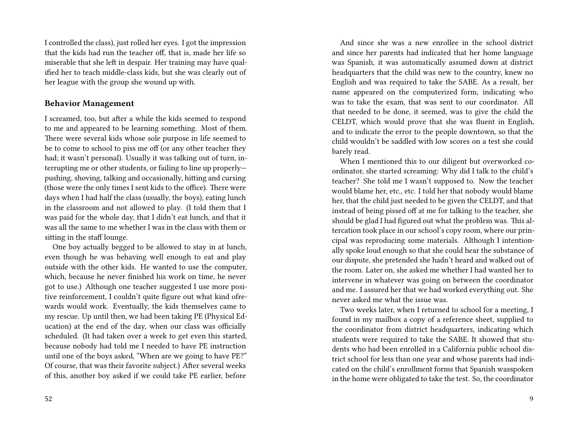I controlled the class), just rolled her eyes. I got the impression that the kids had run the teacher off, that is, made her life so miserable that she left in despair. Her training may have qualified her to teach middle-class kids, but she was clearly out of her league with the group she wound up with.

#### **Behavior Management**

I screamed, too, but after a while the kids seemed to respond to me and appeared to be learning something. Most of them. There were several kids whose sole purpose in life seemed to be to come to school to piss me off (or any other teacher they had; it wasn't personal). Usually it was talking out of turn, interrupting me or other students, or failing to line up properly pushing, shoving, talking and occasionally, hitting and cursing (those were the only times I sent kids to the office). There were days when I had half the class (usually, the boys), eating lunch in the classroom and not allowed to play. (I told them that I was paid for the whole day, that I didn't eat lunch, and that it was all the same to me whether I was in the class with them or sitting in the staff lounge.

One boy actually begged to be allowed to stay in at lunch, even though he was behaving well enough to eat and play outside with the other kids. He wanted to use the computer, which, because he never finished his work on time, he never got to use.) Although one teacher suggested I use more positive reinforcement, I couldn't quite figure out what kind ofrewards would work. Eventually, the kids themselves came to my rescue. Up until then, we had been taking PE (Physical Education) at the end of the day, when our class was officially scheduled. (It had taken over a week to get even this started, because nobody had told me I needed to have PE instruction until one of the boys asked, "When are we going to have PE?" Of course, that was their favorite subject.) After several weeks of this, another boy asked if we could take PE earlier, before

And since she was a new enrollee in the school district and since her parents had indicated that her home language was Spanish, it was automatically assumed down at district headquarters that the child was new to the country, knew no English and was required to take the SABE. As a result, her name appeared on the computerized form, indicating who was to take the exam, that was sent to our coordinator. All that needed to be done, it seemed, was to give the child the CELDT, which would prove that she was fluent in English, and to indicate the error to the people downtown, so that the child wouldn't be saddled with low scores on a test she could barely read.

When I mentioned this to our diligent but overworked coordinator, she started screaming: Why did I talk to the child's teacher? She told me I wasn't supposed to. Now the teacher would blame her, etc., etc. I told her that nobody would blame her, that the child just needed to be given the CELDT, and that instead of being pissed off at me for talking to the teacher, she should be glad I had figured out what the problem was. This altercation took place in our school's copy room, where our principal was reproducing some materials. Although I intentionally spoke loud enough so that she could hear the substance of our dispute, she pretended she hadn't heard and walked out of the room. Later on, she asked me whether I had wanted her to intervene in whatever was going on between the coordinator and me. I assured her that we had worked everything out. She never asked me what the issue was.

Two weeks later, when I returned to school for a meeting, I found in my mailbox a copy of a reference sheet, supplied to the coordinator from district headquarters, indicating which students were required to take the SABE. It showed that students who had been enrolled in a California public school district school for less than one year and whose parents had indicated on the child's enrollment forms that Spanish wasspoken in the home were obligated to take the test. So, the coordinator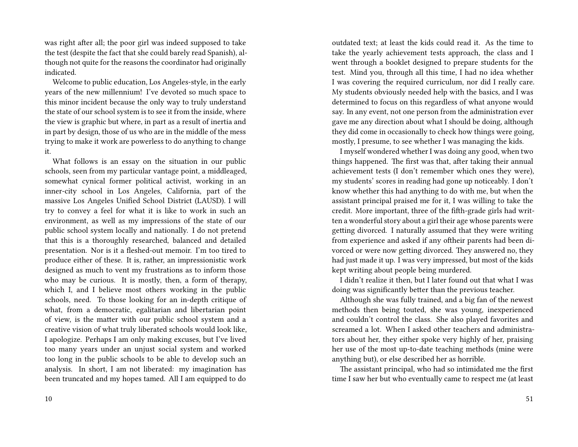was right after all; the poor girl was indeed supposed to take the test (despite the fact that she could barely read Spanish), although not quite for the reasons the coordinator had originally indicated.

Welcome to public education, Los Angeles-style, in the early years of the new millennium! I've devoted so much space to this minor incident because the only way to truly understand the state of our school system is to see it from the inside, where the view is graphic but where, in part as a result of inertia and in part by design, those of us who are in the middle of the mess trying to make it work are powerless to do anything to change it.

What follows is an essay on the situation in our public schools, seen from my particular vantage point, a middleaged, somewhat cynical former political activist, working in an inner-city school in Los Angeles, California, part of the massive Los Angeles Unified School District (LAUSD). I will try to convey a feel for what it is like to work in such an environment, as well as my impressions of the state of our public school system locally and nationally. I do not pretend that this is a thoroughly researched, balanced and detailed presentation. Nor is it a fleshed-out memoir. I'm too tired to produce either of these. It is, rather, an impressionistic work designed as much to vent my frustrations as to inform those who may be curious. It is mostly, then, a form of therapy, which I, and I believe most others working in the public schools, need. To those looking for an in-depth critique of what, from a democratic, egalitarian and libertarian point of view, is the matter with our public school system and a creative vision of what truly liberated schools would look like, I apologize. Perhaps I am only making excuses, but I've lived too many years under an unjust social system and worked too long in the public schools to be able to develop such an analysis. In short, I am not liberated: my imagination has been truncated and my hopes tamed. All I am equipped to do

outdated text; at least the kids could read it. As the time to take the yearly achievement tests approach, the class and I went through a booklet designed to prepare students for the test. Mind you, through all this time, I had no idea whether I was covering the required curriculum, nor did I really care. My students obviously needed help with the basics, and I was determined to focus on this regardless of what anyone would say. In any event, not one person from the administration ever gave me any direction about what I should be doing, although they did come in occasionally to check how things were going, mostly, I presume, to see whether I was managing the kids.

I myself wondered whether I was doing any good, when two things happened. The first was that, after taking their annual achievement tests (I don't remember which ones they were), my students' scores in reading had gone up noticeably. I don't know whether this had anything to do with me, but when the assistant principal praised me for it, I was willing to take the credit. More important, three of the fifth-grade girls had written a wonderful story about a girl their age whose parents were getting divorced. I naturally assumed that they were writing from experience and asked if any oftheir parents had been divorced or were now getting divorced. They answered no, they had just made it up. I was very impressed, but most of the kids kept writing about people being murdered.

I didn't realize it then, but I later found out that what I was doing was significantly better than the previous teacher.

Although she was fully trained, and a big fan of the newest methods then being touted, she was young, inexperienced and couldn't control the class. She also played favorites and screamed a lot. When I asked other teachers and administrators about her, they either spoke very highly of her, praising her use of the most up-to-date teaching methods (mine were anything but), or else described her as horrible.

The assistant principal, who had so intimidated me the first time I saw her but who eventually came to respect me (at least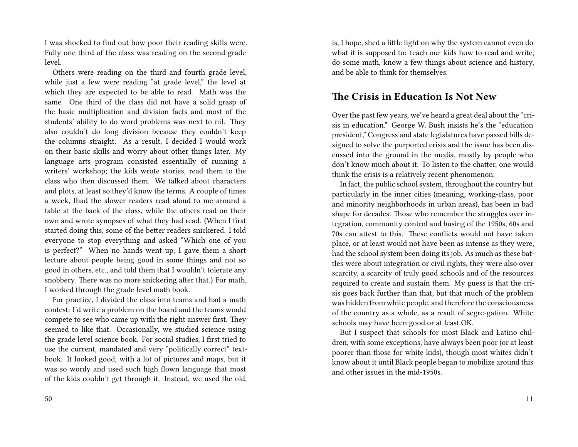I was shocked to find out how poor their reading skills were. Fully one third of the class was reading on the second grade level.

Others were reading on the third and fourth grade level, while just a few were reading "at grade level," the level at which they are expected to be able to read. Math was the same. One third of the class did not have a solid grasp of the basic multiplication and division facts and most of the students' ability to do word problems was next to nil. They also couldn't do long division because they couldn't keep the columns straight. As a result, I decided I would work on their basic skills and worry about other things later. My language arts program consisted essentially of running a writers' workshop; the kids wrote stories, read them to the class who then discussed them. We talked about characters and plots, at least so they'd know the terms. A couple of times a week, Ihad the slower readers read aloud to me around a table at the back of the class, while the others read on their own and wrote synopses of what they had read. (When I first started doing this, some of the better readers snickered. I told everyone to stop everything and asked "Which one of you is perfect?" When no hands went up, I gave them a short lecture about people being good in some things and not so good in others, etc., and told them that I wouldn't tolerate any snobbery. There was no more snickering after that.) For math, I worked through the grade level math book.

For practice, I divided the class into teams and had a math contest: I'd write a problem on the board and the teams would compete to see who came up with the right answer first. They seemed to like that. Occasionally, we studied science using the grade level science book. For social studies, I first tried to use the current, mandated and very "politically correct" textbook. It looked good, with a lot of pictures and maps, but it was so wordy and used such high flown language that most of the kids couldn't get through it. Instead, we used the old,

50

is, I hope, shed a little light on why the system cannot even do what it is supposed to: teach our kids how to read and write, do some math, know a few things about science and history, and be able to think for themselves.

#### **The Crisis in Education Is Not New**

Over the past few years, we've heard a great deal about the "crisis in education." George W. Bush insists he's the "education president," Congress and state legislatures have passed bills designed to solve the purported crisis and the issue has been discussed into the ground in the media, mostly by people who don't know much about it. To listen to the chatter, one would think the crisis is a relatively recent phenomenon.

In fact, the public school system, throughout the country but particularly in the inner cities (meaning, working-class, poor and minority neighborhoods in urban areas), has been in bad shape for decades. Those who remember the struggles over integration, community control and busing of the 1950s, 60s and 70s can attest to this. These conflicts would not have taken place, or at least would not have been as intense as they were, had the school system been doing its job. As much as these battles were about integration or civil rights, they were also over scarcity, a scarcity of truly good schools and of the resources required to create and sustain them. My guess is that the crisis goes back further than that, but that much of the problem was hidden from white people, and therefore the consciousness of the country as a whole, as a result of segre-gation. White schools may have been good or at least OK.

But I suspect that schools for most Black and Latino children, with some exceptions, have always been poor (or at least poorer than those for white kids), though most whites didn't know about it until Black people began to mobilize around this and other issues in the mid-1950s.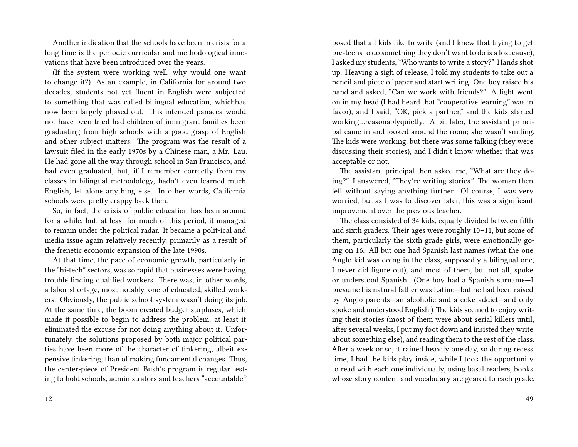Another indication that the schools have been in crisis for a long time is the periodic curricular and methodological innovations that have been introduced over the years.

(If the system were working well, why would one want to change it?) As an example, in California for around two decades, students not yet fluent in English were subjected to something that was called bilingual education, whichhas now been largely phased out. This intended panacea would not have been tried had children of immigrant families been graduating from high schools with a good grasp of English and other subject matters. The program was the result of a lawsuit filed in the early 1970s by a Chinese man, a Mr. Lau. He had gone all the way through school in San Francisco, and had even graduated, but, if I remember correctly from my classes in bilingual methodology, hadn't even learned much English, let alone anything else. In other words, California schools were pretty crappy back then.

So, in fact, the crisis of public education has been around for a while, but, at least for much of this period, it managed to remain under the political radar. It became a polit-ical and media issue again relatively recently, primarily as a result of the frenetic economic expansion of the late 1990s.

At that time, the pace of economic growth, particularly in the "hi-tech" sectors, was so rapid that businesses were having trouble finding qualified workers. There was, in other words, a labor shortage, most notably, one of educated, skilled workers. Obviously, the public school system wasn't doing its job. At the same time, the boom created budget surpluses, which made it possible to begin to address the problem; at least it eliminated the excuse for not doing anything about it. Unfortunately, the solutions proposed by both major political parties have been more of the character of tinkering, albeit expensive tinkering, than of making fundamental changes. Thus, the center-piece of President Bush's program is regular testing to hold schools, administrators and teachers "accountable."

posed that all kids like to write (and I knew that trying to get pre-teens to do something they don't want to do is a lost cause), I asked my students, "Who wants to write a story?" Hands shot up. Heaving a sigh of release, I told my students to take out a pencil and piece of paper and start writing. One boy raised his hand and asked, "Can we work with friends?" A light went on in my head (I had heard that "cooperative learning" was in favor), and I said, "OK, pick a partner," and the kids started working…reasonablyquietly. A bit later, the assistant principal came in and looked around the room; she wasn't smiling. The kids were working, but there was some talking (they were discussing their stories), and I didn't know whether that was acceptable or not.

The assistant principal then asked me, "What are they doing?" I answered, "They're writing stories." The woman then left without saying anything further. Of course, I was very worried, but as I was to discover later, this was a significant improvement over the previous teacher.

The class consisted of 34 kids, equally divided between fifth and sixth graders. Their ages were roughly 10–11, but some of them, particularly the sixth grade girls, were emotionally going on 16. All but one had Spanish last names (what the one Anglo kid was doing in the class, supposedly a bilingual one, I never did figure out), and most of them, but not all, spoke or understood Spanish. (One boy had a Spanish surname—I presume his natural father was Latino—but he had been raised by Anglo parents—an alcoholic and a coke addict—and only spoke and understood English.) The kids seemed to enjoy writing their stories (most of them were about serial killers until, after several weeks, I put my foot down and insisted they write about something else), and reading them to the rest of the class. After a week or so, it rained heavily one day, so during recess time, I had the kids play inside, while I took the opportunity to read with each one individually, using basal readers, books whose story content and vocabulary are geared to each grade.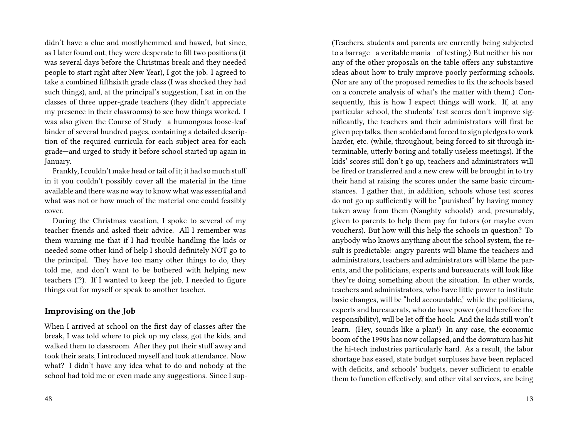didn't have a clue and mostlyhemmed and hawed, but since, as I later found out, they were desperate to fill two positions (it was several days before the Christmas break and they needed people to start right after New Year), I got the job. I agreed to take a combined fifthsixth grade class (I was shocked they had such things), and, at the principal's suggestion, I sat in on the classes of three upper-grade teachers (they didn't appreciate my presence in their classrooms) to see how things worked. I was also given the Course of Study—a humongous loose-leaf binder of several hundred pages, containing a detailed description of the required curricula for each subject area for each grade—and urged to study it before school started up again in January.

Frankly, I couldn't make head or tail of it; it had so much stuff in it you couldn't possibly cover all the material in the time available and there was no way to know what was essential and what was not or how much of the material one could feasibly cover.

During the Christmas vacation, I spoke to several of my teacher friends and asked their advice. All I remember was them warning me that if I had trouble handling the kids or needed some other kind of help I should definitely NOT go to the principal. They have too many other things to do, they told me, and don't want to be bothered with helping new teachers (⁉). If I wanted to keep the job, I needed to figure things out for myself or speak to another teacher.

#### **Improvising on the Job**

When I arrived at school on the first day of classes after the break, I was told where to pick up my class, got the kids, and walked them to classroom. After they put their stuff away and took their seats, I introduced myself and took attendance. Now what? I didn't have any idea what to do and nobody at the school had told me or even made any suggestions. Since I sup(Teachers, students and parents are currently being subjected to a barrage—a veritable mania—of testing.) But neither his nor any of the other proposals on the table offers any substantive ideas about how to truly improve poorly performing schools. (Nor are any of the proposed remedies to fix the schools based on a concrete analysis of what's the matter with them.) Consequently, this is how I expect things will work. If, at any particular school, the students' test scores don't improve significantly, the teachers and their administrators will first be given pep talks, then scolded and forced to sign pledges to work harder, etc. (while, throughout, being forced to sit through interminable, utterly boring and totally useless meetings). If the kids' scores still don't go up, teachers and administrators will be fired or transferred and a new crew will be brought in to try their hand at raising the scores under the same basic circumstances. I gather that, in addition, schools whose test scores do not go up sufficiently will be "punished" by having money taken away from them (Naughty schools!) and, presumably, given to parents to help them pay for tutors (or maybe even vouchers). But how will this help the schools in question? To anybody who knows anything about the school system, the result is predictable: angry parents will blame the teachers and administrators, teachers and administrators will blame the parents, and the politicians, experts and bureaucrats will look like they're doing something about the situation. In other words, teachers and administrators, who have little power to institute basic changes, will be "held accountable," while the politicians, experts and bureaucrats, who do have power (and therefore the responsibility), will be let off the hook. And the kids still won't learn. (Hey, sounds like a plan!) In any case, the economic boom of the 1990s has now collapsed, and the downturn has hit the hi-tech industries particularly hard. As a result, the labor shortage has eased, state budget surpluses have been replaced with deficits, and schools' budgets, never sufficient to enable them to function effectively, and other vital services, are being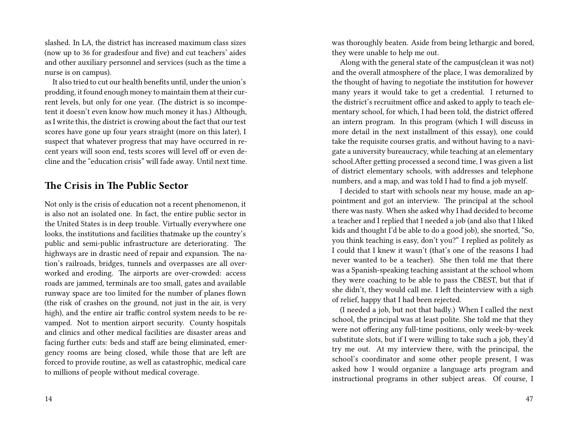slashed. In LA, the district has increased maximum class sizes (now up to 36 for gradesfour and five) and cut teachers' aides and other auxiliary personnel and services (such as the time a nurse is on campus).

It also tried to cut our health benefits until, under the union's prodding, it found enough money to maintain them at their current levels, but only for one year. (The district is so incompetent it doesn't even know how much money it has.) Although, as I write this, the district is crowing about the fact that our test scores have gone up four years straight (more on this later), I suspect that whatever progress that may have occurred in recent years will soon end, tests scores will level off or even decline and the "education crisis" will fade away. Until next time.

## **The Crisis in The Public Sector**

Not only is the crisis of education not a recent phenomenon, it is also not an isolated one. In fact, the entire public sector in the United States is in deep trouble. Virtually everywhere one looks, the institutions and facilities thatmake up the country's public and semi-public infrastructure are deteriorating. The highways are in drastic need of repair and expansion. The nation's railroads, bridges, tunnels and overpasses are all overworked and eroding. The airports are over-crowded: access roads are jammed, terminals are too small, gates and available runway space are too limited for the number of planes flown (the risk of crashes on the ground, not just in the air, is very high), and the entire air traffic control system needs to be revamped. Not to mention airport security. County hospitals and clinics and other medical facilities are disaster areas and facing further cuts: beds and staff are being eliminated, emergency rooms are being closed, while those that are left are forced to provide routine, as well as catastrophic, medical care to millions of people without medical coverage.

was thoroughly beaten. Aside from being lethargic and bored, they were unable to help me out.

Along with the general state of the campus(clean it was not) and the overall atmosphere of the place, I was demoralized by the thought of having to negotiate the institution for however many years it would take to get a credential. I returned to the district's recruitment office and asked to apply to teach elementary school, for which, I had been told, the district offered an intern program. In this program (which I will discuss in more detail in the next installment of this essay), one could take the requisite courses gratis, and without having to a navigate a university bureaucracy, while teaching at an elementary school.After getting processed a second time, I was given a list of district elementary schools, with addresses and telephone numbers, and a map, and was told I had to find a job myself.

I decided to start with schools near my house, made an appointment and got an interview. The principal at the school there was nasty. When she asked why I had decided to become a teacher and I replied that I needed a job (and also that I liked kids and thought I'd be able to do a good job), she snorted, "So, you think teaching is easy, don't you?" I replied as politely as I could that I knew it wasn't (that's one of the reasons I had never wanted to be a teacher). She then told me that there was a Spanish-speaking teaching assistant at the school whom they were coaching to be able to pass the CBEST, but that if she didn't, they would call me. I left theinterview with a sigh of relief, happy that I had been rejected.

(I needed a job, but not that badly.) When I called the next school, the principal was at least polite. She told me that they were not offering any full-time positions, only week-by-week substitute slots, but if I were willing to take such a job, they'd try me out. At my interview there, with the principal, the school's coordinator and some other people present, I was asked how I would organize a language arts program and instructional programs in other subject areas. Of course, I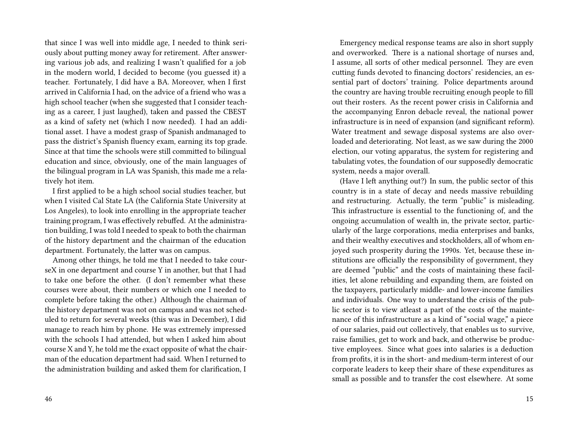that since I was well into middle age, I needed to think seriously about putting money away for retirement. After answering various job ads, and realizing I wasn't qualified for a job in the modern world, I decided to become (you guessed it) a teacher. Fortunately, I did have a BA. Moreover, when I first arrived in California I had, on the advice of a friend who was a high school teacher (when she suggested that I consider teaching as a career, I just laughed), taken and passed the CBEST as a kind of safety net (which I now needed). I had an additional asset. I have a modest grasp of Spanish andmanaged to pass the district's Spanish fluency exam, earning its top grade. Since at that time the schools were still committed to bilingual education and since, obviously, one of the main languages of the bilingual program in LA was Spanish, this made me a relatively hot item.

I first applied to be a high school social studies teacher, but when I visited Cal State LA (the California State University at Los Angeles), to look into enrolling in the appropriate teacher training program, I was effectively rebuffed. At the administration building, I was told I needed to speak to both the chairman of the history department and the chairman of the education department. Fortunately, the latter was on campus.

Among other things, he told me that I needed to take courseX in one department and course Y in another, but that I had to take one before the other. (I don't remember what these courses were about, their numbers or which one I needed to complete before taking the other.) Although the chairman of the history department was not on campus and was not scheduled to return for several weeks (this was in December), I did manage to reach him by phone. He was extremely impressed with the schools I had attended, but when I asked him about course X and Y, he told me the exact opposite of what the chairman of the education department had said. When I returned to the administration building and asked them for clarification, I

Emergency medical response teams are also in short supply and overworked. There is a national shortage of nurses and, I assume, all sorts of other medical personnel. They are even cutting funds devoted to financing doctors' residencies, an essential part of doctors' training. Police departments around the country are having trouble recruiting enough people to fill out their rosters. As the recent power crisis in California and the accompanying Enron debacle reveal, the national power infrastructure is in need of expansion (and significant reform). Water treatment and sewage disposal systems are also overloaded and deteriorating. Not least, as we saw during the 2000 election, our voting apparatus, the system for registering and tabulating votes, the foundation of our supposedly democratic system, needs a major overall.

(Have I left anything out?) In sum, the public sector of this country is in a state of decay and needs massive rebuilding and restructuring. Actually, the term "public" is misleading. This infrastructure is essential to the functioning of, and the ongoing accumulation of wealth in, the private sector, particularly of the large corporations, media enterprises and banks, and their wealthy executives and stockholders, all of whom enjoyed such prosperity during the 1990s. Yet, because these institutions are officially the responsibility of government, they are deemed "public" and the costs of maintaining these facilities, let alone rebuilding and expanding them, are foisted on the taxpayers, particularly middle- and lower-income families and individuals. One way to understand the crisis of the public sector is to view atleast a part of the costs of the maintenance of this infrastructure as a kind of "social wage," a piece of our salaries, paid out collectively, that enables us to survive, raise families, get to work and back, and otherwise be productive employees. Since what goes into salaries is a deduction from profits, it is in the short- and medium-term interest of our corporate leaders to keep their share of these expenditures as small as possible and to transfer the cost elsewhere. At some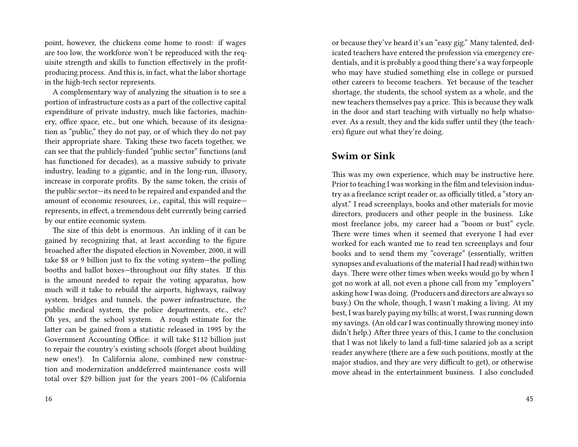point, however, the chickens come home to roost: if wages are too low, the workforce won't be reproduced with the requisite strength and skills to function effectively in the profitproducing process. And this is, in fact, what the labor shortage in the high-tech sector represents.

A complementary way of analyzing the situation is to see a portion of infrastructure costs as a part of the collective capital expenditure of private industry, much like factories, machinery, office space, etc., but one which, because of its designation as "public," they do not pay, or of which they do not pay their appropriate share. Taking these two facets together, we can see that the publicly-funded "public sector" functions (and has functioned for decades), as a massive subsidy to private industry, leading to a gigantic, and in the long-run, illusory, increase in corporate profits. By the same token, the crisis of the public sector—its need to be repaired and expanded and the amount of economic resources, i.e., capital, this will require represents, in effect, a tremendous debt currently being carried by our entire economic system.

The size of this debt is enormous. An inkling of it can be gained by recognizing that, at least according to the figure broached after the disputed election in November, 2000, it will take \$8 or 9 billion just to fix the voting system—the polling booths and ballot boxes—throughout our fifty states. If this is the amount needed to repair the voting apparatus, how much will it take to rebuild the airports, highways, railway system, bridges and tunnels, the power infrastructure, the public medical system, the police departments, etc., etc? Oh yes, and the school system. A rough estimate for the latter can be gained from a statistic released in 1995 by the Government Accounting Office: it will take \$112 billion just to repair the country's existing schools (forget about building new ones!). In California alone, combined new construction and modernization anddeferred maintenance costs will total over \$29 billion just for the years 2001–06 (California

or because they've heard it's an "easy gig." Many talented, dedicated teachers have entered the profession via emergency credentials, and it is probably a good thing there's a way forpeople who may have studied something else in college or pursued other careers to become teachers. Yet because of the teacher shortage, the students, the school system as a whole, and the new teachers themselves pay a price. This is because they walk in the door and start teaching with virtually no help whatsoever. As a result, they and the kids suffer until they (the teachers) figure out what they're doing.

## **Swim or Sink**

This was my own experience, which may be instructive here. Prior to teaching I was working in the film and television industry as a freelance script reader or, as officially titled, a "story analyst." I read screenplays, books and other materials for movie directors, producers and other people in the business. Like most freelance jobs, my career had a "boom or bust" cycle. There were times when it seemed that everyone I had ever worked for each wanted me to read ten screenplays and four books and to send them my "coverage" (essentially, written synopses and evaluations of the material I had read) within two days. There were other times when weeks would go by when I got no work at all, not even a phone call from my "employers" asking how I was doing. (Producers and directors are always so busy.) On the whole, though, I wasn't making a living. At my best, I was barely paying my bills; at worst, I was running down my savings. (An old car I was continually throwing money into didn't help.) After three years of this, I came to the conclusion that I was not likely to land a full-time salaried job as a script reader anywhere (there are a few such positions, mostly at the major studios, and they are very difficult to get), or otherwise move ahead in the entertainment business. I also concluded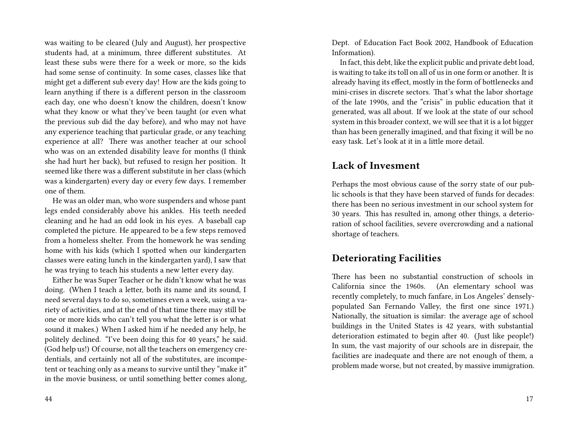was waiting to be cleared (July and August), her prospective students had, at a minimum, three different substitutes. At least these subs were there for a week or more, so the kids had some sense of continuity. In some cases, classes like that might get a different sub every day! How are the kids going to learn anything if there is a different person in the classroom each day, one who doesn't know the children, doesn't know what they know or what they've been taught (or even what the previous sub did the day before), and who may not have any experience teaching that particular grade, or any teaching experience at all? There was another teacher at our school who was on an extended disability leave for months (I think she had hurt her back), but refused to resign her position. It seemed like there was a different substitute in her class (which was a kindergarten) every day or every few days. I remember one of them.

He was an older man, who wore suspenders and whose pant legs ended considerably above his ankles. His teeth needed cleaning and he had an odd look in his eyes. A baseball cap completed the picture. He appeared to be a few steps removed from a homeless shelter. From the homework he was sending home with his kids (which I spotted when our kindergarten classes were eating lunch in the kindergarten yard), I saw that he was trying to teach his students a new letter every day.

Either he was Super Teacher or he didn't know what he was doing. (When I teach a letter, both its name and its sound, I need several days to do so, sometimes even a week, using a variety of activities, and at the end of that time there may still be one or more kids who can't tell you what the letter is or what sound it makes.) When I asked him if he needed any help, he politely declined. "I've been doing this for 40 years," he said. (God help us!) Of course, not all the teachers on emergency credentials, and certainly not all of the substitutes, are incompetent or teaching only as a means to survive until they "make it" in the movie business, or until something better comes along,

Dept. of Education Fact Book 2002, Handbook of Education Information).

In fact, this debt, like the explicit public and private debt load, is waiting to take its toll on all of us in one form or another. It is already having its effect, mostly in the form of bottlenecks and mini-crises in discrete sectors. That's what the labor shortage of the late 1990s, and the "crisis" in public education that it generated, was all about. If we look at the state of our school system in this broader context, we will see that it is a lot bigger than has been generally imagined, and that fixing it will be no easy task. Let's look at it in a little more detail.

## **Lack of Invesment**

Perhaps the most obvious cause of the sorry state of our public schools is that they have been starved of funds for decades: there has been no serious investment in our school system for 30 years. This has resulted in, among other things, a deterioration of school facilities, severe overcrowding and a national shortage of teachers.

#### **Deteriorating Facilities**

There has been no substantial construction of schools in California since the 1960s. (An elementary school was recently completely, to much fanfare, in Los Angeles' denselypopulated San Fernando Valley, the first one since 1971.) Nationally, the situation is similar: the average age of school buildings in the United States is 42 years, with substantial deterioration estimated to begin after 40. (Just like people!) In sum, the vast majority of our schools are in disrepair, the facilities are inadequate and there are not enough of them, a problem made worse, but not created, by massive immigration.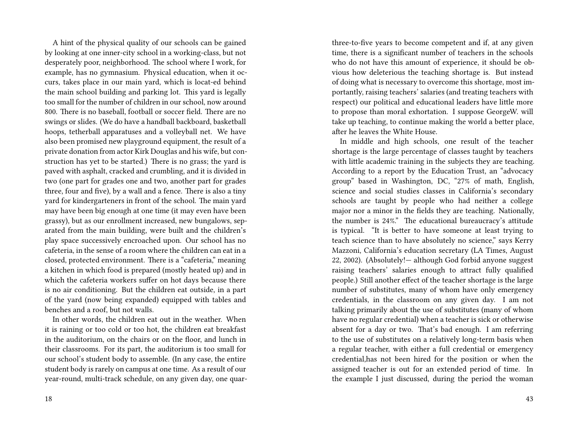A hint of the physical quality of our schools can be gained by looking at one inner-city school in a working-class, but not desperately poor, neighborhood. The school where I work, for example, has no gymnasium. Physical education, when it occurs, takes place in our main yard, which is locat-ed behind the main school building and parking lot. This yard is legally too small for the number of children in our school, now around 800. There is no baseball, football or soccer field. There are no swings or slides. (We do have a handball backboard, basketball hoops, tetherball apparatuses and a volleyball net. We have also been promised new playground equipment, the result of a private donation from actor Kirk Douglas and his wife, but construction has yet to be started.) There is no grass; the yard is paved with asphalt, cracked and crumbling, and it is divided in two (one part for grades one and two, another part for grades three, four and five), by a wall and a fence. There is also a tiny yard for kindergarteners in front of the school. The main yard may have been big enough at one time (it may even have been grassy), but as our enrollment increased, new bungalows, separated from the main building, were built and the children's play space successively encroached upon. Our school has no cafeteria, in the sense of a room where the children can eat in a closed, protected environment. There is a "cafeteria," meaning a kitchen in which food is prepared (mostly heated up) and in which the cafeteria workers suffer on hot days because there is no air conditioning. But the children eat outside, in a part of the yard (now being expanded) equipped with tables and benches and a roof, but not walls.

In other words, the children eat out in the weather. When it is raining or too cold or too hot, the children eat breakfast in the auditorium, on the chairs or on the floor, and lunch in their classrooms. For its part, the auditorium is too small for our school's student body to assemble. (In any case, the entire student body is rarely on campus at one time. As a result of our year-round, multi-track schedule, on any given day, one quarthree-to-five years to become competent and if, at any given time, there is a significant number of teachers in the schools who do not have this amount of experience, it should be obvious how deleterious the teaching shortage is. But instead of doing what is necessary to overcome this shortage, most importantly, raising teachers' salaries (and treating teachers with respect) our political and educational leaders have little more to propose than moral exhortation. I suppose GeorgeW. will take up teaching, to continue making the world a better place, after he leaves the White House.

In middle and high schools, one result of the teacher shortage is the large percentage of classes taught by teachers with little academic training in the subjects they are teaching. According to a report by the Education Trust, an "advocacy group" based in Washington, DC, "27% of math, English, science and social studies classes in California's secondary schools are taught by people who had neither a college major nor a minor in the fields they are teaching. Nationally, the number is 24%." The educational bureaucracy's attitude is typical. "It is better to have someone at least trying to teach science than to have absolutely no science," says Kerry Mazzoni, California's education secretary (LA Times, August 22, 2002). (Absolutely!— although God forbid anyone suggest raising teachers' salaries enough to attract fully qualified people.) Still another effect of the teacher shortage is the large number of substitutes, many of whom have only emergency credentials, in the classroom on any given day. I am not talking primarily about the use of substitutes (many of whom have no regular credential) when a teacher is sick or otherwise absent for a day or two. That's bad enough. I am referring to the use of substitutes on a relatively long-term basis when a regular teacher, with either a full credential or emergency credential,has not been hired for the position or when the assigned teacher is out for an extended period of time. In the example I just discussed, during the period the woman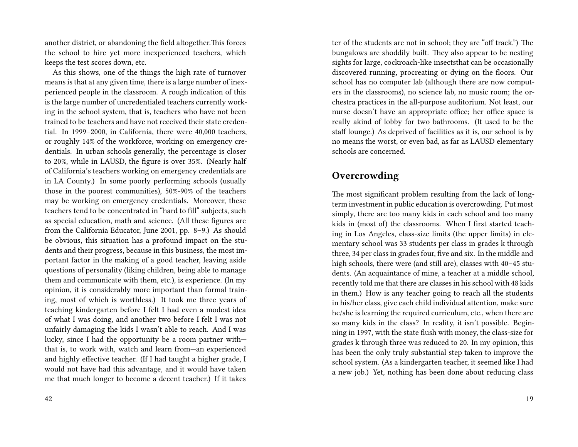another district, or abandoning the field altogether.This forces the school to hire yet more inexperienced teachers, which keeps the test scores down, etc.

As this shows, one of the things the high rate of turnover means is that at any given time, there is a large number of inexperienced people in the classroom. A rough indication of this is the large number of uncredentialed teachers currently working in the school system, that is, teachers who have not been trained to be teachers and have not received their state credential. In 1999–2000, in California, there were 40,000 teachers, or roughly 14% of the workforce, working on emergency credentials. In urban schools generally, the percentage is closer to 20%, while in LAUSD, the figure is over 35%. (Nearly half of California's teachers working on emergency credentials are in LA County.) In some poorly performing schools (usually those in the poorest communities), 50%-90% of the teachers may be working on emergency credentials. Moreover, these teachers tend to be concentrated in "hard to fill" subjects, such as special education, math and science. (All these figures are from the California Educator, June 2001, pp. 8–9.) As should be obvious, this situation has a profound impact on the students and their progress, because in this business, the most important factor in the making of a good teacher, leaving aside questions of personality (liking children, being able to manage them and communicate with them, etc.), is experience. (In my opinion, it is considerably more important than formal training, most of which is worthless.) It took me three years of teaching kindergarten before I felt I had even a modest idea of what I was doing, and another two before I felt I was not unfairly damaging the kids I wasn't able to reach. And I was lucky, since I had the opportunity be a room partner with that is, to work with, watch and learn from—an experienced and highly effective teacher. (If I had taught a higher grade, I would not have had this advantage, and it would have taken me that much longer to become a decent teacher.) If it takes

ter of the students are not in school; they are "off track.") The bungalows are shoddily built. They also appear to be nesting sights for large, cockroach-like insectsthat can be occasionally discovered running, procreating or dying on the floors. Our school has no computer lab (although there are now computers in the classrooms), no science lab, no music room; the orchestra practices in the all-purpose auditorium. Not least, our nurse doesn't have an appropriate office; her office space is really akind of lobby for two bathrooms. (It used to be the staff lounge.) As deprived of facilities as it is, our school is by no means the worst, or even bad, as far as LAUSD elementary schools are concerned.

### **Overcrowding**

The most significant problem resulting from the lack of longterm investment in public education is overcrowding. Put most simply, there are too many kids in each school and too many kids in (most of) the classrooms. When I first started teaching in Los Angeles, class-size limits (the upper limits) in elementary school was 33 students per class in grades k through three, 34 per class in grades four, five and six. In the middle and high schools, there were (and still are), classes with 40–45 students. (An acquaintance of mine, a teacher at a middle school, recently told me that there are classes in his school with 48 kids in them.) How is any teacher going to reach all the students in his/her class, give each child individual attention, make sure he/she is learning the required curriculum, etc., when there are so many kids in the class? In reality, it isn't possible. Beginning in 1997, with the state flush with money, the class-size for grades k through three was reduced to 20. In my opinion, this has been the only truly substantial step taken to improve the school system. (As a kindergarten teacher, it seemed like I had a new job.) Yet, nothing has been done about reducing class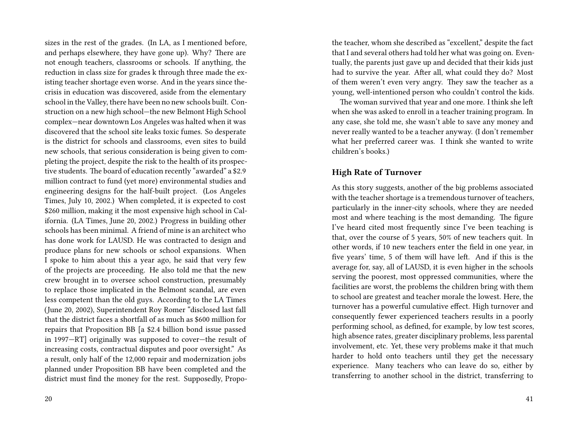sizes in the rest of the grades. (In LA, as I mentioned before, and perhaps elsewhere, they have gone up). Why? There are not enough teachers, classrooms or schools. If anything, the reduction in class size for grades k through three made the existing teacher shortage even worse. And in the years since thecrisis in education was discovered, aside from the elementary school in the Valley, there have been no new schools built. Construction on a new high school—the new Belmont High School complex—near downtown Los Angeles was halted when it was discovered that the school site leaks toxic fumes. So desperate is the district for schools and classrooms, even sites to build new schools, that serious consideration is being given to completing the project, despite the risk to the health of its prospective students. The board of education recently "awarded" a \$2.9 million contract to fund (yet more) environmental studies and engineering designs for the half-built project. (Los Angeles Times, July 10, 2002.) When completed, it is expected to cost \$260 million, making it the most expensive high school in California. (LA Times, June 20, 2002.) Progress in building other schools has been minimal. A friend of mine is an architect who has done work for LAUSD. He was contracted to design and produce plans for new schools or school expansions. When I spoke to him about this a year ago, he said that very few of the projects are proceeding. He also told me that the new crew brought in to oversee school construction, presumably to replace those implicated in the Belmont scandal, are even less competent than the old guys. According to the LA Times (June 20, 2002), Superintendent Roy Romer "disclosed last fall that the district faces a shortfall of as much as \$600 million for repairs that Proposition BB [a \$2.4 billion bond issue passed in 1997—RT] originally was supposed to cover—the result of increasing costs, contractual disputes and poor oversight." As a result, only half of the 12,000 repair and modernization jobs planned under Proposition BB have been completed and the district must find the money for the rest. Supposedly, Propothe teacher, whom she described as "excellent," despite the fact that I and several others had told her what was going on. Eventually, the parents just gave up and decided that their kids just had to survive the year. After all, what could they do? Most of them weren't even very angry. They saw the teacher as a young, well-intentioned person who couldn't control the kids.

The woman survived that year and one more. I think she left when she was asked to enroll in a teacher training program. In any case, she told me, she wasn't able to save any money and never really wanted to be a teacher anyway. (I don't remember what her preferred career was. I think she wanted to write children's books.)

#### **High Rate of Turnover**

As this story suggests, another of the big problems associated with the teacher shortage is a tremendous turnover of teachers, particularly in the inner-city schools, where they are needed most and where teaching is the most demanding. The figure I've heard cited most frequently since I've been teaching is that, over the course of 5 years, 50% of new teachers quit. In other words, if 10 new teachers enter the field in one year, in five years' time, 5 of them will have left. And if this is the average for, say, all of LAUSD, it is even higher in the schools serving the poorest, most oppressed communities, where the facilities are worst, the problems the children bring with them to school are greatest and teacher morale the lowest. Here, the turnover has a powerful cumulative effect. High turnover and consequently fewer experienced teachers results in a poorly performing school, as defined, for example, by low test scores, high absence rates, greater disciplinary problems, less parental involvement, etc. Yet, these very problems make it that much harder to hold onto teachers until they get the necessary experience. Many teachers who can leave do so, either by transferring to another school in the district, transferring to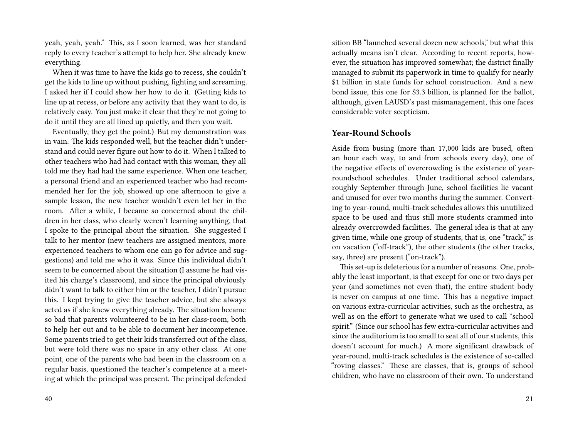yeah, yeah, yeah." This, as I soon learned, was her standard reply to every teacher's attempt to help her. She already knew everything.

When it was time to have the kids go to recess, she couldn't get the kids to line up without pushing, fighting and screaming. I asked her if I could show her how to do it. (Getting kids to line up at recess, or before any activity that they want to do, is relatively easy. You just make it clear that they're not going to do it until they are all lined up quietly, and then you wait.

Eventually, they get the point.) But my demonstration was in vain. The kids responded well, but the teacher didn't understand and could never figure out how to do it. When I talked to other teachers who had had contact with this woman, they all told me they had had the same experience. When one teacher, a personal friend and an experienced teacher who had recommended her for the job, showed up one afternoon to give a sample lesson, the new teacher wouldn't even let her in the room. After a while, I became so concerned about the children in her class, who clearly weren't learning anything, that I spoke to the principal about the situation. She suggested I talk to her mentor (new teachers are assigned mentors, more experienced teachers to whom one can go for advice and suggestions) and told me who it was. Since this individual didn't seem to be concerned about the situation (I assume he had visited his charge's classroom), and since the principal obviously didn't want to talk to either him or the teacher, I didn't pursue this. I kept trying to give the teacher advice, but she always acted as if she knew everything already. The situation became so bad that parents volunteered to be in her class-room, both to help her out and to be able to document her incompetence. Some parents tried to get their kids transferred out of the class, but were told there was no space in any other class. At one point, one of the parents who had been in the classroom on a regular basis, questioned the teacher's competence at a meeting at which the principal was present. The principal defended

sition BB "launched several dozen new schools," but what this actually means isn't clear. According to recent reports, however, the situation has improved somewhat; the district finally managed to submit its paperwork in time to qualify for nearly \$1 billion in state funds for school construction. And a new bond issue, this one for \$3.3 billion, is planned for the ballot, although, given LAUSD's past mismanagement, this one faces considerable voter scepticism.

#### **Year-Round Schools**

Aside from busing (more than 17,000 kids are bused, often an hour each way, to and from schools every day), one of the negative effects of overcrowding is the existence of yearroundschool schedules. Under traditional school calendars, roughly September through June, school facilities lie vacant and unused for over two months during the summer. Converting to year-round, multi-track schedules allows this unutilized space to be used and thus still more students crammed into already overcrowded facilities. The general idea is that at any given time, while one group of students, that is, one "track," is on vacation ("off-track"), the other students (the other tracks, say, three) are present ("on-track").

This set-up is deleterious for a number of reasons. One, probably the least important, is that except for one or two days per year (and sometimes not even that), the entire student body is never on campus at one time. This has a negative impact on various extra-curricular activities, such as the orchestra, as well as on the effort to generate what we used to call "school spirit." (Since our school has few extra-curricular activities and since the auditorium is too small to seat all of our students, this doesn't account for much.) A more significant drawback of year-round, multi-track schedules is the existence of so-called "roving classes." These are classes, that is, groups of school children, who have no classroom of their own. To understand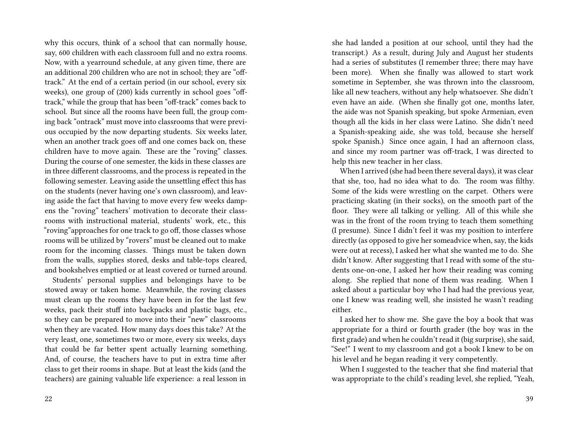why this occurs, think of a school that can normally house, say, 600 children with each classroom full and no extra rooms. Now, with a yearround schedule, at any given time, there are an additional 200 children who are not in school; they are "offtrack." At the end of a certain period (in our school, every six weeks), one group of (200) kids currently in school goes "offtrack," while the group that has been "off-track" comes back to school. But since all the rooms have been full, the group coming back "ontrack" must move into classrooms that were previous occupied by the now departing students. Six weeks later, when an another track goes off and one comes back on, these children have to move again. These are the "roving" classes. During the course of one semester, the kids in these classes are in three different classrooms, and the process is repeated in the following semester. Leaving aside the unsettling effect this has on the students (never having one's own classroom), and leaving aside the fact that having to move every few weeks dampens the "roving" teachers' motivation to decorate their classrooms with instructional material, students' work, etc., this "roving"approaches for one track to go off, those classes whose rooms will be utilized by "rovers" must be cleaned out to make room for the incoming classes. Things must be taken down from the walls, supplies stored, desks and table-tops cleared, and bookshelves emptied or at least covered or turned around.

Students' personal supplies and belongings have to be stowed away or taken home. Meanwhile, the roving classes must clean up the rooms they have been in for the last few weeks, pack their stuff into backpacks and plastic bags, etc., so they can be prepared to move into their "new" classrooms when they are vacated. How many days does this take? At the very least, one, sometimes two or more, every six weeks, days that could be far better spent actually learning something. And, of course, the teachers have to put in extra time after class to get their rooms in shape. But at least the kids (and the teachers) are gaining valuable life experience: a real lesson in

22

she had landed a position at our school, until they had the transcript.) As a result, during July and August her students had a series of substitutes (I remember three; there may have been more). When she finally was allowed to start work sometime in September, she was thrown into the classroom, like all new teachers, without any help whatsoever. She didn't even have an aide. (When she finally got one, months later, the aide was not Spanish speaking, but spoke Armenian, even though all the kids in her class were Latino. She didn't need a Spanish-speaking aide, she was told, because she herself spoke Spanish.) Since once again, I had an afternoon class, and since my room partner was off-track, I was directed to help this new teacher in her class.

When I arrived (she had been there several days), it was clear that she, too, had no idea what to do. The room was filthy. Some of the kids were wrestling on the carpet. Others were practicing skating (in their socks), on the smooth part of the floor. They were all talking or yelling. All of this while she was in the front of the room trying to teach them something (I presume). Since I didn't feel it was my position to interfere directly (as opposed to give her someadvice when, say, the kids were out at recess), I asked her what she wanted me to do. She didn't know. After suggesting that I read with some of the students one-on-one, I asked her how their reading was coming along. She replied that none of them was reading. When I asked about a particular boy who I had had the previous year, one I knew was reading well, she insisted he wasn't reading either.

I asked her to show me. She gave the boy a book that was appropriate for a third or fourth grader (the boy was in the first grade) and when he couldn't read it (big surprise), she said, "See!" I went to my classroom and got a book I knew to be on his level and he began reading it very competently.

When I suggested to the teacher that she find material that was appropriate to the child's reading level, she replied, "Yeah,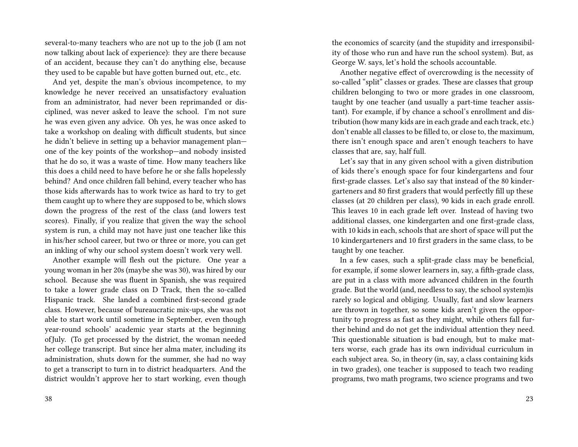several-to-many teachers who are not up to the job (I am not now talking about lack of experience): they are there because of an accident, because they can't do anything else, because they used to be capable but have gotten burned out, etc., etc.

And yet, despite the man's obvious incompetence, to my knowledge he never received an unsatisfactory evaluation from an administrator, had never been reprimanded or disciplined, was never asked to leave the school. I'm not sure he was even given any advice. Oh yes, he was once asked to take a workshop on dealing with difficult students, but since he didn't believe in setting up a behavior management plan one of the key points of the workshop—and nobody insisted that he do so, it was a waste of time. How many teachers like this does a child need to have before he or she falls hopelessly behind? And once children fall behind, every teacher who has those kids afterwards has to work twice as hard to try to get them caught up to where they are supposed to be, which slows down the progress of the rest of the class (and lowers test scores). Finally, if you realize that given the way the school system is run, a child may not have just one teacher like this in his/her school career, but two or three or more, you can get an inkling of why our school system doesn't work very well.

Another example will flesh out the picture. One year a young woman in her 20s (maybe she was 30), was hired by our school. Because she was fluent in Spanish, she was required to take a lower grade class on D Track, then the so-called Hispanic track. She landed a combined first-second grade class. However, because of bureaucratic mix-ups, she was not able to start work until sometime in September, even though year-round schools' academic year starts at the beginning ofJuly. (To get processed by the district, the woman needed her college transcript. But since her alma mater, including its administration, shuts down for the summer, she had no way to get a transcript to turn in to district headquarters. And the district wouldn't approve her to start working, even though the economics of scarcity (and the stupidity and irresponsibility of those who run and have run the school system). But, as George W. says, let's hold the schools accountable.

Another negative effect of overcrowding is the necessity of so-called "split" classes or grades. These are classes that group children belonging to two or more grades in one classroom, taught by one teacher (and usually a part-time teacher assistant). For example, if by chance a school's enrollment and distribution (how many kids are in each grade and each track, etc.) don't enable all classes to be filled to, or close to, the maximum, there isn't enough space and aren't enough teachers to have classes that are, say, half full.

Let's say that in any given school with a given distribution of kids there's enough space for four kindergartens and four first-grade classes. Let's also say that instead of the 80 kindergarteners and 80 first graders that would perfectly fill up these classes (at 20 children per class), 90 kids in each grade enroll. This leaves 10 in each grade left over. Instead of having two additional classes, one kindergarten and one first-grade class, with 10 kids in each, schools that are short of space will put the 10 kindergarteners and 10 first graders in the same class, to be taught by one teacher.

In a few cases, such a split-grade class may be beneficial, for example, if some slower learners in, say, a fifth-grade class, are put in a class with more advanced children in the fourth grade. But the world (and, needless to say, the school system)is rarely so logical and obliging. Usually, fast and slow learners are thrown in together, so some kids aren't given the opportunity to progress as fast as they might, while others fall further behind and do not get the individual attention they need. This questionable situation is bad enough, but to make matters worse, each grade has its own individual curriculum in each subject area. So, in theory (in, say, a class containing kids in two grades), one teacher is supposed to teach two reading programs, two math programs, two science programs and two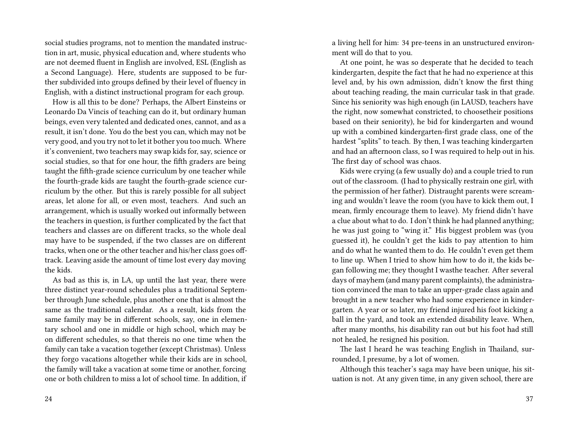social studies programs, not to mention the mandated instruction in art, music, physical education and, where students who are not deemed fluent in English are involved, ESL (English as a Second Language). Here, students are supposed to be further subdivided into groups defined by their level of fluency in English, with a distinct instructional program for each group.

How is all this to be done? Perhaps, the Albert Einsteins or Leonardo Da Vincis of teaching can do it, but ordinary human beings, even very talented and dedicated ones, cannot, and as a result, it isn't done. You do the best you can, which may not be very good, and you try not to let it bother you too much. Where it's convenient, two teachers may swap kids for, say, science or social studies, so that for one hour, the fifth graders are being taught the fifth-grade science curriculum by one teacher while the fourth-grade kids are taught the fourth-grade science curriculum by the other. But this is rarely possible for all subject areas, let alone for all, or even most, teachers. And such an arrangement, which is usually worked out informally between the teachers in question, is further complicated by the fact that teachers and classes are on different tracks, so the whole deal may have to be suspended, if the two classes are on different tracks, when one or the other teacher and his/her class goes offtrack. Leaving aside the amount of time lost every day moving the kids.

As bad as this is, in LA, up until the last year, there were three distinct year-round schedules plus a traditional September through June schedule, plus another one that is almost the same as the traditional calendar. As a result, kids from the same family may be in different schools, say, one in elementary school and one in middle or high school, which may be on different schedules, so that thereis no one time when the family can take a vacation together (except Christmas). Unless they forgo vacations altogether while their kids are in school, the family will take a vacation at some time or another, forcing one or both children to miss a lot of school time. In addition, if a living hell for him: 34 pre-teens in an unstructured environment will do that to you.

At one point, he was so desperate that he decided to teach kindergarten, despite the fact that he had no experience at this level and, by his own admission, didn't know the first thing about teaching reading, the main curricular task in that grade. Since his seniority was high enough (in LAUSD, teachers have the right, now somewhat constricted, to choosetheir positions based on their seniority), he bid for kindergarten and wound up with a combined kindergarten-first grade class, one of the hardest "splits" to teach. By then, I was teaching kindergarten and had an afternoon class, so I was required to help out in his. The first day of school was chaos.

Kids were crying (a few usually do) and a couple tried to run out of the classroom. (I had to physically restrain one girl, with the permission of her father). Distraught parents were screaming and wouldn't leave the room (you have to kick them out, I mean, firmly encourage them to leave). My friend didn't have a clue about what to do. I don't think he had planned anything; he was just going to "wing it." His biggest problem was (you guessed it), he couldn't get the kids to pay attention to him and do what he wanted them to do. He couldn't even get them to line up. When I tried to show him how to do it, the kids began following me; they thought I wasthe teacher. After several days of mayhem (and many parent complaints), the administration convinced the man to take an upper-grade class again and brought in a new teacher who had some experience in kindergarten. A year or so later, my friend injured his foot kicking a ball in the yard, and took an extended disability leave. When, after many months, his disability ran out but his foot had still not healed, he resigned his position.

The last I heard he was teaching English in Thailand, surrounded, I presume, by a lot of women.

Although this teacher's saga may have been unique, his situation is not. At any given time, in any given school, there are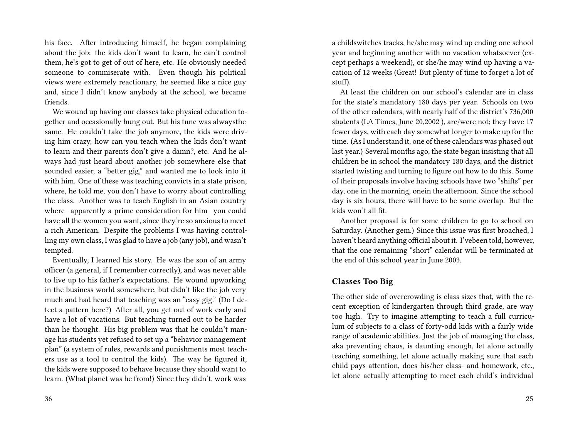his face. After introducing himself, he began complaining about the job: the kids don't want to learn, he can't control them, he's got to get of out of here, etc. He obviously needed someone to commiserate with. Even though his political views were extremely reactionary, he seemed like a nice guy and, since I didn't know anybody at the school, we became friends.

We wound up having our classes take physical education together and occasionally hung out. But his tune was alwaysthe same. He couldn't take the job anymore, the kids were driving him crazy, how can you teach when the kids don't want to learn and their parents don't give a damn?, etc. And he always had just heard about another job somewhere else that sounded easier, a "better gig," and wanted me to look into it with him. One of these was teaching convicts in a state prison, where, he told me, you don't have to worry about controlling the class. Another was to teach English in an Asian country where—apparently a prime consideration for him—you could have all the women you want, since they're so anxious to meet a rich American. Despite the problems I was having controlling my own class, I was glad to have a job (any job), and wasn't tempted.

Eventually, I learned his story. He was the son of an army officer (a general, if I remember correctly), and was never able to live up to his father's expectations. He wound upworking in the business world somewhere, but didn't like the job very much and had heard that teaching was an "easy gig." (Do I detect a pattern here?) After all, you get out of work early and have a lot of vacations. But teaching turned out to be harder than he thought. His big problem was that he couldn't manage his students yet refused to set up a "behavior management plan" (a system of rules, rewards and punishments most teachers use as a tool to control the kids). The way he figured it, the kids were supposed to behave because they should want to learn. (What planet was he from!) Since they didn't, work was

a childswitches tracks, he/she may wind up ending one school year and beginning another with no vacation whatsoever (except perhaps a weekend), or she/he may wind up having a vacation of 12 weeks (Great! But plenty of time to forget a lot of stuf).

At least the children on our school's calendar are in class for the state's mandatory 180 days per year. Schools on two of the other calendars, with nearly half of the district's 736,000 students (LA Times, June 20,2002 ), are/were not; they have 17 fewer days, with each day somewhat longer to make up for the time. (As I understand it, one of these calendars was phased out last year.) Several months ago, the state began insisting that all children be in school the mandatory 180 days, and the district started twisting and turning to figure out how to do this. Some of their proposals involve having schools have two "shifts" per day, one in the morning, onein the afternoon. Since the school day is six hours, there will have to be some overlap. But the kids won't all fit.

Another proposal is for some children to go to school on Saturday. (Another gem.) Since this issue was first broached, I haven't heard anything official about it. I'vebeen told, however, that the one remaining "short" calendar will be terminated at the end of this school year in June 2003.

#### **Classes Too Big**

The other side of overcrowding is class sizes that, with the recent exception of kindergarten through third grade, are way too high. Try to imagine attempting to teach a full curriculum of subjects to a class of forty-odd kids with a fairly wide range of academic abilities. Just the job of managing the class, aka preventing chaos, is daunting enough, let alone actually teaching something, let alone actually making sure that each child pays attention, does his/her class- and homework, etc., let alone actually attempting to meet each child's individual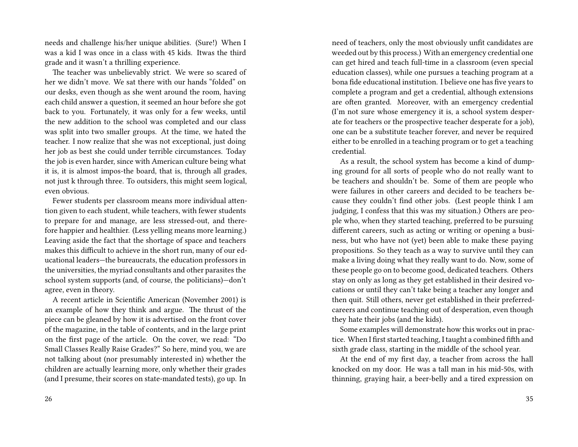needs and challenge his/her unique abilities. (Sure!) When I was a kid I was once in a class with 45 kids. Itwas the third grade and it wasn't a thrilling experience.

The teacher was unbelievably strict. We were so scared of her we didn't move. We sat there with our hands "folded" on our desks, even though as she went around the room, having each child answer a question, it seemed an hour before she got back to you. Fortunately, it was only for a few weeks, until the new addition to the school was completed and our class was split into two smaller groups. At the time, we hated the teacher. I now realize that she was not exceptional, just doing her job as best she could under terrible circumstances. Today the job is even harder, since with American culture being what it is, it is almost impos-the board, that is, through all grades, not just k through three. To outsiders, this might seem logical, even obvious.

Fewer students per classroom means more individual attention given to each student, while teachers, with fewer students to prepare for and manage, are less stressed-out, and therefore happier and healthier. (Less yelling means more learning.) Leaving aside the fact that the shortage of space and teachers makes this difficult to achieve in the short run, many of our educational leaders—the bureaucrats, the education professors in the universities, the myriad consultants and other parasites the school system supports (and, of course, the politicians)—don't agree, even in theory.

A recent article in Scientific American (November 2001) is an example of how they think and argue. The thrust of the piece can be gleaned by how it is advertised on the front cover of the magazine, in the table of contents, and in the large print on the first page of the article. On the cover, we read: "Do Small Classes Really Raise Grades?" So here, mind you, we are not talking about (nor presumably interested in) whether the children are actually learning more, only whether their grades (and I presume, their scores on state-mandated tests), go up. In

need of teachers, only the most obviously unfit candidates are weeded out by this process.) With an emergency credential one can get hired and teach full-time in a classroom (even special education classes), while one pursues a teaching program at a bona fide educational institution. I believe one has five years to complete a program and get a credential, although extensions are often granted. Moreover, with an emergency credential (I'm not sure whose emergency it is, a school system desperate for teachers or the prospective teacher desperate for a job), one can be a substitute teacher forever, and never be required either to be enrolled in a teaching program or to get a teaching credential.

As a result, the school system has become a kind of dumping ground for all sorts of people who do not really want to be teachers and shouldn't be. Some of them are people who were failures in other careers and decided to be teachers because they couldn't find other jobs. (Lest people think I am judging, I confess that this was my situation.) Others are people who, when they started teaching, preferred to be pursuing different careers, such as acting or writing or opening a business, but who have not (yet) been able to make these paying propositions. So they teach as a way to survive until they can make a living doing what they really want to do. Now, some of these people go on to become good, dedicated teachers. Others stay on only as long as they get established in their desired vocations or until they can't take being a teacher any longer and then quit. Still others, never get established in their preferredcareers and continue teaching out of desperation, even though they hate their jobs (and the kids).

Some examples will demonstrate how this works out in practice. When I first started teaching, I taught a combined fifth and sixth grade class, starting in the middle of the school year.

At the end of my first day, a teacher from across the hall knocked on my door. He was a tall man in his mid-50s, with thinning, graying hair, a beer-belly and a tired expression on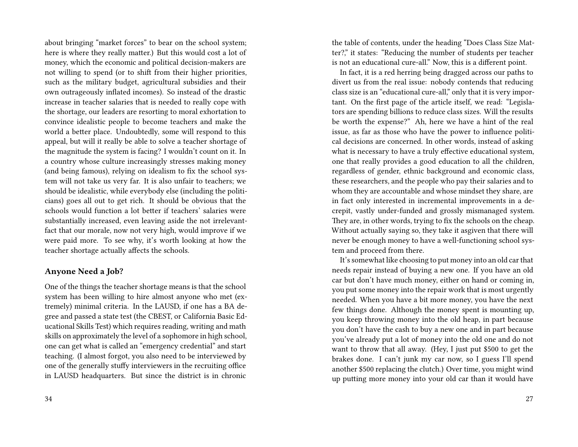about bringing "market forces" to bear on the school system; here is where they really matter.) But this would cost a lot of money, which the economic and political decision-makers are not willing to spend (or to shift from their higher priorities, such as the military budget, agricultural subsidies and their own outrageously inflated incomes). So instead of the drastic increase in teacher salaries that is needed to really cope with the shortage, our leaders are resorting to moral exhortation to convince idealistic people to become teachers and make the world a better place. Undoubtedly, some will respond to this appeal, but will it really be able to solve a teacher shortage of the magnitude the system is facing? I wouldn't count on it. In a country whose culture increasingly stresses making money (and being famous), relying on idealism to fix the school system will not take us very far. It is also unfair to teachers; we should be idealistic, while everybody else (including the politicians) goes all out to get rich. It should be obvious that the schools would function a lot better if teachers' salaries were substantially increased, even leaving aside the not irrelevantfact that our morale, now not very high, would improve if we were paid more. To see why, it's worth looking at how the teacher shortage actually affects the schools.

#### **Anyone Need a Job?**

One of the things the teacher shortage means is that the school system has been willing to hire almost anyone who met (extremely) minimal criteria. In the LAUSD, if one has a BA degree and passed a state test (the CBEST, or California Basic Educational Skills Test) which requires reading, writing and math skills on approximately the level of a sophomore in high school, one can get what is called an "emergency credential" and start teaching. (I almost forgot, you also need to be interviewed by one of the generally stuffy interviewers in the recruiting office in LAUSD headquarters. But since the district is in chronic

the table of contents, under the heading "Does Class Size Matter?," it states: "Reducing the number of students per teacher is not an educational cure-all." Now, this is a different point.

In fact, it is a red herring being dragged across our paths to divert us from the real issue: nobody contends that reducing class size is an "educational cure-all," only that it is very important. On the first page of the article itself, we read: "Legislators are spending billions to reduce class sizes. Will the results be worth the expense?" Ah, here we have a hint of the real issue, as far as those who have the power to influence political decisions are concerned. In other words, instead of asking what is necessary to have a truly effective educational system, one that really provides a good education to all the children, regardless of gender, ethnic background and economic class, these researchers, and the people who pay their salaries and to whom they are accountable and whose mindset they share, are in fact only interested in incremental improvements in a decrepit, vastly under-funded and grossly mismanaged system. They are, in other words, trying to fix the schools on the cheap. Without actually saying so, they take it asgiven that there will never be enough money to have a well-functioning school system and proceed from there.

It's somewhat like choosing to put money into an old car that needs repair instead of buying a new one. If you have an old car but don't have much money, either on hand or coming in, you put some money into the repair work that is most urgently needed. When you have a bit more money, you have the next few things done. Although the money spent is mounting up, you keep throwing money into the old heap, in part because you don't have the cash to buy a new one and in part because you've already put a lot of money into the old one and do not want to throw that all away. (Hey, I just put \$500 to get the brakes done. I can't junk my car now, so I guess I'll spend another \$500 replacing the clutch.) Over time, you might wind up putting more money into your old car than it would have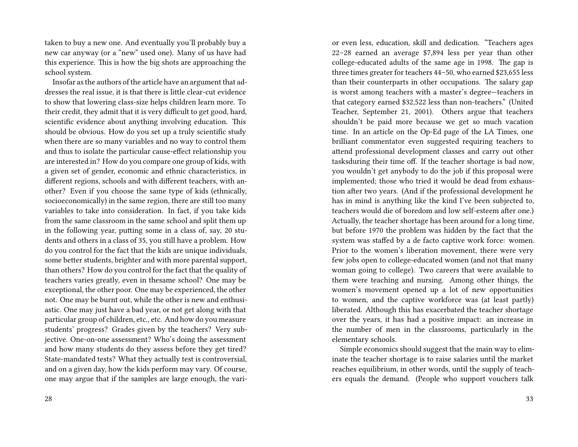taken to buy a new one. And eventually you'll probably buy a new car anyway (or a "new" used one). Many of us have had this experience. This is how the big shots are approaching the school system.

Insofar as the authors of the article have an argument that addresses the real issue, it is that there is little clear-cut evidence to show that lowering class-size helps children learn more. To their credit, they admit that it is very difficult to get good, hard, scientific evidence about anything involving education. This should be obvious. How do you set up a truly scientific study when there are so many variables and no way to control them and thus to isolate the particular cause-effect relationship you are interested in? How do you compare one group of kids, with a given set of gender, economic and ethnic characteristics, in different regions, schools and with different teachers, with another? Even if you choose the same type of kids (ethnically, socioeconomically) in the same region, there are still too many variables to take into consideration. In fact, if you take kids from the same classroom in the same school and split them up in the following year, putting some in a class of, say, 20 students and others in a class of 35, you still have a problem. How do you control for the fact that the kids are unique individuals, some better students, brighter and with more parental support, than others? How do you control for the fact that the quality of teachers varies greatly, even in thesame school? One may be exceptional, the other poor. One may be experienced, the other not. One may be burnt out, while the other is new and enthusiastic. One may just have a bad year, or not get along with that particular group of children, etc., etc. And how do you measure students' progress? Grades given by the teachers? Very subjective. One-on-one assessment? Who's doing the assessment and how many students do they assess before they get tired? State-mandated tests? What they actually test is controversial, and on a given day, how the kids perform may vary. Of course, one may argue that if the samples are large enough, the vari22–28 earned an average \$7,894 less per year than other college-educated adults of the same age in 1998. The gap is three times greater for teachers 44–50, who earned \$23,655 less than their counterparts in other occupations. The salary gap is worst among teachers with a master's degree—teachers in that category earned \$32,522 less than non-teachers." (United Teacher, September 21, 2001). Others argue that teachers shouldn't be paid more because we get so much vacation time. In an article on the Op-Ed page of the LA Times, one brilliant commentator even suggested requiring teachers to attend professional development classes and carry out other tasksduring their time off. If the teacher shortage is bad now, you wouldn't get anybody to do the job if this proposal were implemented; those who tried it would be dead from exhaustion after two years. (And if the professional development he has in mind is anything like the kind I've been subjected to, teachers would die of boredom and low self-esteem after one.) Actually, the teacher shortage has been around for a long time, but before 1970 the problem was hidden by the fact that the system was staffed by a de facto captive work force: women. Prior to the women's liberation movement, there were very few jobs open to college-educated women (and not that many woman going to college). Two careers that were available to them were teaching and nursing. Among other things, the women's movement opened up a lot of new opportunities to women, and the captive workforce was (at least partly) liberated. Although this has exacerbated the teacher shortage over the years, it has had a positive impact: an increase in the number of men in the classrooms, particularly in the elementary schools. Simple economics should suggest that the main way to eliminate the teacher shortage is to raise salaries until the market

or even less, education, skill and dedication. "Teachers ages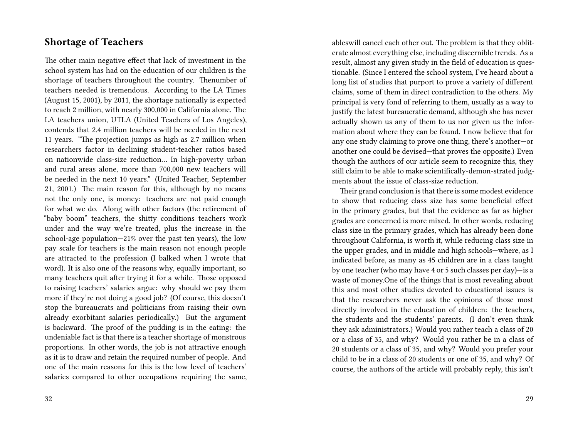## **Shortage of Teachers**

The other main negative effect that lack of investment in the school system has had on the education of our children is the shortage of teachers throughout the country. Thenumber of teachers needed is tremendous. According to the LA Times (August 15, 2001), by 2011, the shortage nationally is expected to reach 2 million, with nearly 300,000 in California alone. The LA teachers union, UTLA (United Teachers of Los Angeles), contends that 2.4 million teachers will be needed in the next 11 years. "The projection jumps as high as 2.7 million when researchers factor in declining student-teacher ratios based on nationwide class-size reduction… In high-poverty urban and rural areas alone, more than 700,000 new teachers will be needed in the next 10 years." (United Teacher, September 21, 2001.) The main reason for this, although by no means not the only one, is money: teachers are not paid enough for what we do. Along with other factors (the retirement of "baby boom" teachers, the shitty conditions teachers work under and the way we're treated, plus the increase in the school-age population—21% over the past ten years), the low pay scale for teachers is the main reason not enough people are attracted to the profession (I balked when I wrote that word). It is also one of the reasons why, equally important, so many teachers quit after trying it for a while. Those opposed to raising teachers' salaries argue: why should we pay them more if they're not doing a good job? (Of course, this doesn't stop the bureaucrats and politicians from raising their own already exorbitant salaries periodically.) But the argument is backward. The proof of the pudding is in the eating: the undeniable fact is that there is a teacher shortage of monstrous proportions. In other words, the job is not attractive enough as it is to draw and retain the required number of people. And one of the main reasons for this is the low level of teachers' salaries compared to other occupations requiring the same, ableswill cancel each other out. The problem is that they obliterate almost everything else, including discernible trends. As a result, almost any given study in the field of education is questionable. (Since I entered the school system, I've heard about a long list of studies that purport to prove a variety of different claims, some of them in direct contradiction to the others. My principal is very fond of referring to them, usually as a way to justify the latest bureaucratic demand, although she has never actually shown us any of them to us nor given us the information about where they can be found. I now believe that for any one study claiming to prove one thing, there's another—or another one could be devised—that proves the opposite.) Even though the authors of our article seem to recognize this, they still claim to be able to make scientifically-demon-strated judgments about the issue of class-size reduction.

Their grand conclusion is that there is some modest evidence to show that reducing class size has some beneficial effect in the primary grades, but that the evidence as far as higher grades are concerned is more mixed. In other words, reducing class size in the primary grades, which has already been done throughout California, is worth it, while reducing class size in the upper grades, and in middle and high schools—where, as I indicated before, as many as 45 children are in a class taught by one teacher (who may have 4 or 5 such classes per day)—is a waste of money.One of the things that is most revealing about this and most other studies devoted to educational issues is that the researchers never ask the opinions of those most directly involved in the education of children: the teachers, the students and the students' parents. (I don't even think they ask administrators.) Would you rather teach a class of 20 or a class of 35, and why? Would you rather be in a class of 20 students or a class of 35, and why? Would you prefer your child to be in a class of 20 students or one of 35, and why? Of course, the authors of the article will probably reply, this isn't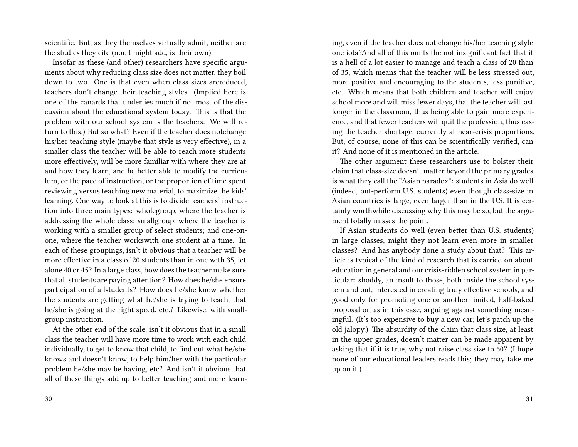scientific. But, as they themselves virtually admit, neither are the studies they cite (nor, I might add, is their own).

Insofar as these (and other) researchers have specific arguments about why reducing class size does not matter, they boil down to two. One is that even when class sizes arereduced, teachers don't change their teaching styles. (Implied here is one of the canards that underlies much if not most of the discussion about the educational system today. This is that the problem with our school system is the teachers. We will return to this.) But so what? Even if the teacher does notchange his/her teaching style (maybe that style is very effective), in a smaller class the teacher will be able to reach more students more effectively, will be more familiar with where they are at and how they learn, and be better able to modify the curriculum, or the pace of instruction, or the proportion of time spent reviewing versus teaching new material, to maximize the kids' learning. One way to look at this is to divide teachers' instruction into three main types: wholegroup, where the teacher is addressing the whole class; smallgroup, where the teacher is working with a smaller group of select students; and one-onone, where the teacher workswith one student at a time. In each of these groupings, isn't it obvious that a teacher will be more effective in a class of 20 students than in one with 35, let alone 40 or 45? In a large class, how does the teacher make sure that all students are paying attention? How does he/she ensure participation of allstudents? How does he/she know whether the students are getting what he/she is trying to teach, that he/she is going at the right speed, etc.? Likewise, with smallgroup instruction.

At the other end of the scale, isn't it obvious that in a small class the teacher will have more time to work with each child individually, to get to know that child, to find out what he/she knows and doesn't know, to help him/her with the particular problem he/she may be having, etc? And isn't it obvious that all of these things add up to better teaching and more learning, even if the teacher does not change his/her teaching style one iota?And all of this omits the not insignificant fact that it is a hell of a lot easier to manage and teach a class of 20 than of 35, which means that the teacher will be less stressed out, more positive and encouraging to the students, less punitive, etc. Which means that both children and teacher will enjoy school more and will miss fewer days, that the teacher will last longer in the classroom, thus being able to gain more experience, and that fewer teachers will quit the profession, thus easing the teacher shortage, currently at near-crisis proportions. But, of course, none of this can be scientifically verified, can it? And none of it is mentioned in the article.

The other argument these researchers use to bolster their claim that class-size doesn't matter beyond the primary grades is what they call the "Asian paradox": students in Asia do well (indeed, out-perform U.S. students) even though class-size in Asian countries is large, even larger than in the U.S. It is certainly worthwhile discussing why this may be so, but the argument totally misses the point.

If Asian students do well (even better than U.S. students) in large classes, might they not learn even more in smaller classes? And has anybody done a study about that? This article is typical of the kind of research that is carried on about education in general and our crisis-ridden school system in particular: shoddy, an insult to those, both inside the school system and out, interested in creating truly effective schools, and good only for promoting one or another limited, half-baked proposal or, as in this case, arguing against something meaningful. (It's too expensive to buy a new car; let's patch up the old jalopy.) The absurdity of the claim that class size, at least in the upper grades, doesn't matter can be made apparent by asking that if it is true, why not raise class size to 60? (I hope none of our educational leaders reads this; they may take me up on it.)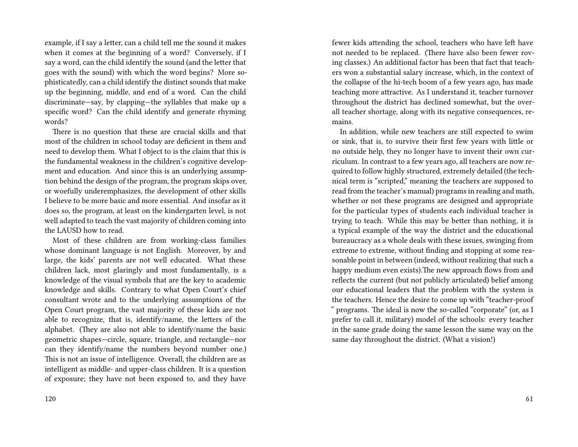example, if I say a letter, can a child tell me the sound it makes when it comes at the beginning of a word? Conversely, if I say a word, can the child identify the sound (and the letter that goes with the sound) with which the word begins? More sophisticatedly, can a child identify the distinct sounds that make up the beginning, middle, and end of a word. Can the child discriminate—say, by clapping—the syllables that make up a specific word? Can the child identify and generate rhyming words?

There is no question that these are crucial skills and that most of the children in school today are deficient in them and need to develop them. What I object to is the claim that this is the fundamental weakness in the children's cognitive development and education. And since this is an underlying assumption behind the design of the program, the program skips over, or woefully underemphasizes, the development of other skills I believe to be more basic and more essential. And insofar as it does so, the program, at least on the kindergarten level, is not well adapted to teach the vast majority of children coming into the LAUSD how to read.

Most of these children are from working-class families whose dominant language is not English. Moreover, by and large, the kids' parents are not well educated. What these children lack, most glaringly and most fundamentally, is a knowledge of the visual symbols that are the key to academic knowledge and skills. Contrary to what Open Court's chief consultant wrote and to the underlying assumptions of the Open Court program, the vast majority of these kids are not able to recognize, that is, identify/name, the letters of the alphabet. (They are also not able to identify/name the basic geometric shapes—circle, square, triangle, and rectangle—nor can they identify/name the numbers beyond number one.) This is not an issue of intelligence. Overall, the children are as intelligent as middle- and upper-class children. It is a question of exposure; they have not been exposed to, and they have

fewer kids attending the school, teachers who have left have not needed to be replaced. (There have also been fewer roving classes.) An additional factor has been that fact that teachers won a substantial salary increase, which, in the context of the collapse of the hi-tech boom of a few years ago, has made teaching more attractive. As I understand it, teacher turnover throughout the district has declined somewhat, but the overall teacher shortage, along with its negative consequences, remains.

In addition, while new teachers are still expected to swim or sink, that is, to survive their first few years with little or no outside help, they no longer have to invent their own curriculum. In contrast to a few years ago, all teachers are now required to follow highly structured, extremely detailed (the technical term is "scripted," meaning the teachers are supposed to read from the teacher's manual) programs in reading and math, whether or not these programs are designed and appropriate for the particular types of students each individual teacher is trying to teach. While this may be better than nothing, it is a typical example of the way the district and the educational bureaucracy as a whole deals with these issues, swinging from extreme to extreme, without finding and stopping at some reasonable point in between (indeed, without realizing that such a happy medium even exists).The new approach flows from and reflects the current (but not publicly articulated) belief among our educational leaders that the problem with the system is the teachers. Hence the desire to come up with "teacher-proof " programs. The ideal is now the so-called "corporate" (or, as I prefer to call it, military) model of the schools: every teacher in the same grade doing the same lesson the same way on the same day throughout the district. (What a vision!)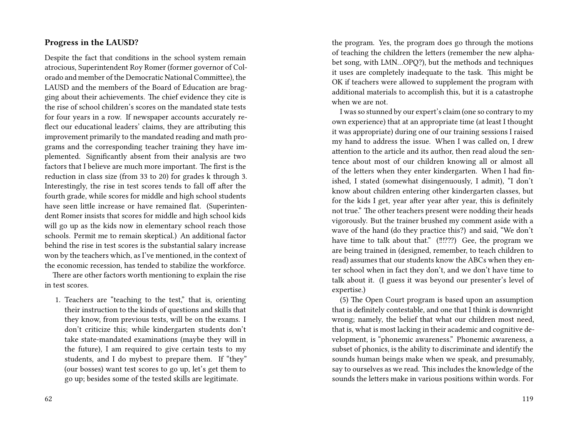#### **Progress in the LAUSD?**

Despite the fact that conditions in the school system remain atrocious, Superintendent Roy Romer (former governor of Colorado and member of the Democratic National Committee), the LAUSD and the members of the Board of Education are bragging about their achievements. The chief evidence they cite is the rise of school children's scores on the mandated state tests for four years in a row. If newspaper accounts accurately reflect our educational leaders' claims, they are attributing this improvement primarily to the mandated reading and math programs and the corresponding teacher training they have implemented. Significantly absent from their analysis are two factors that I believe are much more important. The first is the reduction in class size (from 33 to 20) for grades k through 3. Interestingly, the rise in test scores tends to fall off after the fourth grade, while scores for middle and high school students have seen little increase or have remained flat. (Superintendent Romer insists that scores for middle and high school kids will go up as the kids now in elementary school reach those schools. Permit me to remain skeptical.) An additional factor behind the rise in test scores is the substantial salary increase won by the teachers which, as I've mentioned, in the context of the economic recession, has tended to stabilize the workforce.

There are other factors worth mentioning to explain the rise in test scores.

1. Teachers are "teaching to the test," that is, orienting their instruction to the kinds of questions and skills that they know, from previous tests, will be on the exams. I don't criticize this; while kindergarten students don't take state-mandated examinations (maybe they will in the future), I am required to give certain tests to my students, and I do mybest to prepare them. If "they" (our bosses) want test scores to go up, let's get them to go up; besides some of the tested skills are legitimate.

the program. Yes, the program does go through the motions of teaching the children the letters (remember the new alphabet song, with LMN…OPQ?), but the methods and techniques it uses are completely inadequate to the task. This might be OK if teachers were allowed to supplement the program with additional materials to accomplish this, but it is a catastrophe when we are not.

I was so stunned by our expert's claim (one so contrary to my own experience) that at an appropriate time (at least I thought it was appropriate) during one of our training sessions I raised my hand to address the issue. When I was called on, I drew attention to the article and its author, then read aloud the sentence about most of our children knowing all or almost all of the letters when they enter kindergarten. When I had finished, I stated (somewhat disingenuously, I admit), "I don't know about children entering other kindergarten classes, but for the kids I get, year after year after year, this is definitely not true." The other teachers present were nodding their heads vigorously. But the trainer brushed my comment aside with a wave of the hand (do they practice this?) and said, "We don't have time to talk about that." (!!!???) Gee, the program we are being trained in (designed, remember, to teach children to read) assumes that our students know the ABCs when they enter school when in fact they don't, and we don't have time to talk about it. (I guess it was beyond our presenter's level of expertise.)

(5) The Open Court program is based upon an assumption that is definitely contestable, and one that I think is downright wrong; namely, the belief that what our children most need, that is, what is most lacking in their academic and cognitive development, is "phonemic awareness." Phonemic awareness, a subset of phonics, is the ability to discriminate and identify the sounds human beings make when we speak, and presumably, say to ourselves as we read. This includes the knowledge of the sounds the letters make in various positions within words. For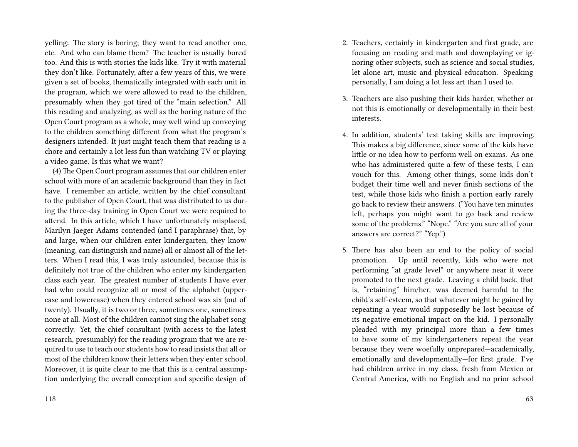yelling: The story is boring; they want to read another one, etc. And who can blame them? The teacher is usually bored too. And this is with stories the kids like. Try it with material they don't like. Fortunately, after a few years of this, we were given a set of books, thematically integrated with each unit in the program, which we were allowed to read to the children, presumably when they got tired of the "main selection." All this reading and analyzing, as well as the boring nature of the Open Court program as a whole, may well wind up conveying to the children something different from what the program's designers intended. It just might teach them that reading is a chore and certainly a lot less fun than watching TV or playing a video game. Is this what we want?

(4) The Open Court program assumes that our children enter school with more of an academic background than they in fact have. I remember an article, written by the chief consultant to the publisher of Open Court, that was distributed to us during the three-day training in Open Court we were required to attend. In this article, which I have unfortunately misplaced, Marilyn Jaeger Adams contended (and I paraphrase) that, by and large, when our children enter kindergarten, they know (meaning, can distinguish and name) all or almost all of the letters. When I read this, I was truly astounded, because this is definitely not true of the children who enter my kindergarten class each year. The greatest number of students I have ever had who could recognize all or most of the alphabet (uppercase and lowercase) when they entered school was six (out of twenty). Usually, it is two or three, sometimes one, sometimes none at all. Most of the children cannot sing the alphabet song correctly. Yet, the chief consultant (with access to the latest research, presumably) for the reading program that we are required to use to teach our students how to read insists that all or most of the children know their letters when they enter school. Moreover, it is quite clear to me that this is a central assumption underlying the overall conception and specific design of

- 2. Teachers, certainly in kindergarten and first grade, are focusing on reading and math and downplaying or ignoring other subjects, such as science and social studies, let alone art, music and physical education. Speaking personally, I am doing a lot less art than I used to.
- 3. Teachers are also pushing their kids harder, whether or not this is emotionally or developmentally in their best interests.
- 4. In addition, students' test taking skills are improving. This makes a big difference, since some of the kids have little or no idea how to perform well on exams. As one who has administered quite a few of these tests, I can vouch for this. Among other things, some kids don't budget their time well and never finish sections of the test, while those kids who finish a portion early rarely go back to review their answers. ("You have ten minutes left, perhaps you might want to go back and review some of the problems." "Nope." "Are you sure all of your answers are correct?" "Yep.")
- 5. There has also been an end to the policy of social promotion. Up until recently, kids who were not performing "at grade level" or anywhere near it were promoted to the next grade. Leaving a child back, that is, "retaining" him/her, was deemed harmful to the child's self-esteem, so that whatever might be gained by repeating a year would supposedly be lost because of its negative emotional impact on the kid. I personally pleaded with my principal more than a few times to have some of my kindergarteners repeat the year because they were woefully unprepared—academically, emotionally and developmentally—for first grade. I've had children arrive in my class, fresh from Mexico or Central America, with no English and no prior school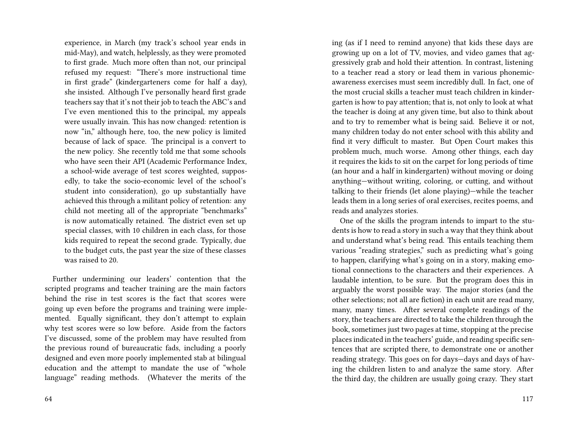experience, in March (my track's school year ends in mid-May), and watch, helplessly, as they were promoted to first grade. Much more often than not, our principal refused my request: "There's more instructional time in first grade" (kindergarteners come for half a day), she insisted. Although I've personally heard first grade teachers say that it's not their job to teach the ABC's and I've even mentioned this to the principal, my appeals were usually invain. This has now changed: retention is now "in," although here, too, the new policy is limited because of lack of space. The principal is a convert to the new policy. She recently told me that some schools who have seen their API (Academic Performance Index, a school-wide average of test scores weighted, supposedly, to take the socio-economic level of the school's student into consideration), go up substantially have achieved this through a militant policy of retention: any child not meeting all of the appropriate "benchmarks" is now automatically retained. The district even set up special classes, with 10 children in each class, for those kids required to repeat the second grade. Typically, due to the budget cuts, the past year the size of these classes was raised to 20.

Further undermining our leaders' contention that the scripted programs and teacher training are the main factors behind the rise in test scores is the fact that scores were going up even before the programs and training were implemented. Equally significant, they don't attempt to explain why test scores were so low before. Aside from the factors I've discussed, some of the problem may have resulted from the previous round of bureaucratic fads, including a poorly designed and even more poorly implemented stab at bilingual education and the attempt to mandate the use of "whole language" reading methods. (Whatever the merits of the

ing (as if I need to remind anyone) that kids these days are growing up on a lot of TV, movies, and video games that aggressively grab and hold their attention. In contrast, listening to a teacher read a story or lead them in various phonemicawareness exercises must seem incredibly dull. In fact, one of the most crucial skills a teacher must teach children in kindergarten is how to pay attention; that is, not only to look at what the teacher is doing at any given time, but also to think about and to try to remember what is being said. Believe it or not, many children today do not enter school with this ability and find it very difficult to master. But Open Court makes this problem much, much worse. Among other things, each day it requires the kids to sit on the carpet for long periods of time (an hour and a half in kindergarten) without moving or doing anything—without writing, coloring, or cutting, and without talking to their friends (let alone playing)—while the teacher leads them in a long series of oral exercises, recites poems, and reads and analyzes stories.

One of the skills the program intends to impart to the students is how to read a story in such a way that they think about and understand what's being read. This entails teaching them various "reading strategies," such as predicting what's going to happen, clarifying what's going on in a story, making emotional connections to the characters and their experiences. A laudable intention, to be sure. But the program does this in arguably the worst possible way. The major stories (and the other selections; not all are fiction) in each unit are read many, many, many times. After several complete readings of the story, the teachers are directed to take the children through the book, sometimes just two pages at time, stopping at the precise places indicated in the teachers' guide, and reading specific sentences that are scripted there, to demonstrate one or another reading strategy. This goes on for days—days and days of having the children listen to and analyze the same story. After the third day, the children are usually going crazy. They start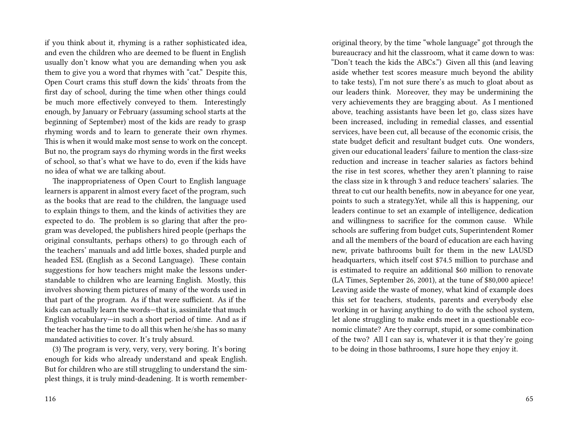if you think about it, rhyming is a rather sophisticated idea, and even the children who are deemed to be fluent in English usually don't know what you are demanding when you ask them to give you a word that rhymes with "cat." Despite this, Open Court crams this stuff down the kids' throats from the first day of school, during the time when other things could be much more effectively conveyed to them. Interestingly enough, by January or February (assuming school starts at the beginning of September) most of the kids are ready to grasp rhyming words and to learn to generate their own rhymes. This is when it would make most sense to work on the concept. But no, the program says do rhyming words in the first weeks of school, so that's what we have to do, even if the kids have no idea of what we are talking about.

The inappropriateness of Open Court to English language learners is apparent in almost every facet of the program, such as the books that are read to the children, the language used to explain things to them, and the kinds of activities they are expected to do. The problem is so glaring that after the program was developed, the publishers hired people (perhaps the original consultants, perhaps others) to go through each of the teachers' manuals and add little boxes, shaded purple and headed ESL (English as a Second Language). These contain suggestions for how teachers might make the lessons understandable to children who are learning English. Mostly, this involves showing them pictures of many of the words used in that part of the program. As if that were sufficient. As if the kids can actually learn the words—that is, assimilate that much English vocabulary—in such a short period of time. And as if the teacher has the time to do all this when he/she has so many mandated activities to cover. It's truly absurd.

(3) The program is very, very, very, very boring. It's boring enough for kids who already understand and speak English. But for children who are still struggling to understand the simplest things, it is truly mind-deadening. It is worth rememberoriginal theory, by the time "whole language" got through the bureaucracy and hit the classroom, what it came down to was: "Don't teach the kids the ABCs.") Given all this (and leaving aside whether test scores measure much beyond the ability to take tests), I'm not sure there's as much to gloat about as our leaders think. Moreover, they may be undermining the very achievements they are bragging about. As I mentioned above, teaching assistants have been let go, class sizes have been increased, including in remedial classes, and essential services, have been cut, all because of the economic crisis, the state budget deficit and resultant budget cuts. One wonders, given our educational leaders' failure to mention the class-size reduction and increase in teacher salaries as factors behind the rise in test scores, whether they aren't planning to raise the class size in k through 3 and reduce teachers' salaries. The threat to cut our health benefits, now in abeyance for one year, points to such a strategy.Yet, while all this is happening, our leaders continue to set an example of intelligence, dedication and willingness to sacrifice for the common cause. While schools are suffering from budget cuts, Superintendent Romer and all the members of the board of education are each having new, private bathrooms built for them in the new LAUSD headquarters, which itself cost \$74.5 million to purchase and is estimated to require an additional \$60 million to renovate (LA Times, September 26, 2001), at the tune of \$80,000 apiece! Leaving aside the waste of money, what kind of example does this set for teachers, students, parents and everybody else working in or having anything to do with the school system, let alone struggling to make ends meet in a questionable economic climate? Are they corrupt, stupid, or some combination of the two? All I can say is, whatever it is that they're going to be doing in those bathrooms, I sure hope they enjoy it.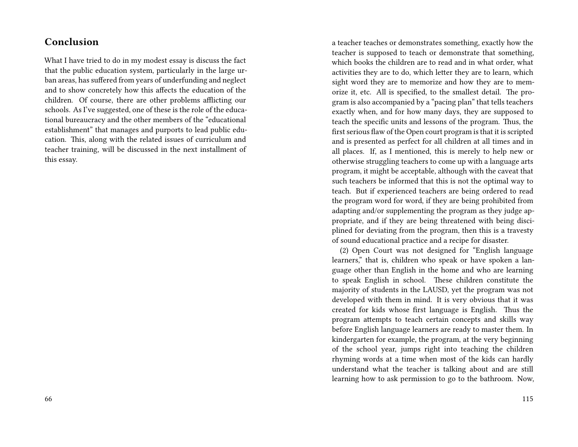## **Conclusion**

What I have tried to do in my modest essay is discuss the fact that the public education system, particularly in the large urban areas, has suffered from years of underfunding and neglect and to show concretely how this affects the education of the children. Of course, there are other problems afflicting our schools. As I've suggested, one of these is the role of the educational bureaucracy and the other members of the "educational establishment" that manages and purports to lead public education. This, along with the related issues of curriculum and teacher training, will be discussed in the next installment of this essay.

a teacher teaches or demonstrates something, exactly how the teacher is supposed to teach or demonstrate that something, which books the children are to read and in what order, what activities they are to do, which letter they are to learn, which sight word they are to memorize and how they are to memorize it, etc. All is specified, to the smallest detail. The program is also accompanied by a "pacing plan" that tells teachers exactly when, and for how many days, they are supposed to teach the specific units and lessons of the program. Thus, the first serious flaw of the Open court program is that it is scripted and is presented as perfect for all children at all times and in all places. If, as I mentioned, this is merely to help new or otherwise struggling teachers to come up with a language arts program, it might be acceptable, although with the caveat that such teachers be informed that this is not the optimal way to teach. But if experienced teachers are being ordered to read the program word for word, if they are being prohibited from adapting and/or supplementing the program as they judge appropriate, and if they are being threatened with being disciplined for deviating from the program, then this is a travesty of sound educational practice and a recipe for disaster.

(2) Open Court was not designed for "English language learners," that is, children who speak or have spoken a language other than English in the home and who are learning to speak English in school. These children constitute the majority of students in the LAUSD, yet the program was not developed with them in mind. It is very obvious that it was created for kids whose first language is English. Thus the program attempts to teach certain concepts and skills way before English language learners are ready to master them. In kindergarten for example, the program, at the very beginning of the school year, jumps right into teaching the children rhyming words at a time when most of the kids can hardly understand what the teacher is talking about and are still learning how to ask permission to go to the bathroom. Now,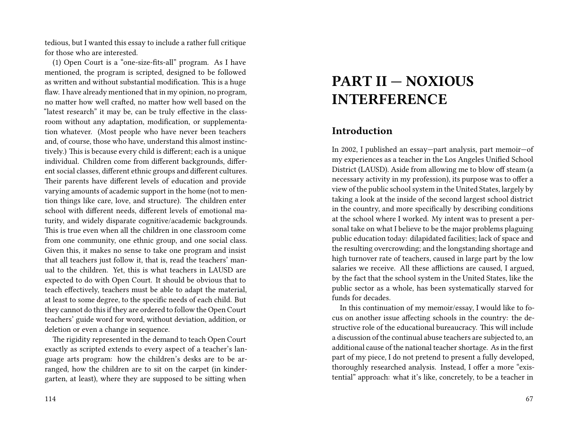tedious, but I wanted this essay to include a rather full critique for those who are interested.

(1) Open Court is a "one-size-fits-all" program. As I have mentioned, the program is scripted, designed to be followed as written and without substantial modification. This is a huge flaw. I have already mentioned that in my opinion, no program, no matter how well crafted, no matter how well based on the "latest research" it may be, can be truly effective in the classroom without any adaptation, modification, or supplementation whatever. (Most people who have never been teachers and, of course, those who have, understand this almost instinctively.) This is because every child is different; each is a unique individual. Children come from different backgrounds, different social classes, different ethnic groups and different cultures. Their parents have different levels of education and provide varying amounts of academic support in the home (not to mention things like care, love, and structure). The children enter school with different needs, different levels of emotional maturity, and widely disparate cognitive/academic backgrounds. This is true even when all the children in one classroom come from one community, one ethnic group, and one social class. Given this, it makes no sense to take one program and insist that all teachers just follow it, that is, read the teachers' manual to the children. Yet, this is what teachers in LAUSD are expected to do with Open Court. It should be obvious that to teach effectively, teachers must be able to adapt the material, at least to some degree, to the specific needs of each child. But they cannot do this if they are ordered to follow the Open Court teachers' guide word for word, without deviation, addition, or deletion or even a change in sequence.

The rigidity represented in the demand to teach Open Court exactly as scripted extends to every aspect of a teacher's language arts program: how the children's desks are to be arranged, how the children are to sit on the carpet (in kindergarten, at least), where they are supposed to be sitting when

# **PART II — NOXIOUS INTERFERENCE**

#### **Introduction**

In 2002, I published an essay—part analysis, part memoir—of my experiences as a teacher in the Los Angeles Unified School District (LAUSD). Aside from allowing me to blow off steam (a necessary activity in my profession), its purpose was to offer a view of the public school system in the United States, largely by taking a look at the inside of the second largest school district in the country, and more specifically by describing conditions at the school where I worked. My intent was to present a personal take on what I believe to be the major problems plaguing public education today: dilapidated facilities; lack of space and the resulting overcrowding; and the longstanding shortage and high turnover rate of teachers, caused in large part by the low salaries we receive. All these afflictions are caused, I argued, by the fact that the school system in the United States, like the public sector as a whole, has been systematically starved for funds for decades.

In this continuation of my memoir/essay, I would like to focus on another issue affecting schools in the country: the destructive role of the educational bureaucracy. This will include a discussion of the continual abuse teachers are subjected to, an additional cause of the national teacher shortage. As in the first part of my piece, I do not pretend to present a fully developed, thoroughly researched analysis. Instead, I offer a more "existential" approach: what it's like, concretely, to be a teacher in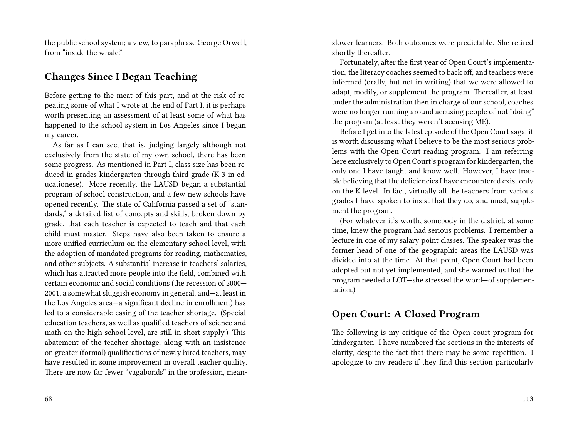the public school system; a view, to paraphrase George Orwell, from "inside the whale."

## **Changes Since I Began Teaching**

Before getting to the meat of this part, and at the risk of repeating some of what I wrote at the end of Part I, it is perhaps worth presenting an assessment of at least some of what has happened to the school system in Los Angeles since I began my career.

As far as I can see, that is, judging largely although not exclusively from the state of my own school, there has been some progress. As mentioned in Part I, class size has been reduced in grades kindergarten through third grade (K-3 in educationese). More recently, the LAUSD began a substantial program of school construction, and a few new schools have opened recently. The state of California passed a set of "standards," a detailed list of concepts and skills, broken down by grade, that each teacher is expected to teach and that each child must master. Steps have also been taken to ensure a more unified curriculum on the elementary school level, with the adoption of mandated programs for reading, mathematics, and other subjects. A substantial increase in teachers' salaries, which has attracted more people into the field, combined with certain economic and social conditions (the recession of 2000— 2001, a somewhat sluggish economy in general, and—at least in the Los Angeles area—a significant decline in enrollment) has led to a considerable easing of the teacher shortage. (Special education teachers, as well as qualified teachers of science and math on the high school level, are still in short supply.) This abatement of the teacher shortage, along with an insistence on greater (formal) qualifications of newly hired teachers, may have resulted in some improvement in overall teacher quality. There are now far fewer "vagabonds" in the profession, mean-

68

slower learners. Both outcomes were predictable. She retired shortly thereafter.

Fortunately, after the first year of Open Court's implementation, the literacy coaches seemed to back off, and teachers were informed (orally, but not in writing) that we were allowed to adapt, modify, or supplement the program. Thereafter, at least under the administration then in charge of our school, coaches were no longer running around accusing people of not "doing" the program (at least they weren't accusing ME).

Before I get into the latest episode of the Open Court saga, it is worth discussing what I believe to be the most serious problems with the Open Court reading program. I am referring here exclusively to Open Court's program for kindergarten, the only one I have taught and know well. However, I have trouble believing that the deficiencies I have encountered exist only on the K level. In fact, virtually all the teachers from various grades I have spoken to insist that they do, and must, supplement the program.

(For whatever it's worth, somebody in the district, at some time, knew the program had serious problems. I remember a lecture in one of my salary point classes. The speaker was the former head of one of the geographic areas the LAUSD was divided into at the time. At that point, Open Court had been adopted but not yet implemented, and she warned us that the program needed a LOT—she stressed the word—of supplementation.)

## **Open Court: A Closed Program**

The following is my critique of the Open court program for kindergarten. I have numbered the sections in the interests of clarity, despite the fact that there may be some repetition. I apologize to my readers if they find this section particularly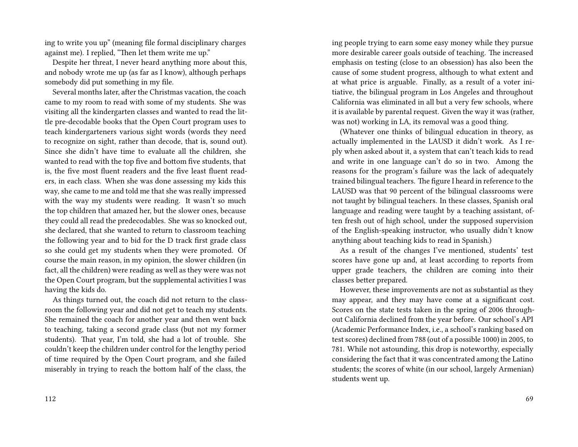ing to write you up" (meaning file formal disciplinary charges against me). I replied, "Then let them write me up."

Despite her threat, I never heard anything more about this, and nobody wrote me up (as far as I know), although perhaps somebody did put something in my file.

Several months later, after the Christmas vacation, the coach came to my room to read with some of my students. She was visiting all the kindergarten classes and wanted to read the little pre-decodable books that the Open Court program uses to teach kindergarteners various sight words (words they need to recognize on sight, rather than decode, that is, sound out). Since she didn't have time to evaluate all the children, she wanted to read with the top five and bottom five students, that is, the five most fluent readers and the five least fluent readers, in each class. When she was done assessing my kids this way, she came to me and told me that she was really impressed with the way my students were reading. It wasn't so much the top children that amazed her, but the slower ones, because they could all read the predecodables. She was so knocked out, she declared, that she wanted to return to classroom teaching the following year and to bid for the D track first grade class so she could get my students when they were promoted. Of course the main reason, in my opinion, the slower children (in fact, all the children) were reading as well as they were was not the Open Court program, but the supplemental activities I was having the kids do.

As things turned out, the coach did not return to the classroom the following year and did not get to teach my students. She remained the coach for another year and then went back to teaching, taking a second grade class (but not my former students). That year, I'm told, she had a lot of trouble. She couldn't keep the children under control for the lengthy period of time required by the Open Court program, and she failed miserably in trying to reach the bottom half of the class, the

ing people trying to earn some easy money while they pursue more desirable career goals outside of teaching. The increased emphasis on testing (close to an obsession) has also been the cause of some student progress, although to what extent and at what price is arguable. Finally, as a result of a voter initiative, the bilingual program in Los Angeles and throughout California was eliminated in all but a very few schools, where it is available by parental request. Given the way it was (rather, was not) working in LA, its removal was a good thing.

(Whatever one thinks of bilingual education in theory, as actually implemented in the LAUSD it didn't work. As I reply when asked about it, a system that can't teach kids to read and write in one language can't do so in two. Among the reasons for the program's failure was the lack of adequately trained bilingual teachers. The figure I heard in reference to the LAUSD was that 90 percent of the bilingual classrooms were not taught by bilingual teachers. In these classes, Spanish oral language and reading were taught by a teaching assistant, often fresh out of high school, under the supposed supervision of the English-speaking instructor, who usually didn't know anything about teaching kids to read in Spanish.)

As a result of the changes I've mentioned, students' test scores have gone up and, at least according to reports from upper grade teachers, the children are coming into their classes better prepared.

However, these improvements are not as substantial as they may appear, and they may have come at a significant cost. Scores on the state tests taken in the spring of 2006 throughout California declined from the year before. Our school's API (Academic Performance Index, i.e., a school's ranking based on test scores) declined from 788 (out of a possible 1000) in 2005, to 781. While not astounding, this drop is noteworthy, especially considering the fact that it was concentrated among the Latino students; the scores of white (in our school, largely Armenian) students went up.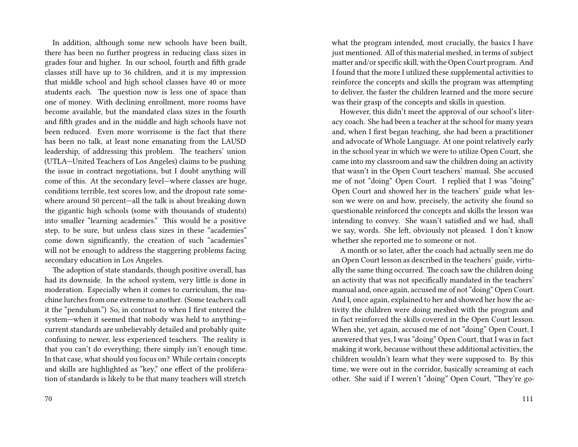In addition, although some new schools have been built, there has been no further progress in reducing class sizes in grades four and higher. In our school, fourth and fifth grade classes still have up to 36 children, and it is my impression that middle school and high school classes have 40 or more students each. The question now is less one of space than one of money. With declining enrollment, more rooms have become available, but the mandated class sizes in the fourth and fifth grades and in the middle and high schools have not been reduced. Even more worrisome is the fact that there has been no talk, at least none emanating from the LAUSD leadership, of addressing this problem. The teachers' union (UTLA—United Teachers of Los Angeles) claims to be pushing the issue in contract negotiations, but I doubt anything will come of this. At the secondary level—where classes are huge, conditions terrible, test scores low, and the dropout rate somewhere around 50 percent—all the talk is about breaking down the gigantic high schools (some with thousands of students) into smaller "learning academies." This would be a positive step, to be sure, but unless class sizes in these "academies" come down significantly, the creation of such "academies" will not be enough to address the staggering problems facing secondary education in Los Angeles.

The adoption of state standards, though positive overall, has had its downside. In the school system, very little is done in moderation. Especially when it comes to curriculum, the machine lurches from one extreme to another. (Some teachers call it the "pendulum.") So, in contrast to when I first entered the system—when it seemed that nobody was held to anything current standards are unbelievably detailed and probably quite confusing to newer, less experienced teachers. The reality is that you can't do everything; there simply isn't enough time. In that case, what should you focus on? While certain concepts and skills are highlighted as "key," one effect of the proliferation of standards is likely to be that many teachers will stretch

what the program intended, most crucially, the basics I have just mentioned. All of this material meshed, in terms of subject matter and/or specific skill, with the Open Court program. And I found that the more I utilized these supplemental activities to reinforce the concepts and skills the program was attempting to deliver, the faster the children learned and the more secure was their grasp of the concepts and skills in question.

However, this didn't meet the approval of our school's literacy coach. She had been a teacher at the school for many years and, when I first began teaching, she had been a practitioner and advocate of Whole Language. At one point relatively early in the school year in which we were to utilize Open Court, she came into my classroom and saw the children doing an activity that wasn't in the Open Court teachers' manual. She accused me of not "doing" Open Court. I replied that I was "doing" Open Court and showed her in the teachers' guide what lesson we were on and how, precisely, the activity she found so questionable reinforced the concepts and skills the lesson was intending to convey. She wasn't satisfied and we had, shall we say, words. She left, obviously not pleased. I don't know whether she reported me to someone or not.

A month or so later, after the coach had actually seen me do an Open Court lesson as described in the teachers' guide, virtually the same thing occurred. The coach saw the children doing an activity that was not specifically mandated in the teachers' manual and, once again, accused me of not "doing" Open Court. And I, once again, explained to her and showed her how the activity the children were doing meshed with the program and in fact reinforced the skills covered in the Open Court lesson. When she, yet again, accused me of not "doing" Open Court, I answered that yes, I was "doing" Open Court, that I was in fact making it work, because without these additional activities, the children wouldn't learn what they were supposed to. By this time, we were out in the corridor, basically screaming at each other. She said if I weren't "doing" Open Court, "They're go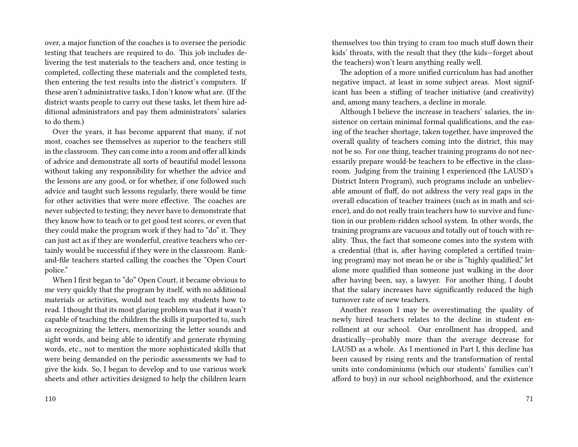over, a major function of the coaches is to oversee the periodic testing that teachers are required to do. This job includes delivering the test materials to the teachers and, once testing is completed, collecting these materials and the completed tests, then entering the test results into the district's computers. If these aren't administrative tasks, I don't know what are. (If the district wants people to carry out these tasks, let them hire additional administrators and pay them administrators' salaries to do them.)

Over the years, it has become apparent that many, if not most, coaches see themselves as superior to the teachers still in the classroom. They can come into a room and offer all kinds of advice and demonstrate all sorts of beautiful model lessons without taking any responsibility for whether the advice and the lessons are any good, or for whether, if one followed such advice and taught such lessons regularly, there would be time for other activities that were more effective. The coaches are never subjected to testing; they never have to demonstrate that they know how to teach or to get good test scores, or even that they could make the program work if they had to "do" it. They can just act as if they are wonderful, creative teachers who certainly would be successful if they were in the classroom. Rankand-file teachers started calling the coaches the "Open Court police."

When I first began to "do" Open Court, it became obvious to me very quickly that the program by itself, with no additional materials or activities, would not teach my students how to read. I thought that its most glaring problem was that it wasn't capable of teaching the children the skills it purported to, such as recognizing the letters, memorizing the letter sounds and sight words, and being able to identify and generate rhyming words, etc., not to mention the more sophisticated skills that were being demanded on the periodic assessments we had to give the kids. So, I began to develop and to use various work sheets and other activities designed to help the children learn

themselves too thin trying to cram too much stuff down their kids' throats, with the result that they (the kids—forget about the teachers) won't learn anything really well.

The adoption of a more unified curriculum has had another negative impact, at least in some subject areas. Most significant has been a stifling of teacher initiative (and creativity) and, among many teachers, a decline in morale.

Although I believe the increase in teachers' salaries, the insistence on certain minimal formal qualifications, and the easing of the teacher shortage, taken together, have improved the overall quality of teachers coming into the district, this may not be so. For one thing, teacher training programs do not necessarily prepare would-be teachers to be effective in the classroom. Judging from the training I experienced (the LAUSD's District Intern Program), such programs include an unbelievable amount of fluff, do not address the very real gaps in the overall education of teacher trainees (such as in math and science), and do not really train teachers how to survive and function in our problem-ridden school system. In other words, the training programs are vacuous and totally out of touch with reality. Thus, the fact that someone comes into the system with a credential (that is, after having completed a certified training program) may not mean he or she is "highly qualified," let alone more qualified than someone just walking in the door after having been, say, a lawyer. For another thing, I doubt that the salary increases have significantly reduced the high turnover rate of new teachers.

Another reason I may be overestimating the quality of newly hired teachers relates to the decline in student enrollment at our school. Our enrollment has dropped, and drastically—probably more than the average decrease for LAUSD as a whole. As I mentioned in Part I, this decline has been caused by rising rents and the transformation of rental units into condominiums (which our students' families can't afford to buy) in our school neighborhood, and the existence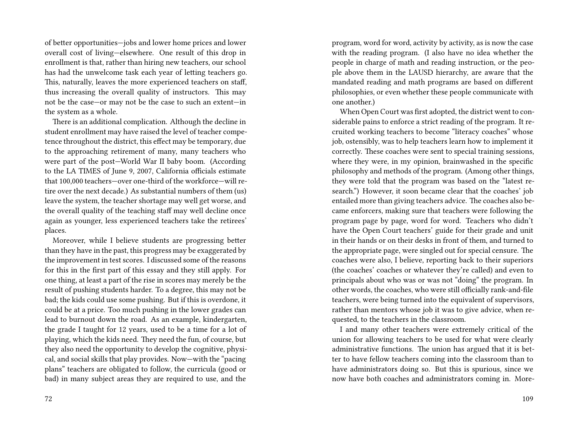of better opportunities—jobs and lower home prices and lower overall cost of living—elsewhere. One result of this drop in enrollment is that, rather than hiring new teachers, our school has had the unwelcome task each year of letting teachers go. This, naturally, leaves the more experienced teachers on staff, thus increasing the overall quality of instructors. This may not be the case—or may not be the case to such an extent—in the system as a whole.

There is an additional complication. Although the decline in student enrollment may have raised the level of teacher competence throughout the district, this effect may be temporary, due to the approaching retirement of many, many teachers who were part of the post—World War II baby boom. (According to the LA TIMES of June 9, 2007, California officials estimate that 100,000 teachers—over one-third of the workforce—will retire over the next decade.) As substantial numbers of them (us) leave the system, the teacher shortage may well get worse, and the overall quality of the teaching staff may well decline once again as younger, less experienced teachers take the retirees' places.

Moreover, while I believe students are progressing better than they have in the past, this progress may be exaggerated by the improvement in test scores. I discussed some of the reasons for this in the first part of this essay and they still apply. For one thing, at least a part of the rise in scores may merely be the result of pushing students harder. To a degree, this may not be bad; the kids could use some pushing. But if this is overdone, it could be at a price. Too much pushing in the lower grades can lead to burnout down the road. As an example, kindergarten, the grade I taught for 12 years, used to be a time for a lot of playing, which the kids need. They need the fun, of course, but they also need the opportunity to develop the cognitive, physical, and social skills that play provides. Now—with the "pacing plans" teachers are obligated to follow, the curricula (good or bad) in many subject areas they are required to use, and the

program, word for word, activity by activity, as is now the case with the reading program. (I also have no idea whether the people in charge of math and reading instruction, or the people above them in the LAUSD hierarchy, are aware that the mandated reading and math programs are based on different philosophies, or even whether these people communicate with one another.)

When Open Court was first adopted, the district went to considerable pains to enforce a strict reading of the program. It recruited working teachers to become "literacy coaches" whose job, ostensibly, was to help teachers learn how to implement it correctly. These coaches were sent to special training sessions, where they were, in my opinion, brainwashed in the specific philosophy and methods of the program. (Among other things, they were told that the program was based on the "latest research.") However, it soon became clear that the coaches' job entailed more than giving teachers advice. The coaches also became enforcers, making sure that teachers were following the program page by page, word for word. Teachers who didn't have the Open Court teachers' guide for their grade and unit in their hands or on their desks in front of them, and turned to the appropriate page, were singled out for special censure. The coaches were also, I believe, reporting back to their superiors (the coaches' coaches or whatever they're called) and even to principals about who was or was not "doing" the program. In other words, the coaches, who were still officially rank-and-file teachers, were being turned into the equivalent of supervisors, rather than mentors whose job it was to give advice, when requested, to the teachers in the classroom.

I and many other teachers were extremely critical of the union for allowing teachers to be used for what were clearly administrative functions. The union has argued that it is better to have fellow teachers coming into the classroom than to have administrators doing so. But this is spurious, since we now have both coaches and administrators coming in. More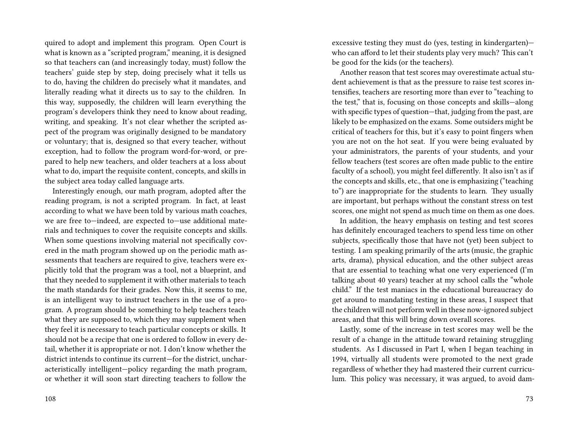quired to adopt and implement this program. Open Court is what is known as a "scripted program," meaning, it is designed so that teachers can (and increasingly today, must) follow the teachers' guide step by step, doing precisely what it tells us to do, having the children do precisely what it mandates, and literally reading what it directs us to say to the children. In this way, supposedly, the children will learn everything the program's developers think they need to know about reading, writing, and speaking. It's not clear whether the scripted aspect of the program was originally designed to be mandatory or voluntary; that is, designed so that every teacher, without exception, had to follow the program word-for-word, or prepared to help new teachers, and older teachers at a loss about what to do, impart the requisite content, concepts, and skills in the subject area today called language arts.

Interestingly enough, our math program, adopted after the reading program, is not a scripted program. In fact, at least according to what we have been told by various math coaches, we are free to—indeed, are expected to—use additional materials and techniques to cover the requisite concepts and skills. When some questions involving material not specifically covered in the math program showed up on the periodic math assessments that teachers are required to give, teachers were explicitly told that the program was a tool, not a blueprint, and that they needed to supplement it with other materials to teach the math standards for their grades. Now this, it seems to me, is an intelligent way to instruct teachers in the use of a program. A program should be something to help teachers teach what they are supposed to, which they may supplement when they feel it is necessary to teach particular concepts or skills. It should not be a recipe that one is ordered to follow in every detail, whether it is appropriate or not. I don't know whether the district intends to continue its current—for the district, uncharacteristically intelligent—policy regarding the math program, or whether it will soon start directing teachers to follow the

excessive testing they must do (yes, testing in kindergarten) who can afford to let their students play very much? This can't be good for the kids (or the teachers).

Another reason that test scores may overestimate actual student achievement is that as the pressure to raise test scores intensifies, teachers are resorting more than ever to "teaching to the test," that is, focusing on those concepts and skills—along with specific types of question—that, judging from the past, are likely to be emphasized on the exams. Some outsiders might be critical of teachers for this, but it's easy to point fingers when you are not on the hot seat. If you were being evaluated by your administrators, the parents of your students, and your fellow teachers (test scores are often made public to the entire faculty of a school), you might feel differently. It also isn't as if the concepts and skills, etc., that one is emphasizing ("teaching to") are inappropriate for the students to learn. They usually are important, but perhaps without the constant stress on test scores, one might not spend as much time on them as one does.

In addition, the heavy emphasis on testing and test scores has definitely encouraged teachers to spend less time on other subjects, specifically those that have not (yet) been subject to testing. I am speaking primarily of the arts (music, the graphic arts, drama), physical education, and the other subject areas that are essential to teaching what one very experienced (I'm talking about 40 years) teacher at my school calls the "whole child." If the test maniacs in the educational bureaucracy do get around to mandating testing in these areas, I suspect that the children will not perform well in these now-ignored subject areas, and that this will bring down overall scores.

Lastly, some of the increase in test scores may well be the result of a change in the attitude toward retaining struggling students. As I discussed in Part I, when I began teaching in 1994, virtually all students were promoted to the next grade regardless of whether they had mastered their current curriculum. This policy was necessary, it was argued, to avoid dam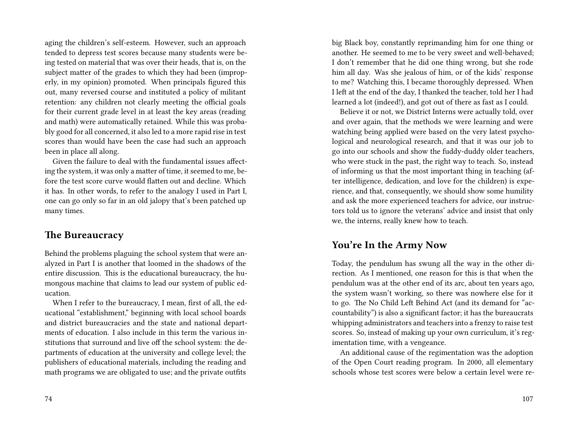aging the children's self-esteem. However, such an approach tended to depress test scores because many students were being tested on material that was over their heads, that is, on the subject matter of the grades to which they had been (improperly, in my opinion) promoted. When principals figured this out, many reversed course and instituted a policy of militant retention: any children not clearly meeting the official goals for their current grade level in at least the key areas (reading and math) were automatically retained. While this was probably good for all concerned, it also led to a more rapid rise in test scores than would have been the case had such an approach been in place all along.

Given the failure to deal with the fundamental issues affecting the system, it was only a matter of time, it seemed to me, before the test score curve would flatten out and decline. Which it has. In other words, to refer to the analogy I used in Part I, one can go only so far in an old jalopy that's been patched up many times.

## **The Bureaucracy**

Behind the problems plaguing the school system that were analyzed in Part I is another that loomed in the shadows of the entire discussion. This is the educational bureaucracy, the humongous machine that claims to lead our system of public education.

When I refer to the bureaucracy, I mean, first of all, the educational "establishment," beginning with local school boards and district bureaucracies and the state and national departments of education. I also include in this term the various institutions that surround and live off the school system: the departments of education at the university and college level; the publishers of educational materials, including the reading and math programs we are obligated to use; and the private outfits

big Black boy, constantly reprimanding him for one thing or another. He seemed to me to be very sweet and well-behaved; I don't remember that he did one thing wrong, but she rode him all day. Was she jealous of him, or of the kids' response to me? Watching this, I became thoroughly depressed. When I left at the end of the day, I thanked the teacher, told her I had learned a lot (indeed!), and got out of there as fast as I could.

Believe it or not, we District Interns were actually told, over and over again, that the methods we were learning and were watching being applied were based on the very latest psychological and neurological research, and that it was our job to go into our schools and show the fuddy-duddy older teachers, who were stuck in the past, the right way to teach. So, instead of informing us that the most important thing in teaching (after intelligence, dedication, and love for the children) is experience, and that, consequently, we should show some humility and ask the more experienced teachers for advice, our instructors told us to ignore the veterans' advice and insist that only we, the interns, really knew how to teach.

## **You're In the Army Now**

Today, the pendulum has swung all the way in the other direction. As I mentioned, one reason for this is that when the pendulum was at the other end of its arc, about ten years ago, the system wasn't working, so there was nowhere else for it to go. The No Child Left Behind Act (and its demand for "accountability") is also a significant factor; it has the bureaucrats whipping administrators and teachers into a frenzy to raise test scores. So, instead of making up your own curriculum, it's regimentation time, with a vengeance.

An additional cause of the regimentation was the adoption of the Open Court reading program. In 2000, all elementary schools whose test scores were below a certain level were re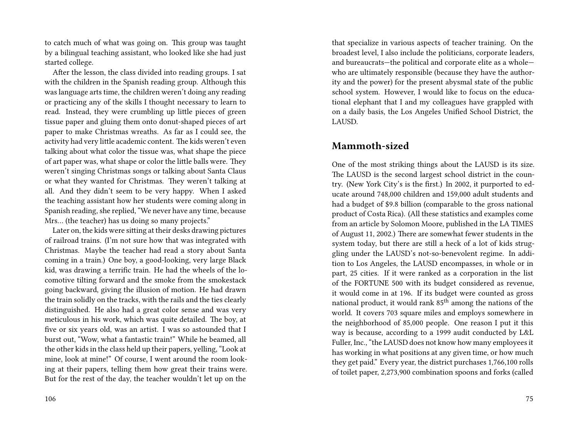to catch much of what was going on. This group was taught by a bilingual teaching assistant, who looked like she had just started college.

After the lesson, the class divided into reading groups. I sat with the children in the Spanish reading group. Although this was language arts time, the children weren't doing any reading or practicing any of the skills I thought necessary to learn to read. Instead, they were crumbling up little pieces of green tissue paper and gluing them onto donut-shaped pieces of art paper to make Christmas wreaths. As far as I could see, the activity had very little academic content. The kids weren't even talking about what color the tissue was, what shape the piece of art paper was, what shape or color the little balls were. They weren't singing Christmas songs or talking about Santa Claus or what they wanted for Christmas. They weren't talking at all. And they didn't seem to be very happy. When I asked the teaching assistant how her students were coming along in Spanish reading, she replied, "We never have any time, because Mrs… (the teacher) has us doing so many projects."

Later on, the kids were sitting at their desks drawing pictures of railroad trains. (I'm not sure how that was integrated with Christmas. Maybe the teacher had read a story about Santa coming in a train.) One boy, a good-looking, very large Black kid, was drawing a terrific train. He had the wheels of the locomotive tilting forward and the smoke from the smokestack going backward, giving the illusion of motion. He had drawn the train solidly on the tracks, with the rails and the ties clearly distinguished. He also had a great color sense and was very meticulous in his work, which was quite detailed. The boy, at five or six years old, was an artist. I was so astounded that I burst out, "Wow, what a fantastic train!" While he beamed, all the other kids in the class held up their papers, yelling, "Look at mine, look at mine!" Of course, I went around the room looking at their papers, telling them how great their trains were. But for the rest of the day, the teacher wouldn't let up on the

that specialize in various aspects of teacher training. On the broadest level, I also include the politicians, corporate leaders, and bureaucrats—the political and corporate elite as a whole who are ultimately responsible (because they have the authority and the power) for the present abysmal state of the public school system. However, I would like to focus on the educational elephant that I and my colleagues have grappled with on a daily basis, the Los Angeles Unified School District, the LAUSD.

#### **Mammoth-sized**

One of the most striking things about the LAUSD is its size. The LAUSD is the second largest school district in the country. (New York City's is the first.) In 2002, it purported to educate around 748,000 children and 159,000 adult students and had a budget of \$9.8 billion (comparable to the gross national product of Costa Rica). (All these statistics and examples come from an article by Solomon Moore, published in the LA TIMES of August 11, 2002.) There are somewhat fewer students in the system today, but there are still a heck of a lot of kids struggling under the LAUSD's not-so-benevolent regime. In addition to Los Angeles, the LAUSD encompasses, in whole or in part, 25 cities. If it were ranked as a corporation in the list of the FORTUNE 500 with its budget considered as revenue, it would come in at 196. If its budget were counted as gross national product, it would rank 85<sup>th</sup> among the nations of the world. It covers 703 square miles and employs somewhere in the neighborhood of 85,000 people. One reason I put it this way is because, according to a 1999 audit conducted by L&L Fuller, Inc., "the LAUSD does not know how many employees it has working in what positions at any given time, or how much they get paid." Every year, the district purchases 1,766,100 rolls of toilet paper, 2,273,900 combination spoons and forks (called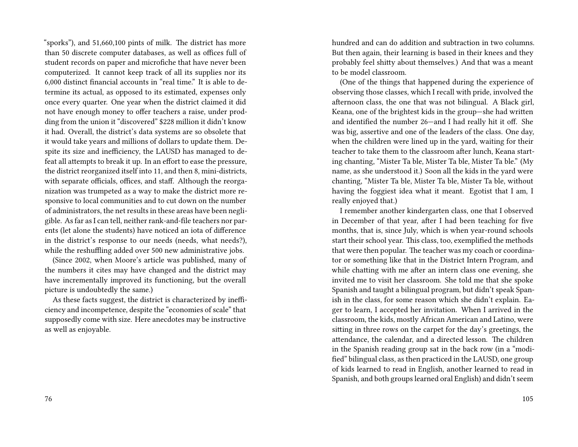"sporks"), and 51,660,100 pints of milk. The district has more than 50 discrete computer databases, as well as offices full of student records on paper and microfiche that have never been computerized. It cannot keep track of all its supplies nor its 6,000 distinct financial accounts in "real time." It is able to determine its actual, as opposed to its estimated, expenses only once every quarter. One year when the district claimed it did not have enough money to offer teachers a raise, under prodding from the union it "discovered" \$228 million it didn't know it had. Overall, the district's data systems are so obsolete that it would take years and millions of dollars to update them. Despite its size and inefficiency, the LAUSD has managed to defeat all attempts to break it up. In an effort to ease the pressure, the district reorganized itself into 11, and then 8, mini-districts, with separate officials, offices, and staff. Although the reorganization was trumpeted as a way to make the district more responsive to local communities and to cut down on the number of administrators, the net results in these areas have been negligible. As far as I can tell, neither rank-and-file teachers nor parents (let alone the students) have noticed an iota of difference in the district's response to our needs (needs, what needs?), while the reshuffling added over 500 new administrative jobs.

(Since 2002, when Moore's article was published, many of the numbers it cites may have changed and the district may have incrementally improved its functioning, but the overall picture is undoubtedly the same.)

As these facts suggest, the district is characterized by inefficiency and incompetence, despite the "economies of scale" that supposedly come with size. Here anecdotes may be instructive as well as enjoyable.

hundred and can do addition and subtraction in two columns. But then again, their learning is based in their knees and they probably feel shitty about themselves.) And that was a meant to be model classroom.

(One of the things that happened during the experience of observing those classes, which I recall with pride, involved the afternoon class, the one that was not bilingual. A Black girl, Keana, one of the brightest kids in the group—she had written and identified the number 26—and I had really hit it off. She was big, assertive and one of the leaders of the class. One day, when the children were lined up in the yard, waiting for their teacher to take them to the classroom after lunch, Keana starting chanting, "Mister Ta ble, Mister Ta ble, Mister Ta ble." (My name, as she understood it.) Soon all the kids in the yard were chanting, "Mister Ta ble, Mister Ta ble, Mister Ta ble, without having the foggiest idea what it meant. Egotist that I am, I really enjoyed that.)

I remember another kindergarten class, one that I observed in December of that year, after I had been teaching for five months, that is, since July, which is when year-round schools start their school year. This class, too, exemplified the methods that were then popular. The teacher was my coach or coordinator or something like that in the District Intern Program, and while chatting with me after an intern class one evening, she invited me to visit her classroom. She told me that she spoke Spanish and taught a bilingual program, but didn't speak Spanish in the class, for some reason which she didn't explain. Eager to learn, I accepted her invitation. When I arrived in the classroom, the kids, mostly African American and Latino, were sitting in three rows on the carpet for the day's greetings, the attendance, the calendar, and a directed lesson. The children in the Spanish reading group sat in the back row (in a "modified" bilingual class, as then practiced in the LAUSD, one group of kids learned to read in English, another learned to read in Spanish, and both groups learned oral English) and didn't seem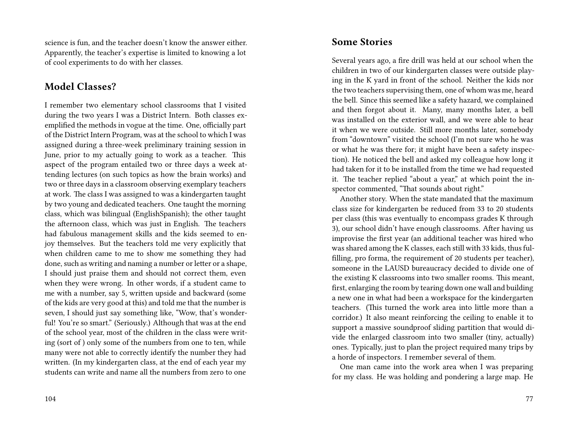science is fun, and the teacher doesn't know the answer either. Apparently, the teacher's expertise is limited to knowing a lot of cool experiments to do with her classes.

## **Model Classes?**

I remember two elementary school classrooms that I visited during the two years I was a District Intern. Both classes exemplified the methods in vogue at the time. One, officially part of the District Intern Program, was at the school to which I was assigned during a three-week preliminary training session in June, prior to my actually going to work as a teacher. This aspect of the program entailed two or three days a week attending lectures (on such topics as how the brain works) and two or three days in a classroom observing exemplary teachers at work. The class I was assigned to was a kindergarten taught by two young and dedicated teachers. One taught the morning class, which was bilingual (EnglishSpanish); the other taught the afternoon class, which was just in English. The teachers had fabulous management skills and the kids seemed to enjoy themselves. But the teachers told me very explicitly that when children came to me to show me something they had done, such as writing and naming a number or letter or a shape, I should just praise them and should not correct them, even when they were wrong. In other words, if a student came to me with a number, say 5, written upside and backward (some of the kids are very good at this) and told me that the number is seven, I should just say something like, "Wow, that's wonderful! You're so smart." (Seriously.) Although that was at the end of the school year, most of the children in the class were writing (sort of ) only some of the numbers from one to ten, while many were not able to correctly identify the number they had written. (In my kindergarten class, at the end of each year my students can write and name all the numbers from zero to one

#### **Some Stories**

Several years ago, a fire drill was held at our school when the children in two of our kindergarten classes were outside playing in the K yard in front of the school. Neither the kids nor the two teachers supervising them, one of whom was me, heard the bell. Since this seemed like a safety hazard, we complained and then forgot about it. Many, many months later, a bell was installed on the exterior wall, and we were able to hear it when we were outside. Still more months later, somebody from "downtown" visited the school (I'm not sure who he was or what he was there for; it might have been a safety inspection). He noticed the bell and asked my colleague how long it had taken for it to be installed from the time we had requested it. The teacher replied "about a year," at which point the inspector commented, "That sounds about right."

Another story. When the state mandated that the maximum class size for kindergarten be reduced from 33 to 20 students per class (this was eventually to encompass grades K through 3), our school didn't have enough classrooms. After having us improvise the first year (an additional teacher was hired who was shared among the K classes, each still with 33 kids, thus fulfilling, pro forma, the requirement of 20 students per teacher), someone in the LAUSD bureaucracy decided to divide one of the existing K classrooms into two smaller rooms. This meant, first, enlarging the room by tearing down one wall and building a new one in what had been a workspace for the kindergarten teachers. (This turned the work area into little more than a corridor.) It also meant reinforcing the ceiling to enable it to support a massive soundproof sliding partition that would divide the enlarged classroom into two smaller (tiny, actually) ones. Typically, just to plan the project required many trips by a horde of inspectors. I remember several of them.

One man came into the work area when I was preparing for my class. He was holding and pondering a large map. He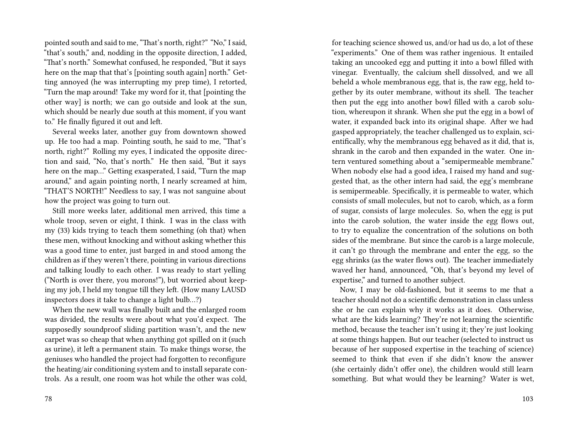pointed south and said to me, "That's north, right?" "No," I said, "that's south," and, nodding in the opposite direction, I added, "That's north." Somewhat confused, he responded, "But it says here on the map that that's [pointing south again] north." Getting annoyed (he was interrupting my prep time), I retorted, "Turn the map around! Take my word for it, that [pointing the other way] is north; we can go outside and look at the sun, which should be nearly due south at this moment, if you want to." He finally figured it out and left.

Several weeks later, another guy from downtown showed up. He too had a map. Pointing south, he said to me, "That's north, right?" Rolling my eyes, I indicated the opposite direction and said, "No, that's north." He then said, "But it says here on the map…" Getting exasperated, I said, "Turn the map around," and again pointing north, I nearly screamed at him, "THAT'S NORTH!" Needless to say, I was not sanguine about how the project was going to turn out.

Still more weeks later, additional men arrived, this time a whole troop, seven or eight, I think. I was in the class with my (33) kids trying to teach them something (oh that) when these men, without knocking and without asking whether this was a good time to enter, just barged in and stood among the children as if they weren't there, pointing in various directions and talking loudly to each other. I was ready to start yelling ("North is over there, you morons!"), but worried about keeping my job, I held my tongue till they left. (How many LAUSD inspectors does it take to change a light bulb…?)

When the new wall was finally built and the enlarged room was divided, the results were about what you'd expect. The supposedly soundproof sliding partition wasn't, and the new carpet was so cheap that when anything got spilled on it (such as urine), it left a permanent stain. To make things worse, the geniuses who handled the project had forgotten to reconfigure the heating/air conditioning system and to install separate controls. As a result, one room was hot while the other was cold, for teaching science showed us, and/or had us do, a lot of these "experiments." One of them was rather ingenious. It entailed taking an uncooked egg and putting it into a bowl filled with vinegar. Eventually, the calcium shell dissolved, and we all beheld a whole membranous egg, that is, the raw egg, held together by its outer membrane, without its shell. The teacher then put the egg into another bowl filled with a carob solution, whereupon it shrank. When she put the egg in a bowl of water, it expanded back into its original shape. After we had gasped appropriately, the teacher challenged us to explain, scientifically, why the membranous egg behaved as it did, that is, shrank in the carob and then expanded in the water. One intern ventured something about a "semipermeable membrane." When nobody else had a good idea, I raised my hand and suggested that, as the other intern had said, the egg's membrane is semipermeable. Specifically, it is permeable to water, which consists of small molecules, but not to carob, which, as a form of sugar, consists of large molecules. So, when the egg is put into the carob solution, the water inside the egg flows out, to try to equalize the concentration of the solutions on both sides of the membrane. But since the carob is a large molecule, it can't go through the membrane and enter the egg, so the egg shrinks (as the water flows out). The teacher immediately waved her hand, announced, "Oh, that's beyond my level of expertise," and turned to another subject.

Now, I may be old-fashioned, but it seems to me that a teacher should not do a scientific demonstration in class unless she or he can explain why it works as it does. Otherwise, what are the kids learning? They're not learning the scientific method, because the teacher isn't using it; they're just looking at some things happen. But our teacher (selected to instruct us because of her supposed expertise in the teaching of science) seemed to think that even if she didn't know the answer (she certainly didn't offer one), the children would still learn something. But what would they be learning? Water is wet,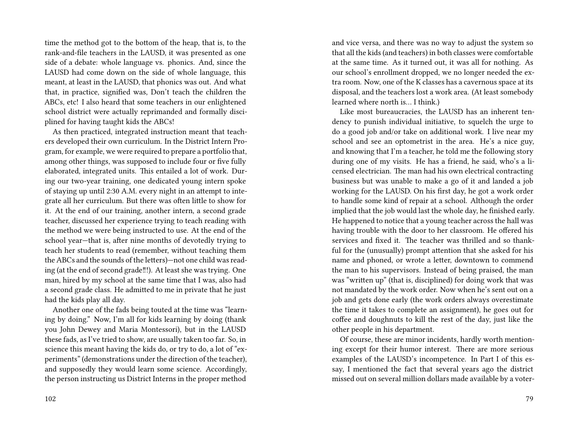time the method got to the bottom of the heap, that is, to the rank-and-file teachers in the LAUSD, it was presented as one side of a debate: whole language vs. phonics. And, since the LAUSD had come down on the side of whole language, this meant, at least in the LAUSD, that phonics was out. And what that, in practice, signified was, Don't teach the children the ABCs, etc! I also heard that some teachers in our enlightened school district were actually reprimanded and formally disciplined for having taught kids the ABCs!

As then practiced, integrated instruction meant that teachers developed their own curriculum. In the District Intern Program, for example, we were required to prepare a portfolio that, among other things, was supposed to include four or five fully elaborated, integrated units. This entailed a lot of work. During our two-year training, one dedicated young intern spoke of staying up until 2:30 A.M. every night in an attempt to integrate all her curriculum. But there was often little to show for it. At the end of our training, another intern, a second grade teacher, discussed her experience trying to teach reading with the method we were being instructed to use. At the end of the school year—that is, after nine months of devotedly trying to teach her students to read (remember, without teaching them the ABCs and the sounds of the letters)—not one child was reading (at the end of second grade‼!). At least she was trying. One man, hired by my school at the same time that I was, also had a second grade class. He admitted to me in private that he just had the kids play all day.

Another one of the fads being touted at the time was "learning by doing." Now, I'm all for kids learning by doing (thank you John Dewey and Maria Montessori), but in the LAUSD these fads, as I've tried to show, are usually taken too far. So, in science this meant having the kids do, or try to do, a lot of "experiments" (demonstrations under the direction of the teacher), and supposedly they would learn some science. Accordingly, the person instructing us District Interns in the proper method

and vice versa, and there was no way to adjust the system so that all the kids (and teachers) in both classes were comfortable at the same time. As it turned out, it was all for nothing. As our school's enrollment dropped, we no longer needed the extra room. Now, one of the K classes has a cavernous space at its disposal, and the teachers lost a work area. (At least somebody learned where north is… I think.)

Like most bureaucracies, the LAUSD has an inherent tendency to punish individual initiative, to squelch the urge to do a good job and/or take on additional work. I live near my school and see an optometrist in the area. He's a nice guy, and knowing that I'm a teacher, he told me the following story during one of my visits. He has a friend, he said, who's a licensed electrician. The man had his own electrical contracting business but was unable to make a go of it and landed a job working for the LAUSD. On his first day, he got a work order to handle some kind of repair at a school. Although the order implied that the job would last the whole day, he finished early. He happened to notice that a young teacher across the hall was having trouble with the door to her classroom. He offered his services and fixed it. The teacher was thrilled and so thankful for the (unusually) prompt attention that she asked for his name and phoned, or wrote a letter, downtown to commend the man to his supervisors. Instead of being praised, the man was "written up" (that is, disciplined) for doing work that was not mandated by the work order. Now when he's sent out on a job and gets done early (the work orders always overestimate the time it takes to complete an assignment), he goes out for coffee and doughnuts to kill the rest of the day, just like the other people in his department.

Of course, these are minor incidents, hardly worth mentioning except for their humor interest. There are more serious examples of the LAUSD's incompetence. In Part I of this essay, I mentioned the fact that several years ago the district missed out on several million dollars made available by a voter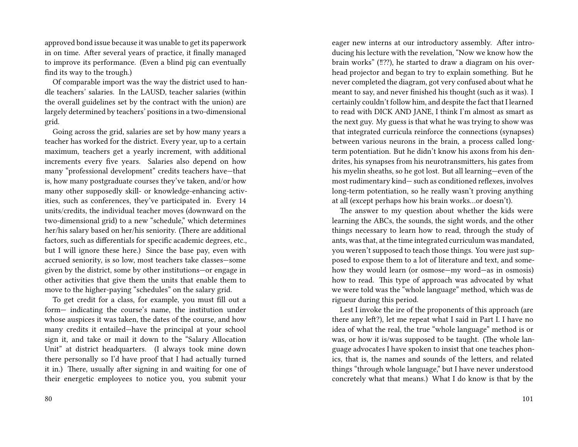approved bond issue because it was unable to get its paperwork in on time. After several years of practice, it finally managed to improve its performance. (Even a blind pig can eventually find its way to the trough.)

Of comparable import was the way the district used to handle teachers' salaries. In the LAUSD, teacher salaries (within the overall guidelines set by the contract with the union) are largely determined by teachers' positions in a two-dimensional grid.

Going across the grid, salaries are set by how many years a teacher has worked for the district. Every year, up to a certain maximum, teachers get a yearly increment, with additional increments every five years. Salaries also depend on how many "professional development" credits teachers have—that is, how many postgraduate courses they've taken, and/or how many other supposedly skill- or knowledge-enhancing activities, such as conferences, they've participated in. Every 14 units/credits, the individual teacher moves (downward on the two-dimensional grid) to a new "schedule," which determines her/his salary based on her/his seniority. (There are additional factors, such as differentials for specific academic degrees, etc., but I will ignore these here.) Since the base pay, even with accrued seniority, is so low, most teachers take classes—some given by the district, some by other institutions—or engage in other activities that give them the units that enable them to move to the higher-paying "schedules" on the salary grid.

To get credit for a class, for example, you must fill out a form— indicating the course's name, the institution under whose auspices it was taken, the dates of the course, and how many credits it entailed—have the principal at your school sign it, and take or mail it down to the "Salary Allocation Unit" at district headquarters. (I always took mine down there personally so I'd have proof that I had actually turned it in.) There, usually after signing in and waiting for one of their energetic employees to notice you, you submit your eager new interns at our introductory assembly. After introducing his lecture with the revelation, "Now we know how the brain works" (!!??), he started to draw a diagram on his overhead projector and began to try to explain something. But he never completed the diagram, got very confused about what he meant to say, and never finished his thought (such as it was). I certainly couldn't follow him, and despite the fact that I learned to read with DICK AND JANE, I think I'm almost as smart as the next guy. My guess is that what he was trying to show was that integrated curricula reinforce the connections (synapses) between various neurons in the brain, a process called longterm potentiation. But he didn't know his axons from his dendrites, his synapses from his neurotransmitters, his gates from his myelin sheaths, so he got lost. But all learning—even of the most rudimentary kind— such as conditioned reflexes, involves long-term potentiation, so he really wasn't proving anything at all (except perhaps how his brain works…or doesn't).

The answer to my question about whether the kids were learning the ABCs, the sounds, the sight words, and the other things necessary to learn how to read, through the study of ants, was that, at the time integrated curriculum was mandated, you weren't supposed to teach those things. You were just supposed to expose them to a lot of literature and text, and somehow they would learn (or osmose—my word—as in osmosis) how to read. This type of approach was advocated by what we were told was the "whole language" method, which was de rigueur during this period.

Lest I invoke the ire of the proponents of this approach (are there any left?), let me repeat what I said in Part I. I have no idea of what the real, the true "whole language" method is or was, or how it is/was supposed to be taught. (The whole language advocates I have spoken to insist that one teaches phonics, that is, the names and sounds of the letters, and related things "through whole language," but I have never understood concretely what that means.) What I do know is that by the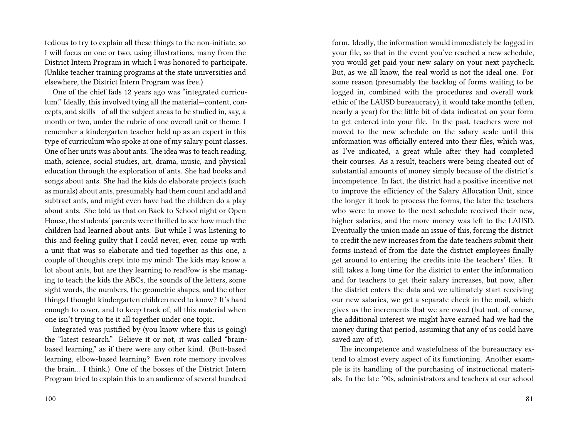tedious to try to explain all these things to the non-initiate, so I will focus on one or two, using illustrations, many from the District Intern Program in which I was honored to participate. (Unlike teacher training programs at the state universities and elsewhere, the District Intern Program was free.)

One of the chief fads 12 years ago was "integrated curriculum." Ideally, this involved tying all the material—content, concepts, and skills—of all the subject areas to be studied in, say, a month or two, under the rubric of one overall unit or theme. I remember a kindergarten teacher held up as an expert in this type of curriculum who spoke at one of my salary point classes. One of her units was about ants. The idea was to teach reading, math, science, social studies, art, drama, music, and physical education through the exploration of ants. She had books and songs about ants. She had the kids do elaborate projects (such as murals) about ants, presumably had them count and add and subtract ants, and might even have had the children do a play about ants. She told us that on Back to School night or Open House, the students' parents were thrilled to see how much the children had learned about ants. But while I was listening to this and feeling guilty that I could never, ever, come up with a unit that was so elaborate and tied together as this one, a couple of thoughts crept into my mind: The kids may know a lot about ants, but are they learning to read?ow is she managing to teach the kids the ABCs, the sounds of the letters, some sight words, the numbers, the geometric shapes, and the other things I thought kindergarten children need to know? It's hard enough to cover, and to keep track of, all this material when one isn't trying to tie it all together under one topic.

Integrated was justified by (you know where this is going) the "latest research." Believe it or not, it was called "brainbased learning," as if there were any other kind. (Butt-based learning, elbow-based learning? Even rote memory involves the brain… I think.) One of the bosses of the District Intern Program tried to explain this to an audience of several hundred

form. Ideally, the information would immediately be logged in your file, so that in the event you've reached a new schedule, you would get paid your new salary on your next paycheck. But, as we all know, the real world is not the ideal one. For some reason (presumably the backlog of forms waiting to be logged in, combined with the procedures and overall work ethic of the LAUSD bureaucracy), it would take months (often, nearly a year) for the little bit of data indicated on your form to get entered into your file. In the past, teachers were not moved to the new schedule on the salary scale until this information was officially entered into their files, which was, as I've indicated, a great while after they had completed their courses. As a result, teachers were being cheated out of substantial amounts of money simply because of the district's incompetence. In fact, the district had a positive incentive not to improve the efficiency of the Salary Allocation Unit, since the longer it took to process the forms, the later the teachers who were to move to the next schedule received their new, higher salaries, and the more money was left to the LAUSD. Eventually the union made an issue of this, forcing the district to credit the new increases from the date teachers submit their forms instead of from the date the district employees finally get around to entering the credits into the teachers' files. It still takes a long time for the district to enter the information and for teachers to get their salary increases, but now, after the district enters the data and we ultimately start receiving our new salaries, we get a separate check in the mail, which gives us the increments that we are owed (but not, of course, the additional interest we might have earned had we had the money during that period, assuming that any of us could have saved any of it).

The incompetence and wastefulness of the bureaucracy extend to almost every aspect of its functioning. Another example is its handling of the purchasing of instructional materials. In the late '90s, administrators and teachers at our school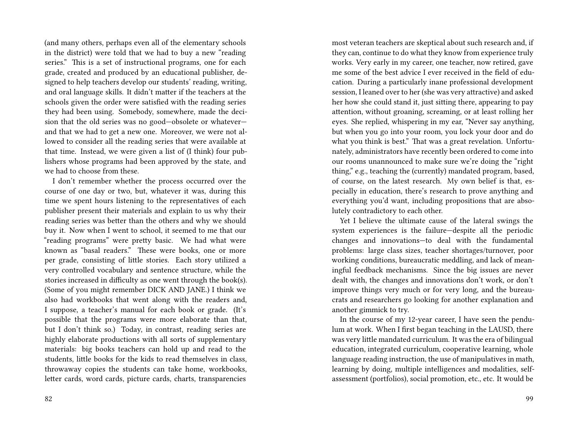(and many others, perhaps even all of the elementary schools in the district) were told that we had to buy a new "reading series." This is a set of instructional programs, one for each grade, created and produced by an educational publisher, designed to help teachers develop our students' reading, writing, and oral language skills. It didn't matter if the teachers at the schools given the order were satisfied with the reading series they had been using. Somebody, somewhere, made the decision that the old series was no good—obsolete or whatever and that we had to get a new one. Moreover, we were not allowed to consider all the reading series that were available at that time. Instead, we were given a list of (I think) four publishers whose programs had been approved by the state, and we had to choose from these.

I don't remember whether the process occurred over the course of one day or two, but, whatever it was, during this time we spent hours listening to the representatives of each publisher present their materials and explain to us why their reading series was better than the others and why we should buy it. Now when I went to school, it seemed to me that our "reading programs" were pretty basic. We had what were known as "basal readers." These were books, one or more per grade, consisting of little stories. Each story utilized a very controlled vocabulary and sentence structure, while the stories increased in difficulty as one went through the book(s). (Some of you might remember DICK AND JANE.) I think we also had workbooks that went along with the readers and, I suppose, a teacher's manual for each book or grade. (It's possible that the programs were more elaborate than that, but I don't think so.) Today, in contrast, reading series are highly elaborate productions with all sorts of supplementary materials: big books teachers can hold up and read to the students, little books for the kids to read themselves in class, throwaway copies the students can take home, workbooks, letter cards, word cards, picture cards, charts, transparencies

82

most veteran teachers are skeptical about such research and, if they can, continue to do what they know from experience truly works. Very early in my career, one teacher, now retired, gave me some of the best advice I ever received in the field of education. During a particularly inane professional development session, I leaned over to her (she was very attractive) and asked her how she could stand it, just sitting there, appearing to pay attention, without groaning, screaming, or at least rolling her eyes. She replied, whispering in my ear, "Never say anything, but when you go into your room, you lock your door and do what you think is best." That was a great revelation. Unfortunately, administrators have recently been ordered to come into our rooms unannounced to make sure we're doing the "right thing," e.g., teaching the (currently) mandated program, based, of course, on the latest research. My own belief is that, especially in education, there's research to prove anything and everything you'd want, including propositions that are absolutely contradictory to each other.

Yet I believe the ultimate cause of the lateral swings the system experiences is the failure—despite all the periodic changes and innovations—to deal with the fundamental problems: large class sizes, teacher shortages/turnover, poor working conditions, bureaucratic meddling, and lack of meaningful feedback mechanisms. Since the big issues are never dealt with, the changes and innovations don't work, or don't improve things very much or for very long, and the bureaucrats and researchers go looking for another explanation and another gimmick to try.

In the course of my 12-year career, I have seen the pendulum at work. When I first began teaching in the LAUSD, there was very little mandated curriculum. It was the era of bilingual education, integrated curriculum, cooperative learning, whole language reading instruction, the use of manipulatives in math, learning by doing, multiple intelligences and modalities, selfassessment (portfolios), social promotion, etc., etc. It would be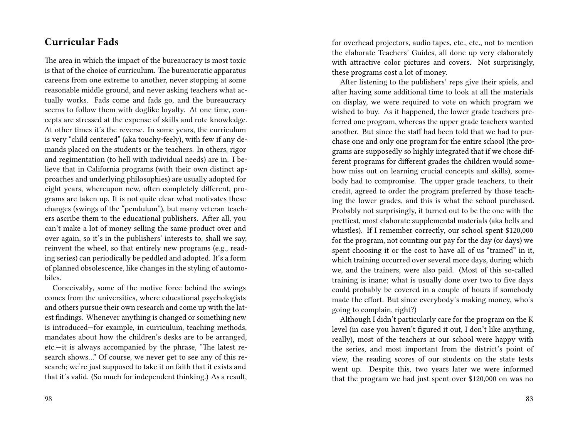## **Curricular Fads**

The area in which the impact of the bureaucracy is most toxic is that of the choice of curriculum. The bureaucratic apparatus careens from one extreme to another, never stopping at some reasonable middle ground, and never asking teachers what actually works. Fads come and fads go, and the bureaucracy seems to follow them with doglike loyalty. At one time, concepts are stressed at the expense of skills and rote knowledge. At other times it's the reverse. In some years, the curriculum is very "child centered" (aka touchy-feely), with few if any demands placed on the students or the teachers. In others, rigor and regimentation (to hell with individual needs) are in. I believe that in California programs (with their own distinct approaches and underlying philosophies) are usually adopted for eight years, whereupon new, often completely different, programs are taken up. It is not quite clear what motivates these changes (swings of the "pendulum"), but many veteran teachers ascribe them to the educational publishers. After all, you can't make a lot of money selling the same product over and over again, so it's in the publishers' interests to, shall we say, reinvent the wheel, so that entirely new programs (e.g., reading series) can periodically be peddled and adopted. It's a form of planned obsolescence, like changes in the styling of automobiles.

Conceivably, some of the motive force behind the swings comes from the universities, where educational psychologists and others pursue their own research and come up with the latest findings. Whenever anything is changed or something new is introduced—for example, in curriculum, teaching methods, mandates about how the children's desks are to be arranged, etc.—it is always accompanied by the phrase, "The latest research shows…" Of course, we never get to see any of this research; we're just supposed to take it on faith that it exists and that it's valid. (So much for independent thinking.) As a result,

98

for overhead projectors, audio tapes, etc., etc., not to mention the elaborate Teachers' Guides, all done up very elaborately with attractive color pictures and covers. Not surprisingly, these programs cost a lot of money.

After listening to the publishers' reps give their spiels, and after having some additional time to look at all the materials on display, we were required to vote on which program we wished to buy. As it happened, the lower grade teachers preferred one program, whereas the upper grade teachers wanted another. But since the staff had been told that we had to purchase one and only one program for the entire school (the programs are supposedly so highly integrated that if we chose different programs for different grades the children would somehow miss out on learning crucial concepts and skills), somebody had to compromise. The upper grade teachers, to their credit, agreed to order the program preferred by those teaching the lower grades, and this is what the school purchased. Probably not surprisingly, it turned out to be the one with the prettiest, most elaborate supplemental materials (aka bells and whistles). If I remember correctly, our school spent \$120,000 for the program, not counting our pay for the day (or days) we spent choosing it or the cost to have all of us "trained" in it, which training occurred over several more days, during which we, and the trainers, were also paid. (Most of this so-called training is inane; what is usually done over two to five days could probably be covered in a couple of hours if somebody made the effort. But since everybody's making money, who's going to complain, right?)

Although I didn't particularly care for the program on the K level (in case you haven't figured it out, I don't like anything, really), most of the teachers at our school were happy with the series, and most important from the district's point of view, the reading scores of our students on the state tests went up. Despite this, two years later we were informed that the program we had just spent over \$120,000 on was no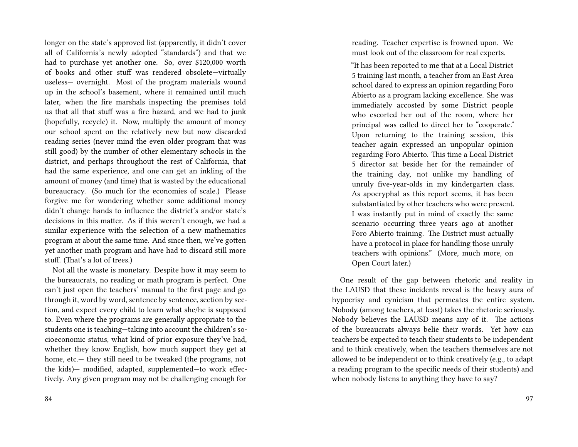longer on the state's approved list (apparently, it didn't cover all of California's newly adopted "standards") and that we had to purchase yet another one. So, over \$120,000 worth of books and other stuff was rendered obsolete—virtually useless— overnight. Most of the program materials wound up in the school's basement, where it remained until much later, when the fire marshals inspecting the premises told us that all that stuff was a fire hazard, and we had to junk (hopefully, recycle) it. Now, multiply the amount of money our school spent on the relatively new but now discarded reading series (never mind the even older program that was still good) by the number of other elementary schools in the district, and perhaps throughout the rest of California, that had the same experience, and one can get an inkling of the amount of money (and time) that is wasted by the educational bureaucracy. (So much for the economies of scale.) Please forgive me for wondering whether some additional money didn't change hands to influence the district's and/or state's decisions in this matter. As if this weren't enough, we had a similar experience with the selection of a new mathematics program at about the same time. And since then, we've gotten yet another math program and have had to discard still more stuff. (That's a lot of trees.)

Not all the waste is monetary. Despite how it may seem to the bureaucrats, no reading or math program is perfect. One can't just open the teachers' manual to the first page and go through it, word by word, sentence by sentence, section by section, and expect every child to learn what she/he is supposed to. Even where the programs are generally appropriate to the students one is teaching—taking into account the children's socioeconomic status, what kind of prior exposure they've had, whether they know English, how much support they get at home, etc.— they still need to be tweaked (the programs, not the kids)— modified, adapted, supplemented—to work effectively. Any given program may not be challenging enough for

reading. Teacher expertise is frowned upon. We must look out of the classroom for real experts.

"It has been reported to me that at a Local District 5 training last month, a teacher from an East Area school dared to express an opinion regarding Foro Abierto as a program lacking excellence. She was immediately accosted by some District people who escorted her out of the room, where her principal was called to direct her to "cooperate." Upon returning to the training session, this teacher again expressed an unpopular opinion regarding Foro Abierto. This time a Local District 5 director sat beside her for the remainder of the training day, not unlike my handling of unruly five-year-olds in my kindergarten class. As apocryphal as this report seems, it has been substantiated by other teachers who were present. I was instantly put in mind of exactly the same scenario occurring three years ago at another Foro Abierto training. The District must actually have a protocol in place for handling those unruly teachers with opinions." (More, much more, on Open Court later.)

One result of the gap between rhetoric and reality in the LAUSD that these incidents reveal is the heavy aura of hypocrisy and cynicism that permeates the entire system. Nobody (among teachers, at least) takes the rhetoric seriously. Nobody believes the LAUSD means any of it. The actions of the bureaucrats always belie their words. Yet how can teachers be expected to teach their students to be independent and to think creatively, when the teachers themselves are not allowed to be independent or to think creatively (e.g., to adapt a reading program to the specific needs of their students) and when nobody listens to anything they have to say?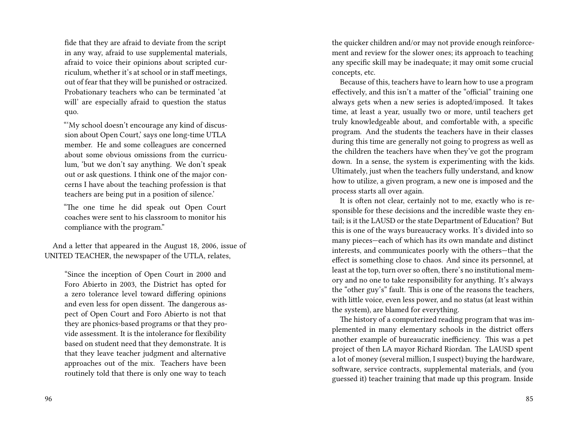fide that they are afraid to deviate from the script in any way, afraid to use supplemental materials, afraid to voice their opinions about scripted curriculum, whether it's at school or in staff meetings, out of fear that they will be punished or ostracized. Probationary teachers who can be terminated 'at will' are especially afraid to question the status quo.

"'My school doesn't encourage any kind of discussion about Open Court,' says one long-time UTLA member. He and some colleagues are concerned about some obvious omissions from the curriculum, 'but we don't say anything. We don't speak out or ask questions. I think one of the major concerns I have about the teaching profession is that teachers are being put in a position of silence.'

"The one time he did speak out Open Court coaches were sent to his classroom to monitor his compliance with the program."

And a letter that appeared in the August 18, 2006, issue of UNITED TEACHER, the newspaper of the UTLA, relates,

"Since the inception of Open Court in 2000 and Foro Abierto in 2003, the District has opted for a zero tolerance level toward differing opinions and even less for open dissent. The dangerous aspect of Open Court and Foro Abierto is not that they are phonics-based programs or that they provide assessment. It is the intolerance for flexibility based on student need that they demonstrate. It is that they leave teacher judgment and alternative approaches out of the mix. Teachers have been routinely told that there is only one way to teach

the quicker children and/or may not provide enough reinforcement and review for the slower ones; its approach to teaching any specific skill may be inadequate; it may omit some crucial concepts, etc.

Because of this, teachers have to learn how to use a program effectively, and this isn't a matter of the "official" training one always gets when a new series is adopted/imposed. It takes time, at least a year, usually two or more, until teachers get truly knowledgeable about, and comfortable with, a specific program. And the students the teachers have in their classes during this time are generally not going to progress as well as the children the teachers have when they've got the program down. In a sense, the system is experimenting with the kids. Ultimately, just when the teachers fully understand, and know how to utilize, a given program, a new one is imposed and the process starts all over again.

It is often not clear, certainly not to me, exactly who is responsible for these decisions and the incredible waste they entail; is it the LAUSD or the state Department of Education? But this is one of the ways bureaucracy works. It's divided into so many pieces—each of which has its own mandate and distinct interests, and communicates poorly with the others—that the effect is something close to chaos. And since its personnel, at least at the top, turn over so often, there's no institutional memory and no one to take responsibility for anything. It's always the "other guy's" fault. This is one of the reasons the teachers, with little voice, even less power, and no status (at least within the system), are blamed for everything.

The history of a computerized reading program that was implemented in many elementary schools in the district offers another example of bureaucratic inefficiency. This was a pet project of then LA mayor Richard Riordan. The LAUSD spent a lot of money (several million, I suspect) buying the hardware, software, service contracts, supplemental materials, and (you guessed it) teacher training that made up this program. Inside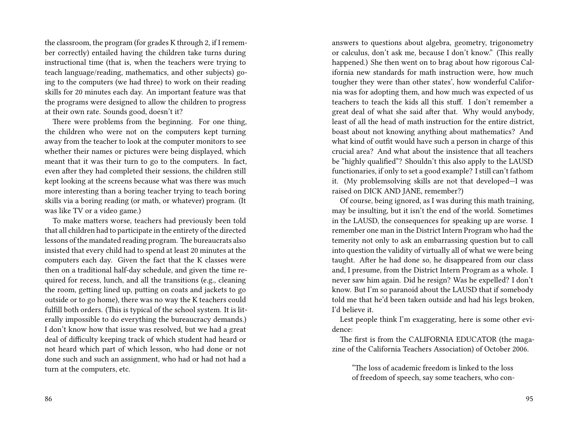the classroom, the program (for grades K through 2, if I remember correctly) entailed having the children take turns during instructional time (that is, when the teachers were trying to teach language/reading, mathematics, and other subjects) going to the computers (we had three) to work on their reading skills for 20 minutes each day. An important feature was that the programs were designed to allow the children to progress at their own rate. Sounds good, doesn't it?

There were problems from the beginning. For one thing, the children who were not on the computers kept turning away from the teacher to look at the computer monitors to see whether their names or pictures were being displayed, which meant that it was their turn to go to the computers. In fact, even after they had completed their sessions, the children still kept looking at the screens because what was there was much more interesting than a boring teacher trying to teach boring skills via a boring reading (or math, or whatever) program. (It was like TV or a video game.)

To make matters worse, teachers had previously been told that all children had to participate in the entirety of the directed lessons of the mandated reading program. The bureaucrats also insisted that every child had to spend at least 20 minutes at the computers each day. Given the fact that the K classes were then on a traditional half-day schedule, and given the time required for recess, lunch, and all the transitions (e.g., cleaning the room, getting lined up, putting on coats and jackets to go outside or to go home), there was no way the K teachers could fulfill both orders. (This is typical of the school system. It is literally impossible to do everything the bureaucracy demands.) I don't know how that issue was resolved, but we had a great deal of difficulty keeping track of which student had heard or not heard which part of which lesson, who had done or not done such and such an assignment, who had or had not had a turn at the computers, etc.

answers to questions about algebra, geometry, trigonometry or calculus, don't ask me, because I don't know." (This really happened.) She then went on to brag about how rigorous California new standards for math instruction were, how much tougher they were than other states', how wonderful California was for adopting them, and how much was expected of us teachers to teach the kids all this stuff. I don't remember a great deal of what she said after that. Why would anybody, least of all the head of math instruction for the entire district, boast about not knowing anything about mathematics? And what kind of outfit would have such a person in charge of this crucial area? And what about the insistence that all teachers be "highly qualified"? Shouldn't this also apply to the LAUSD functionaries, if only to set a good example? I still can't fathom it. (My problemsolving skills are not that developed—I was raised on DICK AND JANE, remember?)

Of course, being ignored, as I was during this math training, may be insulting, but it isn't the end of the world. Sometimes in the LAUSD, the consequences for speaking up are worse. I remember one man in the District Intern Program who had the temerity not only to ask an embarrassing question but to call into question the validity of virtually all of what we were being taught. After he had done so, he disappeared from our class and, I presume, from the District Intern Program as a whole. I never saw him again. Did he resign? Was he expelled? I don't know. But I'm so paranoid about the LAUSD that if somebody told me that he'd been taken outside and had his legs broken, I'd believe it.

Lest people think I'm exaggerating, here is some other evidence:

The first is from the CALIFORNIA EDUCATOR (the magazine of the California Teachers Association) of October 2006.

"The loss of academic freedom is linked to the loss of freedom of speech, say some teachers, who con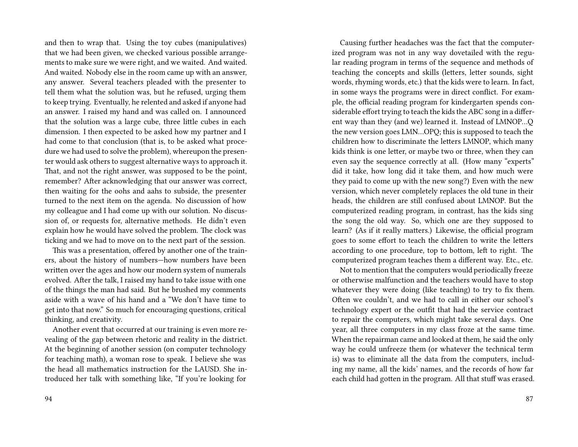and then to wrap that. Using the toy cubes (manipulatives) that we had been given, we checked various possible arrangements to make sure we were right, and we waited. And waited. And waited. Nobody else in the room came up with an answer, any answer. Several teachers pleaded with the presenter to tell them what the solution was, but he refused, urging them to keep trying. Eventually, he relented and asked if anyone had an answer. I raised my hand and was called on. I announced that the solution was a large cube, three little cubes in each dimension. I then expected to be asked how my partner and I had come to that conclusion (that is, to be asked what procedure we had used to solve the problem), whereupon the presenter would ask others to suggest alternative ways to approach it. That, and not the right answer, was supposed to be the point, remember? After acknowledging that our answer was correct, then waiting for the oohs and aahs to subside, the presenter turned to the next item on the agenda. No discussion of how my colleague and I had come up with our solution. No discussion of, or requests for, alternative methods. He didn't even explain how he would have solved the problem. The clock was ticking and we had to move on to the next part of the session.

This was a presentation, offered by another one of the trainers, about the history of numbers—how numbers have been written over the ages and how our modern system of numerals evolved. After the talk, I raised my hand to take issue with one of the things the man had said. But he brushed my comments aside with a wave of his hand and a "We don't have time to get into that now." So much for encouraging questions, critical thinking, and creativity.

Another event that occurred at our training is even more revealing of the gap between rhetoric and reality in the district. At the beginning of another session (on computer technology for teaching math), a woman rose to speak. I believe she was the head all mathematics instruction for the LAUSD. She introduced her talk with something like, "If you're looking for

Causing further headaches was the fact that the computerized program was not in any way dovetailed with the regular reading program in terms of the sequence and methods of teaching the concepts and skills (letters, letter sounds, sight words, rhyming words, etc.) that the kids were to learn. In fact, in some ways the programs were in direct conflict. For example, the official reading program for kindergarten spends considerable effort trying to teach the kids the ABC song in a different way than they (and we) learned it. Instead of LMNOP…Q the new version goes LMN…OPQ; this is supposed to teach the children how to discriminate the letters LMNOP, which many kids think is one letter, or maybe two or three, when they can even say the sequence correctly at all. (How many "experts" did it take, how long did it take them, and how much were they paid to come up with the new song?) Even with the new version, which never completely replaces the old tune in their heads, the children are still confused about LMNOP. But the computerized reading program, in contrast, has the kids sing the song the old way. So, which one are they supposed to learn? (As if it really matters.) Likewise, the official program goes to some effort to teach the children to write the letters according to one procedure, top to bottom, left to right. The computerized program teaches them a different way. Etc., etc.

Not to mention that the computers would periodically freeze or otherwise malfunction and the teachers would have to stop whatever they were doing (like teaching) to try to fix them. Often we couldn't, and we had to call in either our school's technology expert or the outfit that had the service contract to repair the computers, which might take several days. One year, all three computers in my class froze at the same time. When the repairman came and looked at them, he said the only way he could unfreeze them (or whatever the technical term is) was to eliminate all the data from the computers, including my name, all the kids' names, and the records of how far each child had gotten in the program. All that stuff was erased.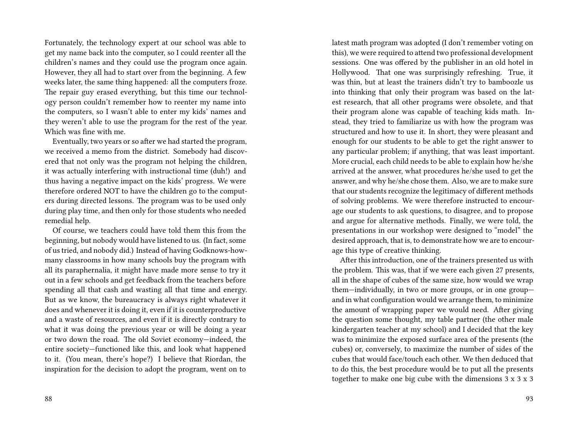Fortunately, the technology expert at our school was able to get my name back into the computer, so I could reenter all the children's names and they could use the program once again. However, they all had to start over from the beginning. A few weeks later, the same thing happened: all the computers froze. The repair guy erased everything, but this time our technology person couldn't remember how to reenter my name into the computers, so I wasn't able to enter my kids' names and they weren't able to use the program for the rest of the year. Which was fine with me.

Eventually, two years or so after we had started the program, we received a memo from the district. Somebody had discovered that not only was the program not helping the children, it was actually interfering with instructional time (duh!) and thus having a negative impact on the kids' progress. We were therefore ordered NOT to have the children go to the computers during directed lessons. The program was to be used only during play time, and then only for those students who needed remedial help.

Of course, we teachers could have told them this from the beginning, but nobody would have listened to us. (In fact, some of us tried, and nobody did.) Instead of having Godknows-howmany classrooms in how many schools buy the program with all its paraphernalia, it might have made more sense to try it out in a few schools and get feedback from the teachers before spending all that cash and wasting all that time and energy. But as we know, the bureaucracy is always right whatever it does and whenever it is doing it, even if it is counterproductive and a waste of resources, and even if it is directly contrary to what it was doing the previous year or will be doing a year or two down the road. The old Soviet economy—indeed, the entire society—functioned like this, and look what happened to it. (You mean, there's hope?) I believe that Riordan, the inspiration for the decision to adopt the program, went on to

latest math program was adopted (I don't remember voting on this), we were required to attend two professional development sessions. One was offered by the publisher in an old hotel in Hollywood. That one was surprisingly refreshing. True, it was thin, but at least the trainers didn't try to bamboozle us into thinking that only their program was based on the latest research, that all other programs were obsolete, and that their program alone was capable of teaching kids math. Instead, they tried to familiarize us with how the program was structured and how to use it. In short, they were pleasant and enough for our students to be able to get the right answer to any particular problem; if anything, that was least important. More crucial, each child needs to be able to explain how he/she arrived at the answer, what procedures he/she used to get the answer, and why he/she chose them. Also, we are to make sure that our students recognize the legitimacy of different methods of solving problems. We were therefore instructed to encourage our students to ask questions, to disagree, and to propose and argue for alternative methods. Finally, we were told, the presentations in our workshop were designed to "model" the desired approach, that is, to demonstrate how we are to encourage this type of creative thinking.

After this introduction, one of the trainers presented us with the problem. This was, that if we were each given 27 presents, all in the shape of cubes of the same size, how would we wrap them—individually, in two or more groups, or in one group and in what configuration would we arrange them, to minimize the amount of wrapping paper we would need. After giving the question some thought, my table partner (the other male kindergarten teacher at my school) and I decided that the key was to minimize the exposed surface area of the presents (the cubes) or, conversely, to maximize the number of sides of the cubes that would face/touch each other. We then deduced that to do this, the best procedure would be to put all the presents together to make one big cube with the dimensions 3 x 3 x 3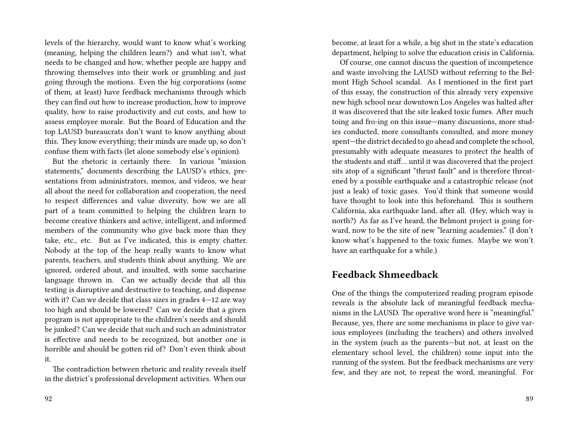levels of the hierarchy, would want to know what's working (meaning, helping the children learn?) and what isn't, what needs to be changed and how, whether people are happy and throwing themselves into their work or grumbling and just going through the motions. Even the big corporations (some of them, at least) have feedback mechanisms through which they can find out how to increase production, how to improve quality, how to raise productivity and cut costs, and how to assess employee morale. But the Board of Education and the top LAUSD bureaucrats don't want to know anything about this. They know everything; their minds are made up, so don't confuse them with facts (let alone somebody else's opinion).

But the rhetoric is certainly there. In various "mission statements," documents describing the LAUSD's ethics, presentations from administrators, memos, and videos, we hear all about the need for collaboration and cooperation, the need to respect differences and value diversity, how we are all part of a team committed to helping the children learn to become creative thinkers and active, intelligent, and informed members of the community who give back more than they take, etc., etc. But as I've indicated, this is empty chatter. Nobody at the top of the heap really wants to know what parents, teachers, and students think about anything. We are ignored, ordered about, and insulted, with some saccharine language thrown in. Can we actually decide that all this testing is disruptive and destructive to teaching, and dispense with it? Can we decide that class sizes in grades 4—12 are way too high and should be lowered? Can we decide that a given program is not appropriate to the children's needs and should be junked? Can we decide that such and such an administrator is effective and needs to be recognized, but another one is horrible and should be gotten rid of? Don't even think about it.

The contradiction between rhetoric and reality reveals itself in the district's professional development activities. When our become, at least for a while, a big shot in the state's education department, helping to solve the education crisis in California.

Of course, one cannot discuss the question of incompetence and waste involving the LAUSD without referring to the Belmont High School scandal. As I mentioned in the first part of this essay, the construction of this already very expensive new high school near downtown Los Angeles was halted after it was discovered that the site leaked toxic fumes. After much toing and fro-ing on this issue—many discussions, more studies conducted, more consultants consulted, and more money spent—the district decided to go ahead and complete the school, presumably with adequate measures to protect the health of the students and staff… until it was discovered that the project sits atop of a significant "thrust fault" and is therefore threatened by a possible earthquake and a catastrophic release (not just a leak) of toxic gases. You'd think that someone would have thought to look into this beforehand. This is southern California, aka earthquake land, after all. (Hey, which way is north?) As far as I've heard, the Belmont project is going forward, now to be the site of new "learning academies." (I don't know what's happened to the toxic fumes. Maybe we won't have an earthquake for a while.)

### **Feedback Shmeedback**

One of the things the computerized reading program episode reveals is the absolute lack of meaningful feedback mechanisms in the LAUSD. The operative word here is "meaningful." Because, yes, there are some mechanisms in place to give various employees (including the teachers) and others involved in the system (such as the parents—but not, at least on the elementary school level, the children) some input into the running of the system. But the feedback mechanisms are very few, and they are not, to repeat the word, meaningful. For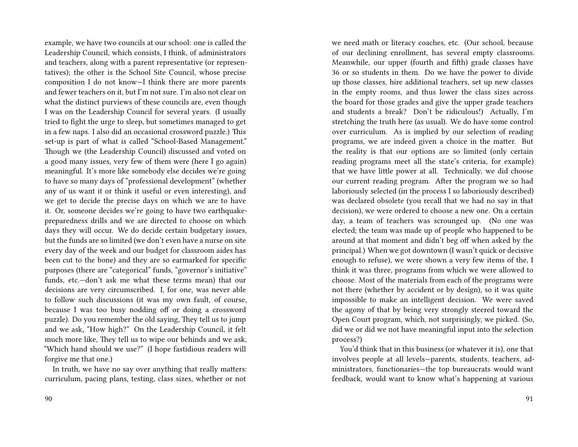example, we have two councils at our school: one is called the Leadership Council, which consists, I think, of administrators and teachers, along with a parent representative (or representatives); the other is the School Site Council, whose precise composition I do not know—I think there are more parents and fewer teachers on it, but I'm not sure. I'm also not clear on what the distinct purviews of these councils are, even though I was on the Leadership Council for several years. (I usually tried to fight the urge to sleep, but sometimes managed to get in a few naps. I also did an occasional crossword puzzle.) This set-up is part of what is called "School-Based Management." Though we (the Leadership Council) discussed and voted on a good many issues, very few of them were (here I go again) meaningful. It's more like somebody else decides we're going to have so many days of "professional development" (whether any of us want it or think it useful or even interesting), and we get to decide the precise days on which we are to have it. Or, someone decides we're going to have two earthquakepreparedness drills and we are directed to choose on which days they will occur. We do decide certain budgetary issues, but the funds are so limited (we don't even have a nurse on site every day of the week and our budget for classroom aides has been cut to the bone) and they are so earmarked for specific purposes (there are "categorical" funds, "governor's initiative" funds, etc.—don't ask me what these terms mean) that our decisions are very circumscribed. I, for one, was never able to follow such discussions (it was my own fault, of course, because I was too busy nodding off or doing a crossword puzzle). Do you remember the old saying, They tell us to jump and we ask, "How high?" On the Leadership Council, it felt much more like, They tell us to wipe our behinds and we ask, "Which hand should we use?" (I hope fastidious readers will forgive me that one.)

In truth, we have no say over anything that really matters: curriculum, pacing plans, testing, class sizes, whether or not

we need math or literacy coaches, etc. (Our school, because of our declining enrollment, has several empty classrooms. Meanwhile, our upper (fourth and fifth) grade classes have 36 or so students in them. Do we have the power to divide up those classes, hire additional teachers, set up new classes in the empty rooms, and thus lower the class sizes across the board for those grades and give the upper grade teachers and students a break? Don't be ridiculous!) Actually, I'm stretching the truth here (as usual). We do have some control over curriculum. As is implied by our selection of reading programs, we are indeed given a choice in the matter. But the reality is that our options are so limited (only certain reading programs meet all the state's criteria, for example) that we have little power at all. Technically, we did choose our current reading program. After the program we so had laboriously selected (in the process I so laboriously described) was declared obsolete (you recall that we had no say in that decision), we were ordered to choose a new one. On a certain day, a team of teachers was scrounged up. (No one was elected; the team was made up of people who happened to be around at that moment and didn't beg off when asked by the principal.) When we got downtown (I wasn't quick or decisive enough to refuse), we were shown a very few items of the, I think it was three, programs from which we were allowed to choose. Most of the materials from each of the programs were not there (whether by accident or by design), so it was quite impossible to make an intelligent decision. We were saved the agony of that by being very strongly steered toward the Open Court program, which, not surprisingly, we picked. (So, did we or did we not have meaningful input into the selection process?)

You'd think that in this business (or whatever it is), one that involves people at all levels—parents, students, teachers, administrators, functionaries—the top bureaucrats would want feedback, would want to know what's happening at various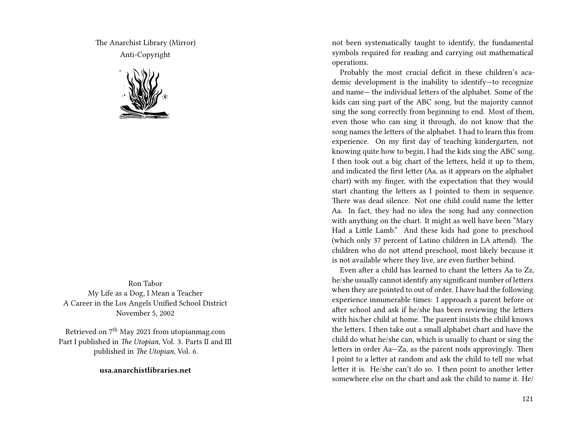The Anarchist Library (Mirror) Anti-Copyright



Ron Tabor My Life as a Dog, I Mean a Teacher A Career in the Los Angels Unified School District November 5, 2002

Retrieved on  $7<sup>th</sup>$  May 2021 from utopianmag.com Part I published in *The Utopian*, Vol. 3. Parts II and III published in *The Utopian*, Vol. 6.

**usa.anarchistlibraries.net**

not been systematically taught to identify, the fundamental symbols required for reading and carrying out mathematical operations.

Probably the most crucial deficit in these children's academic development is the inability to identify—to recognize and name— the individual letters of the alphabet. Some of the kids can sing part of the ABC song, but the majority cannot sing the song correctly from beginning to end. Most of them, even those who can sing it through, do not know that the song names the letters of the alphabet. I had to learn this from experience. On my first day of teaching kindergarten, not knowing quite how to begin, I had the kids sing the ABC song. I then took out a big chart of the letters, held it up to them, and indicated the first letter (Aa, as it appears on the alphabet chart) with my finger, with the expectation that they would start chanting the letters as I pointed to them in sequence. There was dead silence. Not one child could name the letter Aa. In fact, they had no idea the song had any connection with anything on the chart. It might as well have been "Mary Had a Little Lamb." And these kids had gone to preschool (which only 37 percent of Latino children in LA attend). The children who do not attend preschool, most likely because it is not available where they live, are even further behind.

Even after a child has learned to chant the letters Aa to Zz, he/she usually cannot identify any significant number of letters when they are pointed to out of order. I have had the following experience innumerable times: I approach a parent before or after school and ask if he/she has been reviewing the letters with his/her child at home. The parent insists the child knows the letters. I then take out a small alphabet chart and have the child do what he/she can, which is usually to chant or sing the letters in order Aa—Za, as the parent nods approvingly. Then I point to a letter at random and ask the child to tell me what letter it is. He/she can't do so. I then point to another letter somewhere else on the chart and ask the child to name it. He/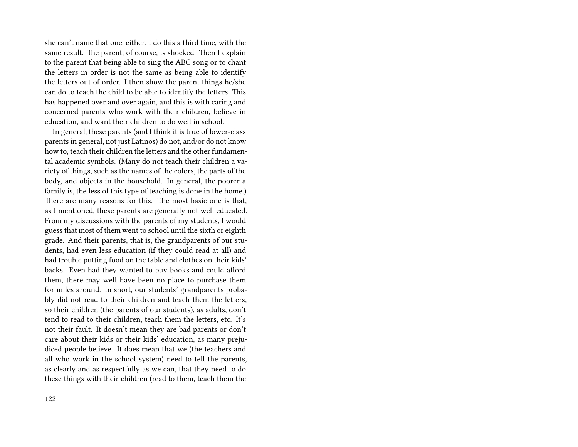she can't name that one, either. I do this a third time, with the same result. The parent, of course, is shocked. Then I explain to the parent that being able to sing the ABC song or to chant the letters in order is not the same as being able to identify the letters out of order. I then show the parent things he/she can do to teach the child to be able to identify the letters. This has happened over and over again, and this is with caring and concerned parents who work with their children, believe in education, and want their children to do well in school.

In general, these parents (and I think it is true of lower-class parents in general, not just Latinos) do not, and/or do not know how to, teach their children the letters and the other fundamental academic symbols. (Many do not teach their children a variety of things, such as the names of the colors, the parts of the body, and objects in the household. In general, the poorer a family is, the less of this type of teaching is done in the home.) There are many reasons for this. The most basic one is that, as I mentioned, these parents are generally not well educated. From my discussions with the parents of my students, I would guess that most of them went to school until the sixth or eighth grade. And their parents, that is, the grandparents of our students, had even less education (if they could read at all) and had trouble putting food on the table and clothes on their kids' backs. Even had they wanted to buy books and could afford them, there may well have been no place to purchase them for miles around. In short, our students' grandparents probably did not read to their children and teach them the letters, so their children (the parents of our students), as adults, don't tend to read to their children, teach them the letters, etc. It's not their fault. It doesn't mean they are bad parents or don't care about their kids or their kids' education, as many prejudiced people believe. It does mean that we (the teachers and all who work in the school system) need to tell the parents, as clearly and as respectfully as we can, that they need to do these things with their children (read to them, teach them the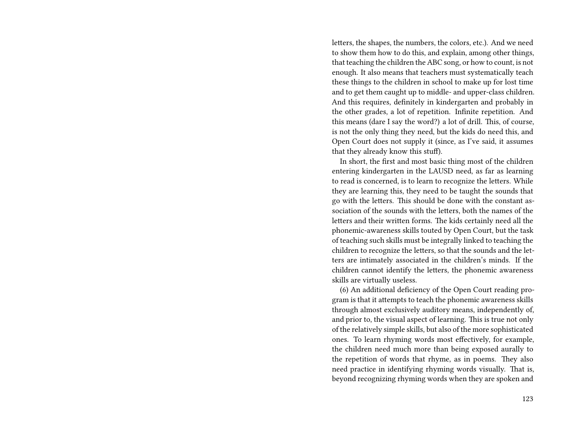letters, the shapes, the numbers, the colors, etc.). And we need to show them how to do this, and explain, among other things, that teaching the children the ABC song, or how to count, is not enough. It also means that teachers must systematically teach these things to the children in school to make up for lost time and to get them caught up to middle- and upper-class children. And this requires, definitely in kindergarten and probably in the other grades, a lot of repetition. Infinite repetition. And this means (dare I say the word?) a lot of drill. This, of course, is not the only thing they need, but the kids do need this, and Open Court does not supply it (since, as I've said, it assumes that they already know this stuf).

In short, the first and most basic thing most of the children entering kindergarten in the LAUSD need, as far as learning to read is concerned, is to learn to recognize the letters. While they are learning this, they need to be taught the sounds that go with the letters. This should be done with the constant association of the sounds with the letters, both the names of the letters and their written forms. The kids certainly need all the phonemic-awareness skills touted by Open Court, but the task of teaching such skills must be integrally linked to teaching the children to recognize the letters, so that the sounds and the letters are intimately associated in the children's minds. If the children cannot identify the letters, the phonemic awareness skills are virtually useless.

(6) An additional deficiency of the Open Court reading program is that it attempts to teach the phonemic awareness skills through almost exclusively auditory means, independently of, and prior to, the visual aspect of learning. This is true not only of the relatively simple skills, but also of the more sophisticated ones. To learn rhyming words most effectively, for example, the children need much more than being exposed aurally to the repetition of words that rhyme, as in poems. They also need practice in identifying rhyming words visually. That is, beyond recognizing rhyming words when they are spoken and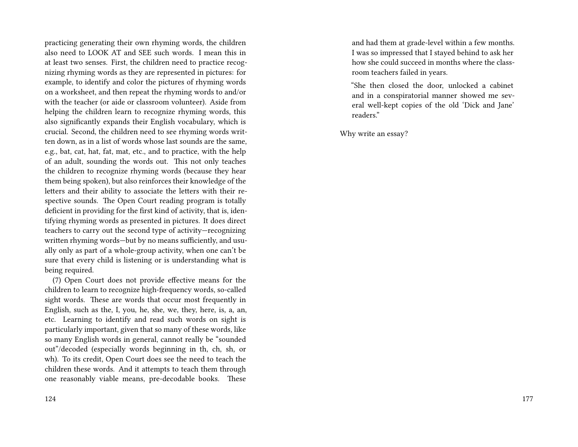practicing generating their own rhyming words, the children also need to LOOK AT and SEE such words. I mean this in at least two senses. First, the children need to practice recognizing rhyming words as they are represented in pictures: for example, to identify and color the pictures of rhyming words on a worksheet, and then repeat the rhyming words to and/or with the teacher (or aide or classroom volunteer). Aside from helping the children learn to recognize rhyming words, this also significantly expands their English vocabulary, which is crucial. Second, the children need to see rhyming words written down, as in a list of words whose last sounds are the same, e.g., bat, cat, hat, fat, mat, etc., and to practice, with the help of an adult, sounding the words out. This not only teaches the children to recognize rhyming words (because they hear them being spoken), but also reinforces their knowledge of the letters and their ability to associate the letters with their respective sounds. The Open Court reading program is totally deficient in providing for the first kind of activity, that is, identifying rhyming words as presented in pictures. It does direct teachers to carry out the second type of activity—recognizing written rhyming words—but by no means sufficiently, and usually only as part of a whole-group activity, when one can't be sure that every child is listening or is understanding what is being required.

(7) Open Court does not provide effective means for the children to learn to recognize high-frequency words, so-called sight words. These are words that occur most frequently in English, such as the, I, you, he, she, we, they, here, is, a, an, etc. Learning to identify and read such words on sight is particularly important, given that so many of these words, like so many English words in general, cannot really be "sounded out"/decoded (especially words beginning in th, ch, sh, or wh). To its credit, Open Court does see the need to teach the children these words. And it attempts to teach them through one reasonably viable means, pre-decodable books. These

and had them at grade-level within a few months. I was so impressed that I stayed behind to ask her how she could succeed in months where the classroom teachers failed in years.

"She then closed the door, unlocked a cabinet and in a conspiratorial manner showed me several well-kept copies of the old 'Dick and Jane' readers."

Why write an essay?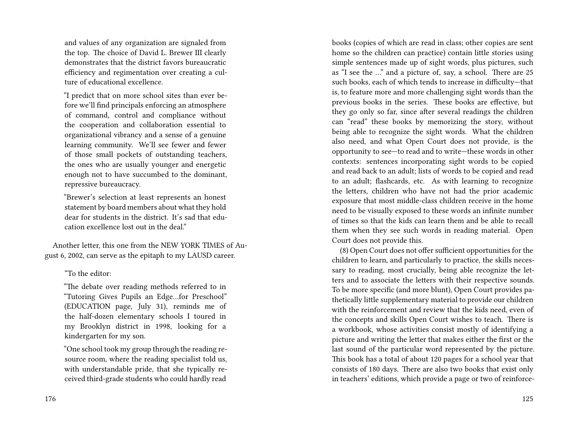and values of any organization are signaled from the top. The choice of David L. Brewer III clearly demonstrates that the district favors bureaucratic efficiency and regimentation over creating a culture of educational excellence.

"I predict that on more school sites than ever before we'll find principals enforcing an atmosphere of command, control and compliance without the cooperation and collaboration essential to organizational vibrancy and a sense of a genuine learning community. We'll see fewer and fewer of those small pockets of outstanding teachers, the ones who are usually younger and energetic enough not to have succumbed to the dominant, repressive bureaucracy.

"Brewer's selection at least represents an honest statement by board members about what they hold dear for students in the district. It's sad that education excellence lost out in the deal."

Another letter, this one from the NEW YORK TIMES of August 6, 2002, can serve as the epitaph to my LAUSD career.

"To the editor:

"The debate over reading methods referred to in "Tutoring Gives Pupils an Edge…for Preschool" (EDUCATION page, July 31), reminds me of the half-dozen elementary schools I toured in my Brooklyn district in 1998, looking for a kindergarten for my son.

"One school took my group through the reading resource room, where the reading specialist told us, with understandable pride, that she typically received third-grade students who could hardly read

books (copies of which are read in class; other copies are sent home so the children can practice) contain little stories using simple sentences made up of sight words, plus pictures, such as "I see the …" and a picture of, say, a school. There are 25 such books, each of which tends to increase in difficulty—that is, to feature more and more challenging sight words than the previous books in the series. These books are effective, but they go only so far, since after several readings the children can "read" these books by memorizing the story, without being able to recognize the sight words. What the children also need, and what Open Court does not provide, is the opportunity to see—to read and to write—these words in other contexts: sentences incorporating sight words to be copied and read back to an adult; lists of words to be copied and read to an adult; flashcards, etc. As with learning to recognize the letters, children who have not had the prior academic exposure that most middle-class children receive in the home need to be visually exposed to these words an infinite number of times so that the kids can learn them and be able to recall them when they see such words in reading material. Open Court does not provide this.

(8) Open Court does not offer sufficient opportunities for the children to learn, and particularly to practice, the skills necessary to reading, most crucially, being able recognize the letters and to associate the letters with their respective sounds. To be more specific (and more blunt), Open Court provides pathetically little supplementary material to provide our children with the reinforcement and review that the kids need, even of the concepts and skills Open Court wishes to teach. There is a workbook, whose activities consist mostly of identifying a picture and writing the letter that makes either the first or the last sound of the particular word represented by the picture. This book has a total of about 120 pages for a school year that consists of 180 days. There are also two books that exist only in teachers' editions, which provide a page or two of reinforce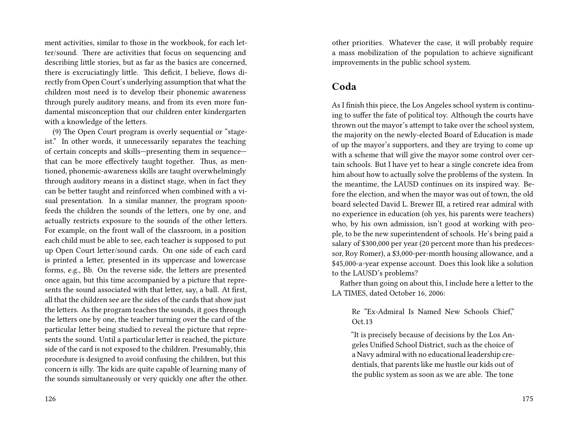ment activities, similar to those in the workbook, for each letter/sound. There are activities that focus on sequencing and describing little stories, but as far as the basics are concerned, there is excruciatingly little. This deficit, I believe, flows directly from Open Court's underlying assumption that what the children most need is to develop their phonemic awareness through purely auditory means, and from its even more fundamental misconception that our children enter kindergarten with a knowledge of the letters.

(9) The Open Court program is overly sequential or "stageist." In other words, it unnecessarily separates the teaching of certain concepts and skills—presenting them in sequence that can be more effectively taught together. Thus, as mentioned, phonemic-awareness skills are taught overwhelmingly through auditory means in a distinct stage, when in fact they can be better taught and reinforced when combined with a visual presentation. In a similar manner, the program spoonfeeds the children the sounds of the letters, one by one, and actually restricts exposure to the sounds of the other letters. For example, on the front wall of the classroom, in a position each child must be able to see, each teacher is supposed to put up Open Court letter/sound cards. On one side of each card is printed a letter, presented in its uppercase and lowercase forms, e.g., Bb. On the reverse side, the letters are presented once again, but this time accompanied by a picture that represents the sound associated with that letter, say, a ball. At first, all that the children see are the sides of the cards that show just the letters. As the program teaches the sounds, it goes through the letters one by one, the teacher turning over the card of the particular letter being studied to reveal the picture that represents the sound. Until a particular letter is reached, the picture side of the card is not exposed to the children. Presumably, this procedure is designed to avoid confusing the children, but this concern is silly. The kids are quite capable of learning many of the sounds simultaneously or very quickly one after the other. other priorities. Whatever the case, it will probably require a mass mobilization of the population to achieve significant improvements in the public school system.

## **Coda**

As I finish this piece, the Los Angeles school system is continuing to suffer the fate of political toy. Although the courts have thrown out the mayor's attempt to take over the school system, the majority on the newly-elected Board of Education is made of up the mayor's supporters, and they are trying to come up with a scheme that will give the mayor some control over certain schools. But I have yet to hear a single concrete idea from him about how to actually solve the problems of the system. In the meantime, the LAUSD continues on its inspired way. Before the election, and when the mayor was out of town, the old board selected David L. Brewer III, a retired rear admiral with no experience in education (oh yes, his parents were teachers) who, by his own admission, isn't good at working with people, to be the new superintendent of schools. He's being paid a salary of \$300,000 per year (20 percent more than his predecessor, Roy Romer), a \$3,000-per-month housing allowance, and a \$45,000-a-year expense account. Does this look like a solution to the LAUSD's problems?

Rather than going on about this, I include here a letter to the LA TIMES, dated October 16, 2006:

#### Re "Ex-Admiral Is Named New Schools Chief," Oct.13

"It is precisely because of decisions by the Los Angeles Unified School District, such as the choice of a Navy admiral with no educational leadership credentials, that parents like me hustle our kids out of the public system as soon as we are able. The tone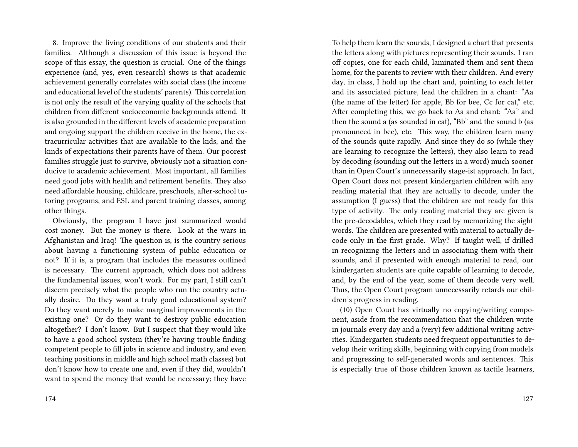8. Improve the living conditions of our students and their families. Although a discussion of this issue is beyond the scope of this essay, the question is crucial. One of the things experience (and, yes, even research) shows is that academic achievement generally correlates with social class (the income and educational level of the students' parents). This correlation is not only the result of the varying quality of the schools that children from different socioeconomic backgrounds attend. It is also grounded in the different levels of academic preparation and ongoing support the children receive in the home, the extracurricular activities that are available to the kids, and the kinds of expectations their parents have of them. Our poorest families struggle just to survive, obviously not a situation conducive to academic achievement. Most important, all families need good jobs with health and retirement benefits. They also need affordable housing, childcare, preschools, after-school tutoring programs, and ESL and parent training classes, among other things.

Obviously, the program I have just summarized would cost money. But the money is there. Look at the wars in Afghanistan and Iraq! The question is, is the country serious about having a functioning system of public education or not? If it is, a program that includes the measures outlined is necessary. The current approach, which does not address the fundamental issues, won't work. For my part, I still can't discern precisely what the people who run the country actually desire. Do they want a truly good educational system? Do they want merely to make marginal improvements in the existing one? Or do they want to destroy public education altogether? I don't know. But I suspect that they would like to have a good school system (they're having trouble finding competent people to fill jobs in science and industry, and even teaching positions in middle and high school math classes) but don't know how to create one and, even if they did, wouldn't want to spend the money that would be necessary; they have

To help them learn the sounds, I designed a chart that presents the letters along with pictures representing their sounds. I ran off copies, one for each child, laminated them and sent them home, for the parents to review with their children. And every day, in class, I hold up the chart and, pointing to each letter and its associated picture, lead the children in a chant: "Aa (the name of the letter) for apple, Bb for bee, Cc for cat," etc. After completing this, we go back to Aa and chant: "Aa" and then the sound a (as sounded in cat), "Bb" and the sound b (as pronounced in bee), etc. This way, the children learn many of the sounds quite rapidly. And since they do so (while they are learning to recognize the letters), they also learn to read by decoding (sounding out the letters in a word) much sooner than in Open Court's unnecessarily stage-ist approach. In fact, Open Court does not present kindergarten children with any reading material that they are actually to decode, under the assumption (I guess) that the children are not ready for this type of activity. The only reading material they are given is the pre-decodables, which they read by memorizing the sight words. The children are presented with material to actually decode only in the first grade. Why? If taught well, if drilled in recognizing the letters and in associating them with their sounds, and if presented with enough material to read, our kindergarten students are quite capable of learning to decode, and, by the end of the year, some of them decode very well. Thus, the Open Court program unnecessarily retards our children's progress in reading.

(10) Open Court has virtually no copying/writing component, aside from the recommendation that the children write in journals every day and a (very) few additional writing activities. Kindergarten students need frequent opportunities to develop their writing skills, beginning with copying from models and progressing to self-generated words and sentences. This is especially true of those children known as tactile learners,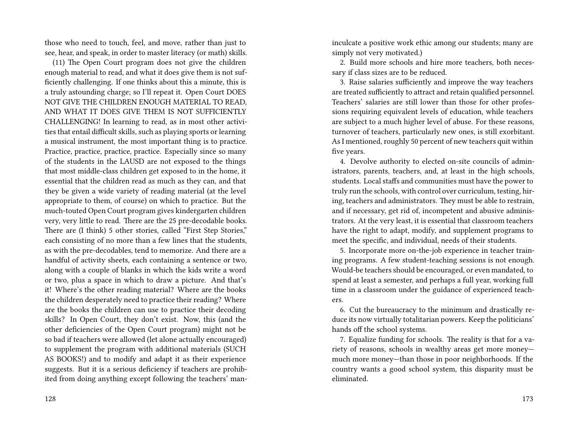those who need to touch, feel, and move, rather than just to see, hear, and speak, in order to master literacy (or math) skills.

(11) The Open Court program does not give the children enough material to read, and what it does give them is not sufficiently challenging. If one thinks about this a minute, this is a truly astounding charge; so I'll repeat it. Open Court DOES NOT GIVE THE CHILDREN ENOUGH MATERIAL TO READ, AND WHAT IT DOES GIVE THEM IS NOT SUFFICIENTLY CHALLENGING! In learning to read, as in most other activities that entail difficult skills, such as playing sports or learning a musical instrument, the most important thing is to practice. Practice, practice, practice, practice. Especially since so many of the students in the LAUSD are not exposed to the things that most middle-class children get exposed to in the home, it essential that the children read as much as they can, and that they be given a wide variety of reading material (at the level appropriate to them, of course) on which to practice. But the much-touted Open Court program gives kindergarten children very, very little to read. There are the 25 pre-decodable books. There are (I think) 5 other stories, called "First Step Stories," each consisting of no more than a few lines that the students, as with the pre-decodables, tend to memorize. And there are a handful of activity sheets, each containing a sentence or two, along with a couple of blanks in which the kids write a word or two, plus a space in which to draw a picture. And that's it! Where's the other reading material? Where are the books the children desperately need to practice their reading? Where are the books the children can use to practice their decoding skills? In Open Court, they don't exist. Now, this (and the other deficiencies of the Open Court program) might not be so bad if teachers were allowed (let alone actually encouraged) to supplement the program with additional materials (SUCH AS BOOKS!) and to modify and adapt it as their experience suggests. But it is a serious deficiency if teachers are prohibited from doing anything except following the teachers' maninculcate a positive work ethic among our students; many are simply not very motivated.)

2. Build more schools and hire more teachers, both necessary if class sizes are to be reduced.

3. Raise salaries sufficiently and improve the way teachers are treated sufficiently to attract and retain qualified personnel. Teachers' salaries are still lower than those for other professions requiring equivalent levels of education, while teachers are subject to a much higher level of abuse. For these reasons, turnover of teachers, particularly new ones, is still exorbitant. As I mentioned, roughly 50 percent of new teachers quit within five years.

4. Devolve authority to elected on-site councils of administrators, parents, teachers, and, at least in the high schools, students. Local staffs and communities must have the power to truly run the schools, with control over curriculum, testing, hiring, teachers and administrators. They must be able to restrain, and if necessary, get rid of, incompetent and abusive administrators. At the very least, it is essential that classroom teachers have the right to adapt, modify, and supplement programs to meet the specific, and individual, needs of their students.

5. Incorporate more on-the-job experience in teacher training programs. A few student-teaching sessions is not enough. Would-be teachers should be encouraged, or even mandated, to spend at least a semester, and perhaps a full year, working full time in a classroom under the guidance of experienced teachers.

6. Cut the bureaucracy to the minimum and drastically reduce its now virtually totalitarian powers. Keep the politicians' hands off the school systems.

7. Equalize funding for schools. The reality is that for a variety of reasons, schools in wealthy areas get more money much more money—than those in poor neighborhoods. If the country wants a good school system, this disparity must be eliminated.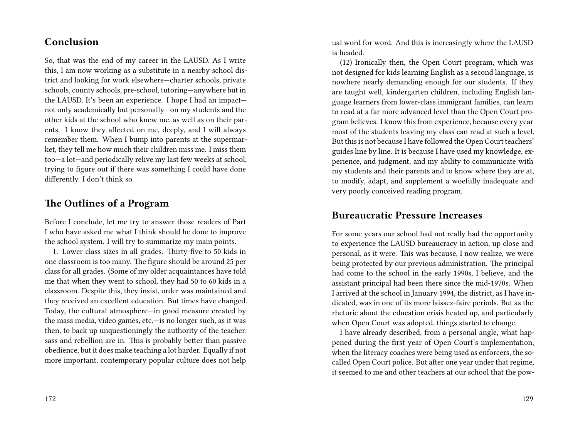## **Conclusion**

So, that was the end of my career in the LAUSD. As I write this, I am now working as a substitute in a nearby school district and looking for work elsewhere—charter schools, private schools, county schools, pre-school, tutoring—anywhere but in the LAUSD. It's been an experience. I hope I had an impact not only academically but personally—on my students and the other kids at the school who knew me, as well as on their parents. I know they affected on me, deeply, and I will always remember them. When I bump into parents at the supermarket, they tell me how much their children miss me. I miss them too—a lot—and periodically relive my last few weeks at school, trying to figure out if there was something I could have done differently. I don't think so.

## **The Outlines of a Program**

Before I conclude, let me try to answer those readers of Part I who have asked me what I think should be done to improve the school system. I will try to summarize my main points.

1. Lower class sizes in all grades. Thirty-five to 50 kids in one classroom is too many. The figure should be around 25 per class for all grades. (Some of my older acquaintances have told me that when they went to school, they had 50 to 60 kids in a classroom. Despite this, they insist, order was maintained and they received an excellent education. But times have changed. Today, the cultural atmosphere—in good measure created by the mass media, video games, etc.—is no longer such, as it was then, to back up unquestioningly the authority of the teacher: sass and rebellion are in. This is probably better than passive obedience, but it does make teaching a lot harder. Equally if not more important, contemporary popular culture does not help

ual word for word. And this is increasingly where the LAUSD is headed.

(12) Ironically then, the Open Court program, which was not designed for kids learning English as a second language, is nowhere nearly demanding enough for our students. If they are taught well, kindergarten children, including English language learners from lower-class immigrant families, can learn to read at a far more advanced level than the Open Court program believes. I know this from experience, because every year most of the students leaving my class can read at such a level. But this is not because I have followed the Open Court teachers' guides line by line. It is because I have used my knowledge, experience, and judgment, and my ability to communicate with my students and their parents and to know where they are at, to modify, adapt, and supplement a woefully inadequate and very poorly conceived reading program.

## **Bureaucratic Pressure Increases**

For some years our school had not really had the opportunity to experience the LAUSD bureaucracy in action, up close and personal, as it were. This was because, I now realize, we were being protected by our previous administration. The principal had come to the school in the early 1990s, I believe, and the assistant principal had been there since the mid-1970s. When I arrived at the school in January 1994, the district, as I have indicated, was in one of its more laissez-faire periods. But as the rhetoric about the education crisis heated up, and particularly when Open Court was adopted, things started to change.

I have already described, from a personal angle, what happened during the first year of Open Court's implementation, when the literacy coaches were being used as enforcers, the socalled Open Court police. But after one year under that regime, it seemed to me and other teachers at our school that the pow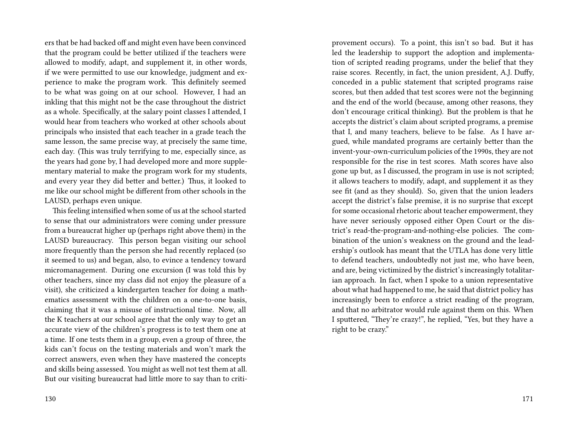ers that be had backed off and might even have been convinced that the program could be better utilized if the teachers were allowed to modify, adapt, and supplement it, in other words, if we were permitted to use our knowledge, judgment and experience to make the program work. This definitely seemed to be what was going on at our school. However, I had an inkling that this might not be the case throughout the district as a whole. Specifically, at the salary point classes I attended, I would hear from teachers who worked at other schools about principals who insisted that each teacher in a grade teach the same lesson, the same precise way, at precisely the same time, each day. (This was truly terrifying to me, especially since, as the years had gone by, I had developed more and more supplementary material to make the program work for my students, and every year they did better and better.) Thus, it looked to me like our school might be different from other schools in the LAUSD, perhaps even unique.

This feeling intensified when some of us at the school started to sense that our administrators were coming under pressure from a bureaucrat higher up (perhaps right above them) in the LAUSD bureaucracy. This person began visiting our school more frequently than the person she had recently replaced (so it seemed to us) and began, also, to evince a tendency toward micromanagement. During one excursion (I was told this by other teachers, since my class did not enjoy the pleasure of a visit), she criticized a kindergarten teacher for doing a mathematics assessment with the children on a one-to-one basis, claiming that it was a misuse of instructional time. Now, all the K teachers at our school agree that the only way to get an accurate view of the children's progress is to test them one at a time. If one tests them in a group, even a group of three, the kids can't focus on the testing materials and won't mark the correct answers, even when they have mastered the concepts and skills being assessed. You might as well not test them at all. But our visiting bureaucrat had little more to say than to criti-

130

provement occurs). To a point, this isn't so bad. But it has led the leadership to support the adoption and implementation of scripted reading programs, under the belief that they raise scores. Recently, in fact, the union president, A.J. Duffy, conceded in a public statement that scripted programs raise scores, but then added that test scores were not the beginning and the end of the world (because, among other reasons, they don't encourage critical thinking). But the problem is that he accepts the district's claim about scripted programs, a premise that I, and many teachers, believe to be false. As I have argued, while mandated programs are certainly better than the invent-your-own-curriculum policies of the 1990s, they are not responsible for the rise in test scores. Math scores have also gone up but, as I discussed, the program in use is not scripted; it allows teachers to modify, adapt, and supplement it as they see fit (and as they should). So, given that the union leaders accept the district's false premise, it is no surprise that except for some occasional rhetoric about teacher empowerment, they have never seriously opposed either Open Court or the district's read-the-program-and-nothing-else policies. The combination of the union's weakness on the ground and the leadership's outlook has meant that the UTLA has done very little to defend teachers, undoubtedly not just me, who have been, and are, being victimized by the district's increasingly totalitarian approach. In fact, when I spoke to a union representative about what had happened to me, he said that district policy has increasingly been to enforce a strict reading of the program, and that no arbitrator would rule against them on this. When I sputtered, "They're crazy!", he replied, "Yes, but they have a right to be crazy."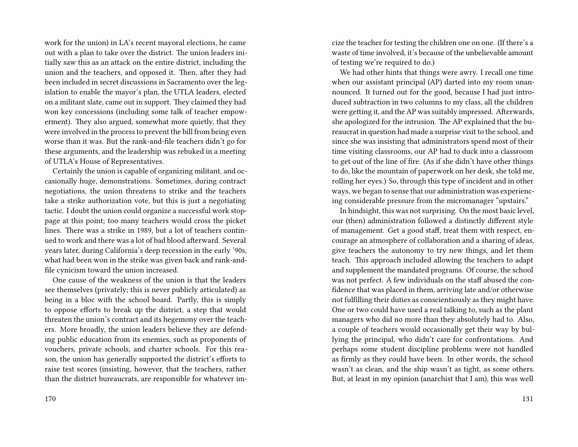work for the union) in LA's recent mayoral elections, he came out with a plan to take over the district. The union leaders initially saw this as an attack on the entire district, including the union and the teachers, and opposed it. Then, after they had been included in secret discussions in Sacramento over the legislation to enable the mayor's plan, the UTLA leaders, elected on a militant slate, came out in support. They claimed they had won key concessions (including some talk of teacher empowerment). They also argued, somewhat more quietly, that they were involved in the process to prevent the bill from being even worse than it was. But the rank-and-file teachers didn't go for these arguments, and the leadership was rebuked in a meeting of UTLA's House of Representatives.

Certainly the union is capable of organizing militant, and occasionally huge, demonstrations. Sometimes, during contract negotiations, the union threatens to strike and the teachers take a strike authorization vote, but this is just a negotiating tactic. I doubt the union could organize a successful work stoppage at this point; too many teachers would cross the picket lines. There was a strike in 1989, but a lot of teachers continued to work and there was a lot of bad blood afterward. Several years later, during California's deep recession in the early '90s, what had been won in the strike was given back and rank-andfile cynicism toward the union increased.

One cause of the weakness of the union is that the leaders see themselves (privately; this is never publicly articulated) as being in a bloc with the school board. Partly, this is simply to oppose efforts to break up the district, a step that would threaten the union's contract and its hegemony over the teachers. More broadly, the union leaders believe they are defending public education from its enemies, such as proponents of vouchers, private schools, and charter schools. For this reason, the union has generally supported the district's efforts to raise test scores (insisting, however, that the teachers, rather than the district bureaucrats, are responsible for whatever imcize the teacher for testing the children one on one. (If there's a waste of time involved, it's because of the unbelievable amount of testing we're required to do.)

We had other hints that things were awry. I recall one time when our assistant principal (AP) darted into my room unannounced. It turned out for the good, because I had just introduced subtraction in two columns to my class, all the children were getting it, and the AP was suitably impressed. Afterwards, she apologized for the intrusion. The AP explained that the bureaucrat in question had made a surprise visit to the school, and since she was insisting that administrators spend most of their time visiting classrooms, our AP had to duck into a classroom to get out of the line of fire. (As if she didn't have other things to do, like the mountain of paperwork on her desk, she told me, rolling her eyes.) So, through this type of incident and in other ways, we began to sense that our administration was experiencing considerable pressure from the micromanager "upstairs."

In hindsight, this was not surprising. On the most basic level, our (then) administration followed a distinctly different style of management. Get a good staff, treat them with respect, encourage an atmosphere of collaboration and a sharing of ideas, give teachers the autonomy to try new things, and let them teach. This approach included allowing the teachers to adapt and supplement the mandated programs. Of course, the school was not perfect. A few individuals on the staff abused the confidence that was placed in them, arriving late and/or otherwise not fulfilling their duties as conscientiously as they might have. One or two could have used a real talking to, such as the plant managers who did no more than they absolutely had to. Also, a couple of teachers would occasionally get their way by bullying the principal, who didn't care for confrontations. And perhaps some student discipline problems were not handled as firmly as they could have been. In other words, the school wasn't as clean, and the ship wasn't as tight, as some others. But, at least in my opinion (anarchist that I am), this was well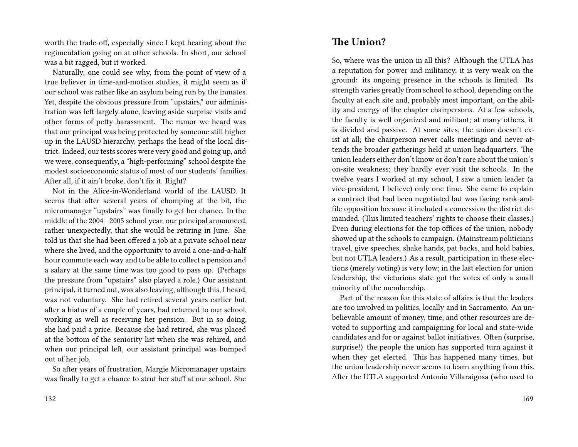worth the trade-off, especially since I kept hearing about the regimentation going on at other schools. In short, our school was a bit ragged, but it worked.

Naturally, one could see why, from the point of view of a true believer in time-and-motion studies, it might seem as if our school was rather like an asylum being run by the inmates. Yet, despite the obvious pressure from "upstairs," our administration was left largely alone, leaving aside surprise visits and other forms of petty harassment. The rumor we heard was that our principal was being protected by someone still higher up in the LAUSD hierarchy, perhaps the head of the local district. Indeed, our tests scores were very good and going up, and we were, consequently, a "high-performing" school despite the modest socioeconomic status of most of our students' families. After all, if it ain't broke, don't fix it. Right?

Not in the Alice-in-Wonderland world of the LAUSD. It seems that after several years of chomping at the bit, the micromanager "upstairs" was finally to get her chance. In the middle of the 2004—2005 school year, our principal announced, rather unexpectedly, that she would be retiring in June. She told us that she had been offered a job at a private school near where she lived, and the opportunity to avoid a one-and-a-half hour commute each way and to be able to collect a pension and a salary at the same time was too good to pass up. (Perhaps the pressure from "upstairs" also played a role.) Our assistant principal, it turned out, was also leaving, although this, I heard, was not voluntary. She had retired several years earlier but, after a hiatus of a couple of years, had returned to our school, working as well as receiving her pension. But in so doing, she had paid a price. Because she had retired, she was placed at the bottom of the seniority list when she was rehired, and when our principal left, our assistant principal was bumped out of her job.

So after years of frustration, Margie Micromanager upstairs was finally to get a chance to strut her stuff at our school. She

## **The Union?**

So, where was the union in all this? Although the UTLA has a reputation for power and militancy, it is very weak on the ground: its ongoing presence in the schools is limited. Its strength varies greatly from school to school, depending on the faculty at each site and, probably most important, on the ability and energy of the chapter chairpersons. At a few schools, the faculty is well organized and militant; at many others, it is divided and passive. At some sites, the union doesn't exist at all; the chairperson never calls meetings and never attends the broader gatherings held at union headquarters. The union leaders either don't know or don't care about the union's on-site weakness; they hardly ever visit the schools. In the twelve years I worked at my school, I saw a union leader (a vice-president, I believe) only one time. She came to explain a contract that had been negotiated but was facing rank-andfile opposition because it included a concession the district demanded. (This limited teachers' rights to choose their classes.) Even during elections for the top offices of the union, nobody showed up at the schools to campaign. (Mainstream politicians travel, give speeches, shake hands, pat backs, and hold babies, but not UTLA leaders.) As a result, participation in these elections (merely voting) is very low; in the last election for union leadership, the victorious slate got the votes of only a small minority of the membership.

Part of the reason for this state of affairs is that the leaders are too involved in politics, locally and in Sacramento. An unbelievable amount of money, time, and other resources are devoted to supporting and campaigning for local and state-wide candidates and for or against ballot initiatives. Often (surprise, surprise!) the people the union has supported turn against it when they get elected. This has happened many times, but the union leadership never seems to learn anything from this. After the UTLA supported Antonio Villaraigosa (who used to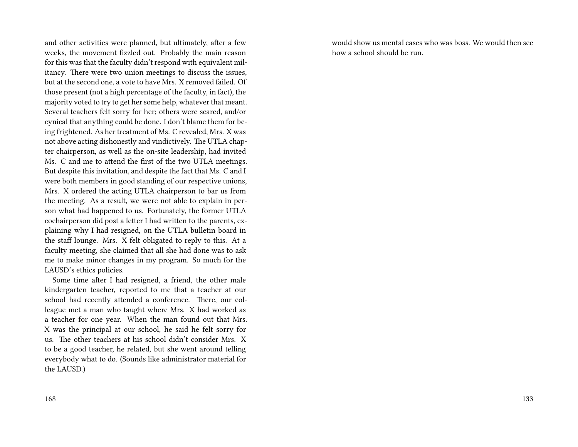and other activities were planned, but ultimately, after a few weeks, the movement fizzled out. Probably the main reason for this was that the faculty didn't respond with equivalent militancy. There were two union meetings to discuss the issues, but at the second one, a vote to have Mrs. X removed failed. Of those present (not a high percentage of the faculty, in fact), the majority voted to try to get her some help, whatever that meant. Several teachers felt sorry for her; others were scared, and/or cynical that anything could be done. I don't blame them for being frightened. As her treatment of Ms. C revealed, Mrs. X was not above acting dishonestly and vindictively. The UTLA chapter chairperson, as well as the on-site leadership, had invited Ms. C and me to attend the first of the two UTLA meetings. But despite this invitation, and despite the fact that Ms. C and I were both members in good standing of our respective unions, Mrs. X ordered the acting UTLA chairperson to bar us from the meeting. As a result, we were not able to explain in person what had happened to us. Fortunately, the former UTLA cochairperson did post a letter I had written to the parents, explaining why I had resigned, on the UTLA bulletin board in the staff lounge. Mrs. X felt obligated to reply to this. At a faculty meeting, she claimed that all she had done was to ask me to make minor changes in my program. So much for the LAUSD's ethics policies.

Some time after I had resigned, a friend, the other male kindergarten teacher, reported to me that a teacher at our school had recently attended a conference. There, our colleague met a man who taught where Mrs. X had worked as a teacher for one year. When the man found out that Mrs. X was the principal at our school, he said he felt sorry for us. The other teachers at his school didn't consider Mrs. X to be a good teacher, he related, but she went around telling everybody what to do. (Sounds like administrator material for the LAUSD.)

would show us mental cases who was boss. We would then see how a school should be run.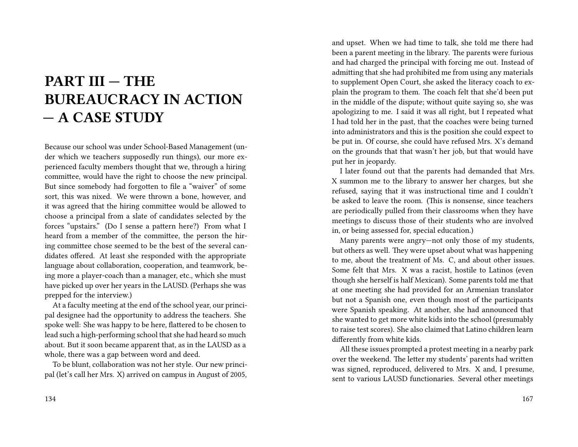## **PART III — THE BUREAUCRACY IN ACTION — A CASE STUDY**

Because our school was under School-Based Management (under which we teachers supposedly run things), our more experienced faculty members thought that we, through a hiring committee, would have the right to choose the new principal. But since somebody had forgotten to file a "waiver" of some sort, this was nixed. We were thrown a bone, however, and it was agreed that the hiring committee would be allowed to choose a principal from a slate of candidates selected by the forces "upstairs." (Do I sense a pattern here?) From what I heard from a member of the committee, the person the hiring committee chose seemed to be the best of the several candidates offered. At least she responded with the appropriate language about collaboration, cooperation, and teamwork, being more a player-coach than a manager, etc., which she must have picked up over her years in the LAUSD. (Perhaps she was prepped for the interview.)

At a faculty meeting at the end of the school year, our principal designee had the opportunity to address the teachers. She spoke well: She was happy to be here, flattered to be chosen to lead such a high-performing school that she had heard so much about. But it soon became apparent that, as in the LAUSD as a whole, there was a gap between word and deed.

To be blunt, collaboration was not her style. Our new principal (let's call her Mrs. X) arrived on campus in August of 2005,

and upset. When we had time to talk, she told me there had been a parent meeting in the library. The parents were furious and had charged the principal with forcing me out. Instead of admitting that she had prohibited me from using any materials to supplement Open Court, she asked the literacy coach to explain the program to them. The coach felt that she'd been put in the middle of the dispute; without quite saying so, she was apologizing to me. I said it was all right, but I repeated what I had told her in the past, that the coaches were being turned into administrators and this is the position she could expect to be put in. Of course, she could have refused Mrs. X's demand on the grounds that that wasn't her job, but that would have put her in jeopardy.

I later found out that the parents had demanded that Mrs. X summon me to the library to answer her charges, but she refused, saying that it was instructional time and I couldn't be asked to leave the room. (This is nonsense, since teachers are periodically pulled from their classrooms when they have meetings to discuss those of their students who are involved in, or being assessed for, special education.)

Many parents were angry—not only those of my students, but others as well. They were upset about what was happening to me, about the treatment of Ms. C, and about other issues. Some felt that Mrs. X was a racist, hostile to Latinos (even though she herself is half Mexican). Some parents told me that at one meeting she had provided for an Armenian translator but not a Spanish one, even though most of the participants were Spanish speaking. At another, she had announced that she wanted to get more white kids into the school (presumably to raise test scores). She also claimed that Latino children learn differently from white kids.

All these issues prompted a protest meeting in a nearby park over the weekend. The letter my students' parents had written was signed, reproduced, delivered to Mrs. X and, I presume, sent to various LAUSD functionaries. Several other meetings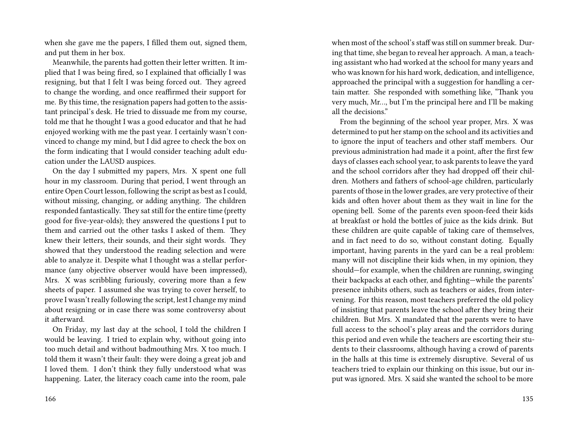when she gave me the papers, I filled them out, signed them, and put them in her box.

Meanwhile, the parents had gotten their letter written. It implied that I was being fired, so I explained that officially I was resigning, but that I felt I was being forced out. They agreed to change the wording, and once reaffirmed their support for me. By this time, the resignation papers had gotten to the assistant principal's desk. He tried to dissuade me from my course, told me that he thought I was a good educator and that he had enjoyed working with me the past year. I certainly wasn't convinced to change my mind, but I did agree to check the box on the form indicating that I would consider teaching adult education under the LAUSD auspices.

On the day I submitted my papers, Mrs. X spent one full hour in my classroom. During that period, I went through an entire Open Court lesson, following the script as best as I could, without missing, changing, or adding anything. The children responded fantastically. They sat still for the entire time (pretty good for five-year-olds); they answered the questions I put to them and carried out the other tasks I asked of them. They knew their letters, their sounds, and their sight words. They showed that they understood the reading selection and were able to analyze it. Despite what I thought was a stellar performance (any objective observer would have been impressed), Mrs. X was scribbling furiously, covering more than a few sheets of paper. I assumed she was trying to cover herself, to prove I wasn't really following the script, lest I change my mind about resigning or in case there was some controversy about it afterward.

On Friday, my last day at the school, I told the children I would be leaving. I tried to explain why, without going into too much detail and without badmouthing Mrs. X too much. I told them it wasn't their fault: they were doing a great job and I loved them. I don't think they fully understood what was happening. Later, the literacy coach came into the room, pale when most of the school's staff was still on summer break. During that time, she began to reveal her approach. A man, a teaching assistant who had worked at the school for many years and who was known for his hard work, dedication, and intelligence, approached the principal with a suggestion for handling a certain matter. She responded with something like, "Thank you very much, Mr…, but I'm the principal here and I'll be making all the decisions."

From the beginning of the school year proper, Mrs. X was determined to put her stamp on the school and its activities and to ignore the input of teachers and other staff members. Our previous administration had made it a point, after the first few days of classes each school year, to ask parents to leave the yard and the school corridors after they had dropped off their children. Mothers and fathers of school-age children, particularly parents of those in the lower grades, are very protective of their kids and often hover about them as they wait in line for the opening bell. Some of the parents even spoon-feed their kids at breakfast or hold the bottles of juice as the kids drink. But these children are quite capable of taking care of themselves, and in fact need to do so, without constant doting. Equally important, having parents in the yard can be a real problem: many will not discipline their kids when, in my opinion, they should—for example, when the children are running, swinging their backpacks at each other, and fighting—while the parents' presence inhibits others, such as teachers or aides, from intervening. For this reason, most teachers preferred the old policy of insisting that parents leave the school after they bring their children. But Mrs. X mandated that the parents were to have full access to the school's play areas and the corridors during this period and even while the teachers are escorting their students to their classrooms, although having a crowd of parents in the halls at this time is extremely disruptive. Several of us teachers tried to explain our thinking on this issue, but our input was ignored. Mrs. X said she wanted the school to be more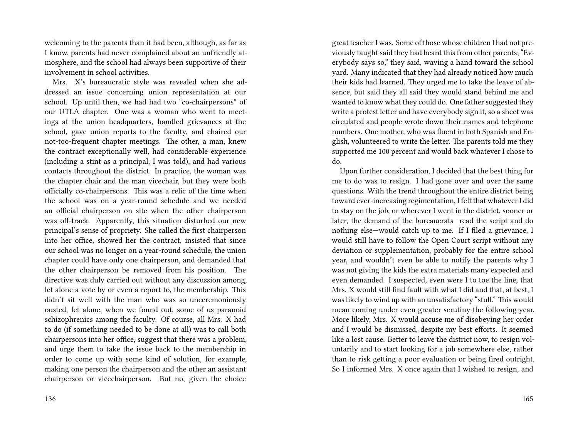welcoming to the parents than it had been, although, as far as I know, parents had never complained about an unfriendly atmosphere, and the school had always been supportive of their involvement in school activities.

Mrs. X's bureaucratic style was revealed when she addressed an issue concerning union representation at our school. Up until then, we had had two "co-chairpersons" of our UTLA chapter. One was a woman who went to meetings at the union headquarters, handled grievances at the school, gave union reports to the faculty, and chaired our not-too-frequent chapter meetings. The other, a man, knew the contract exceptionally well, had considerable experience (including a stint as a principal, I was told), and had various contacts throughout the district. In practice, the woman was the chapter chair and the man vicechair, but they were both officially co-chairpersons. This was a relic of the time when the school was on a year-round schedule and we needed an official chairperson on site when the other chairperson was off-track. Apparently, this situation disturbed our new principal's sense of propriety. She called the first chairperson into her office, showed her the contract, insisted that since our school was no longer on a year-round schedule, the union chapter could have only one chairperson, and demanded that the other chairperson be removed from his position. The directive was duly carried out without any discussion among, let alone a vote by or even a report to, the membership. This didn't sit well with the man who was so unceremoniously ousted, let alone, when we found out, some of us paranoid schizophrenics among the faculty. Of course, all Mrs. X had to do (if something needed to be done at all) was to call both chairpersons into her office, suggest that there was a problem, and urge them to take the issue back to the membership in order to come up with some kind of solution, for example, making one person the chairperson and the other an assistant chairperson or vicechairperson. But no, given the choice

great teacher I was. Some of those whose children I had not previously taught said they had heard this from other parents; "Everybody says so," they said, waving a hand toward the school yard. Many indicated that they had already noticed how much their kids had learned. They urged me to take the leave of absence, but said they all said they would stand behind me and wanted to know what they could do. One father suggested they write a protest letter and have everybody sign it, so a sheet was circulated and people wrote down their names and telephone numbers. One mother, who was fluent in both Spanish and English, volunteered to write the letter. The parents told me they supported me 100 percent and would back whatever I chose to do.

Upon further consideration, I decided that the best thing for me to do was to resign. I had gone over and over the same questions. With the trend throughout the entire district being toward ever-increasing regimentation, I felt that whatever I did to stay on the job, or wherever I went in the district, sooner or later, the demand of the bureaucrats—read the script and do nothing else—would catch up to me. If I filed a grievance, I would still have to follow the Open Court script without any deviation or supplementation, probably for the entire school year, and wouldn't even be able to notify the parents why I was not giving the kids the extra materials many expected and even demanded. I suspected, even were I to toe the line, that Mrs. X would still find fault with what I did and that, at best, I was likely to wind up with an unsatisfactory "stull." This would mean coming under even greater scrutiny the following year. More likely, Mrs. X would accuse me of disobeying her order and I would be dismissed, despite my best efforts. It seemed like a lost cause. Better to leave the district now, to resign voluntarily and to start looking for a job somewhere else, rather than to risk getting a poor evaluation or being fired outright. So I informed Mrs. X once again that I wished to resign, and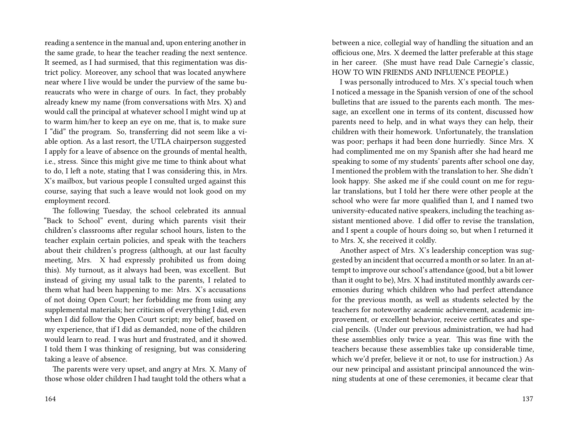reading a sentence in the manual and, upon entering another in the same grade, to hear the teacher reading the next sentence. It seemed, as I had surmised, that this regimentation was district policy. Moreover, any school that was located anywhere near where I live would be under the purview of the same bureaucrats who were in charge of ours. In fact, they probably already knew my name (from conversations with Mrs. X) and would call the principal at whatever school I might wind up at to warm him/her to keep an eye on me, that is, to make sure I "did" the program. So, transferring did not seem like a viable option. As a last resort, the UTLA chairperson suggested I apply for a leave of absence on the grounds of mental health, i.e., stress. Since this might give me time to think about what to do, I left a note, stating that I was considering this, in Mrs. X's mailbox, but various people I consulted urged against this course, saying that such a leave would not look good on my employment record.

The following Tuesday, the school celebrated its annual "Back to School" event, during which parents visit their children's classrooms after regular school hours, listen to the teacher explain certain policies, and speak with the teachers about their children's progress (although, at our last faculty meeting, Mrs. X had expressly prohibited us from doing this). My turnout, as it always had been, was excellent. But instead of giving my usual talk to the parents, I related to them what had been happening to me: Mrs. X's accusations of not doing Open Court; her forbidding me from using any supplemental materials; her criticism of everything I did, even when I did follow the Open Court script; my belief, based on my experience, that if I did as demanded, none of the children would learn to read. I was hurt and frustrated, and it showed. I told them I was thinking of resigning, but was considering taking a leave of absence.

The parents were very upset, and angry at Mrs. X. Many of those whose older children I had taught told the others what a

between a nice, collegial way of handling the situation and an officious one, Mrs. X deemed the latter preferable at this stage in her career. (She must have read Dale Carnegie's classic, HOW TO WIN FRIENDS AND INFLUENCE PEOPLE.)

I was personally introduced to Mrs. X's special touch when I noticed a message in the Spanish version of one of the school bulletins that are issued to the parents each month. The message, an excellent one in terms of its content, discussed how parents need to help, and in what ways they can help, their children with their homework. Unfortunately, the translation was poor; perhaps it had been done hurriedly. Since Mrs. X had complimented me on my Spanish after she had heard me speaking to some of my students' parents after school one day, I mentioned the problem with the translation to her. She didn't look happy. She asked me if she could count on me for regular translations, but I told her there were other people at the school who were far more qualified than I, and I named two university-educated native speakers, including the teaching assistant mentioned above. I did offer to revise the translation, and I spent a couple of hours doing so, but when I returned it to Mrs. X, she received it coldly.

Another aspect of Mrs. X's leadership conception was suggested by an incident that occurred a month or so later. In an attempt to improve our school's attendance (good, but a bit lower than it ought to be), Mrs. X had instituted monthly awards ceremonies during which children who had perfect attendance for the previous month, as well as students selected by the teachers for noteworthy academic achievement, academic improvement, or excellent behavior, receive certificates and special pencils. (Under our previous administration, we had had these assemblies only twice a year. This was fine with the teachers because these assemblies take up considerable time, which we'd prefer, believe it or not, to use for instruction.) As our new principal and assistant principal announced the winning students at one of these ceremonies, it became clear that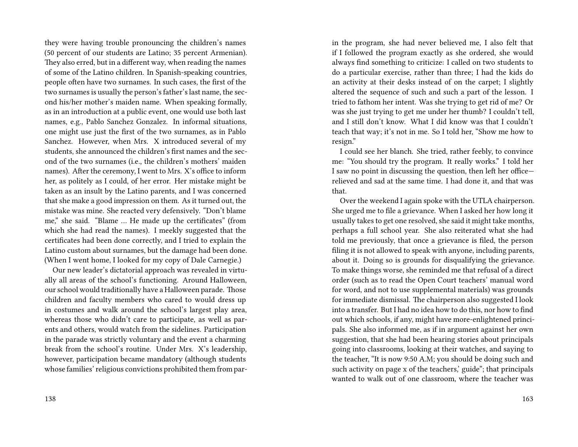they were having trouble pronouncing the children's names (50 percent of our students are Latino; 35 percent Armenian). They also erred, but in a different way, when reading the names of some of the Latino children. In Spanish-speaking countries, people often have two surnames. In such cases, the first of the two surnames is usually the person's father's last name, the second his/her mother's maiden name. When speaking formally, as in an introduction at a public event, one would use both last names, e.g., Pablo Sanchez Gonzalez. In informal situations, one might use just the first of the two surnames, as in Pablo Sanchez. However, when Mrs. X introduced several of my students, she announced the children's first names and the second of the two surnames (i.e., the children's mothers' maiden names). After the ceremony, I went to Mrs. X's office to inform her, as politely as I could, of her error. Her mistake might be taken as an insult by the Latino parents, and I was concerned that she make a good impression on them. As it turned out, the mistake was mine. She reacted very defensively. "Don't blame me," she said. "Blame … He made up the certificates" (from which she had read the names). I meekly suggested that the certificates had been done correctly, and I tried to explain the Latino custom about surnames, but the damage had been done. (When I went home, I looked for my copy of Dale Carnegie.)

Our new leader's dictatorial approach was revealed in virtually all areas of the school's functioning. Around Halloween, our school would traditionally have a Halloween parade. Those children and faculty members who cared to would dress up in costumes and walk around the school's largest play area, whereas those who didn't care to participate, as well as parents and others, would watch from the sidelines. Participation in the parade was strictly voluntary and the event a charming break from the school's routine. Under Mrs. X's leadership, however, participation became mandatory (although students whose families' religious convictions prohibited them from parin the program, she had never believed me, I also felt that if I followed the program exactly as she ordered, she would always find something to criticize: I called on two students to do a particular exercise, rather than three; I had the kids do an activity at their desks instead of on the carpet; I slightly altered the sequence of such and such a part of the lesson. I tried to fathom her intent. Was she trying to get rid of me? Or was she just trying to get me under her thumb? I couldn't tell, and I still don't know. What I did know was that I couldn't teach that way; it's not in me. So I told her, "Show me how to resign."

I could see her blanch. She tried, rather feebly, to convince me: "You should try the program. It really works." I told her I saw no point in discussing the question, then left her office relieved and sad at the same time. I had done it, and that was that.

Over the weekend I again spoke with the UTLA chairperson. She urged me to file a grievance. When I asked her how long it usually takes to get one resolved, she said it might take months, perhaps a full school year. She also reiterated what she had told me previously, that once a grievance is filed, the person filing it is not allowed to speak with anyone, including parents, about it. Doing so is grounds for disqualifying the grievance. To make things worse, she reminded me that refusal of a direct order (such as to read the Open Court teachers' manual word for word, and not to use supplemental materials) was grounds for immediate dismissal. The chairperson also suggested I look into a transfer. But I had no idea how to do this, nor how to find out which schools, if any, might have more-enlightened principals. She also informed me, as if in argument against her own suggestion, that she had been hearing stories about principals going into classrooms, looking at their watches, and saying to the teacher, "It is now 9:50 A.M; you should be doing such and such activity on page x of the teachers,' guide"; that principals wanted to walk out of one classroom, where the teacher was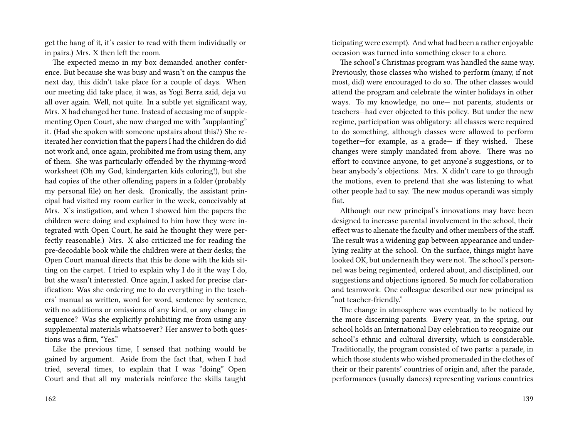get the hang of it, it's easier to read with them individually or in pairs.) Mrs. X then left the room.

The expected memo in my box demanded another conference. But because she was busy and wasn't on the campus the next day, this didn't take place for a couple of days. When our meeting did take place, it was, as Yogi Berra said, deja vu all over again. Well, not quite. In a subtle yet significant way, Mrs. X had changed her tune. Instead of accusing me of supplementing Open Court, she now charged me with "supplanting" it. (Had she spoken with someone upstairs about this?) She reiterated her conviction that the papers I had the children do did not work and, once again, prohibited me from using them, any of them. She was particularly offended by the rhyming-word worksheet (Oh my God, kindergarten kids coloring!), but she had copies of the other offending papers in a folder (probably my personal file) on her desk. (Ironically, the assistant principal had visited my room earlier in the week, conceivably at Mrs. X's instigation, and when I showed him the papers the children were doing and explained to him how they were integrated with Open Court, he said he thought they were perfectly reasonable.) Mrs. X also criticized me for reading the pre-decodable book while the children were at their desks; the Open Court manual directs that this be done with the kids sitting on the carpet. I tried to explain why I do it the way I do, but she wasn't interested. Once again, I asked for precise clarification: Was she ordering me to do everything in the teachers' manual as written, word for word, sentence by sentence, with no additions or omissions of any kind, or any change in sequence? Was she explicitly prohibiting me from using any supplemental materials whatsoever? Her answer to both questions was a firm, "Yes."

Like the previous time, I sensed that nothing would be gained by argument. Aside from the fact that, when I had tried, several times, to explain that I was "doing" Open Court and that all my materials reinforce the skills taught ticipating were exempt). And what had been a rather enjoyable occasion was turned into something closer to a chore.

The school's Christmas program was handled the same way. Previously, those classes who wished to perform (many, if not most, did) were encouraged to do so. The other classes would attend the program and celebrate the winter holidays in other ways. To my knowledge, no one— not parents, students or teachers—had ever objected to this policy. But under the new regime, participation was obligatory: all classes were required to do something, although classes were allowed to perform together—for example, as a grade— if they wished. These changes were simply mandated from above. There was no effort to convince anyone, to get anyone's suggestions, or to hear anybody's objections. Mrs. X didn't care to go through the motions, even to pretend that she was listening to what other people had to say. The new modus operandi was simply fiat.

Although our new principal's innovations may have been designed to increase parental involvement in the school, their effect was to alienate the faculty and other members of the staff. The result was a widening gap between appearance and underlying reality at the school. On the surface, things might have looked OK, but underneath they were not. The school's personnel was being regimented, ordered about, and disciplined, our suggestions and objections ignored. So much for collaboration and teamwork. One colleague described our new principal as "not teacher-friendly."

The change in atmosphere was eventually to be noticed by the more discerning parents. Every year, in the spring, our school holds an International Day celebration to recognize our school's ethnic and cultural diversity, which is considerable. Traditionally, the program consisted of two parts: a parade, in which those students who wished promenaded in the clothes of their or their parents' countries of origin and, after the parade, performances (usually dances) representing various countries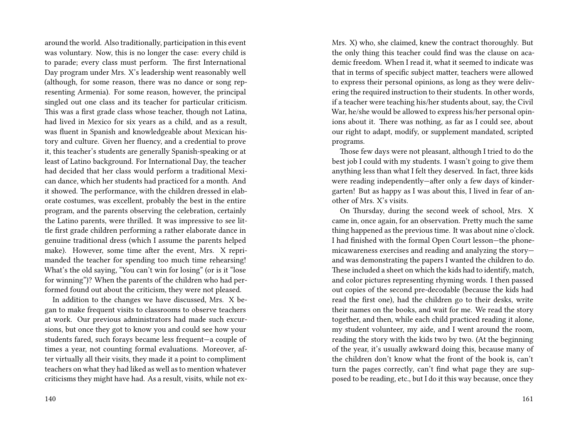around the world. Also traditionally, participation in this event was voluntary. Now, this is no longer the case: every child is to parade; every class must perform. The first International Day program under Mrs. X's leadership went reasonably well (although, for some reason, there was no dance or song representing Armenia). For some reason, however, the principal singled out one class and its teacher for particular criticism. This was a first grade class whose teacher, though not Latina, had lived in Mexico for six years as a child, and as a result, was fluent in Spanish and knowledgeable about Mexican history and culture. Given her fluency, and a credential to prove it, this teacher's students are generally Spanish-speaking or at least of Latino background. For International Day, the teacher had decided that her class would perform a traditional Mexican dance, which her students had practiced for a month. And it showed. The performance, with the children dressed in elaborate costumes, was excellent, probably the best in the entire program, and the parents observing the celebration, certainly the Latino parents, were thrilled. It was impressive to see little first grade children performing a rather elaborate dance in genuine traditional dress (which I assume the parents helped make). However, some time after the event, Mrs. X reprimanded the teacher for spending too much time rehearsing! What's the old saying, "You can't win for losing" (or is it "lose for winning")? When the parents of the children who had performed found out about the criticism, they were not pleased.

In addition to the changes we have discussed, Mrs. X began to make frequent visits to classrooms to observe teachers at work. Our previous administrators had made such excursions, but once they got to know you and could see how your students fared, such forays became less frequent—a couple of times a year, not counting formal evaluations. Moreover, after virtually all their visits, they made it a point to compliment teachers on what they had liked as well as to mention whatever criticisms they might have had. As a result, visits, while not exMrs. X) who, she claimed, knew the contract thoroughly. But the only thing this teacher could find was the clause on academic freedom. When I read it, what it seemed to indicate was that in terms of specific subject matter, teachers were allowed to express their personal opinions, as long as they were delivering the required instruction to their students. In other words, if a teacher were teaching his/her students about, say, the Civil War, he/she would be allowed to express his/her personal opinions about it. There was nothing, as far as I could see, about our right to adapt, modify, or supplement mandated, scripted programs.

Those few days were not pleasant, although I tried to do the best job I could with my students. I wasn't going to give them anything less than what I felt they deserved. In fact, three kids were reading independently—after only a few days of kindergarten! But as happy as I was about this, I lived in fear of another of Mrs. X's visits.

On Thursday, during the second week of school, Mrs. X came in, once again, for an observation. Pretty much the same thing happened as the previous time. It was about nine o'clock. I had finished with the formal Open Court lesson—the phonemicawareness exercises and reading and analyzing the story and was demonstrating the papers I wanted the children to do. These included a sheet on which the kids had to identify, match, and color pictures representing rhyming words. I then passed out copies of the second pre-decodable (because the kids had read the first one), had the children go to their desks, write their names on the books, and wait for me. We read the story together, and then, while each child practiced reading it alone, my student volunteer, my aide, and I went around the room, reading the story with the kids two by two. (At the beginning of the year, it's usually awkward doing this, because many of the children don't know what the front of the book is, can't turn the pages correctly, can't find what page they are supposed to be reading, etc., but I do it this way because, once they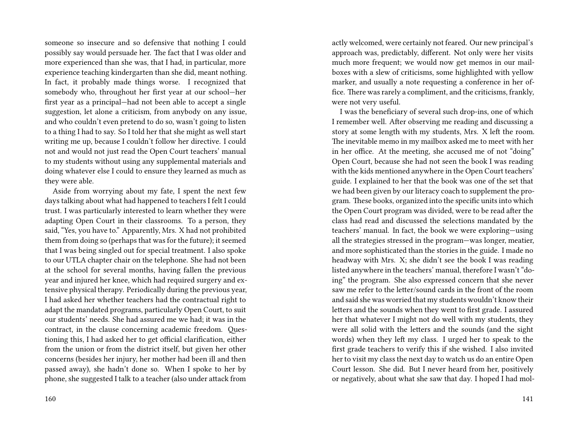someone so insecure and so defensive that nothing I could possibly say would persuade her. The fact that I was older and more experienced than she was, that I had, in particular, more experience teaching kindergarten than she did, meant nothing. In fact, it probably made things worse. I recognized that somebody who, throughout her first year at our school—her first year as a principal—had not been able to accept a single suggestion, let alone a criticism, from anybody on any issue, and who couldn't even pretend to do so, wasn't going to listen to a thing I had to say. So I told her that she might as well start writing me up, because I couldn't follow her directive. I could not and would not just read the Open Court teachers' manual to my students without using any supplemental materials and doing whatever else I could to ensure they learned as much as they were able.

Aside from worrying about my fate, I spent the next few days talking about what had happened to teachers I felt I could trust. I was particularly interested to learn whether they were adapting Open Court in their classrooms. To a person, they said, "Yes, you have to." Apparently, Mrs. X had not prohibited them from doing so (perhaps that was for the future); it seemed that I was being singled out for special treatment. I also spoke to our UTLA chapter chair on the telephone. She had not been at the school for several months, having fallen the previous year and injured her knee, which had required surgery and extensive physical therapy. Periodically during the previous year, I had asked her whether teachers had the contractual right to adapt the mandated programs, particularly Open Court, to suit our students' needs. She had assured me we had; it was in the contract, in the clause concerning academic freedom. Questioning this, I had asked her to get official clarification, either from the union or from the district itself, but given her other concerns (besides her injury, her mother had been ill and then passed away), she hadn't done so. When I spoke to her by phone, she suggested I talk to a teacher (also under attack from

actly welcomed, were certainly not feared. Our new principal's approach was, predictably, different. Not only were her visits much more frequent; we would now get memos in our mailboxes with a slew of criticisms, some highlighted with yellow marker, and usually a note requesting a conference in her office. There was rarely a compliment, and the criticisms, frankly, were not very useful.

I was the beneficiary of several such drop-ins, one of which I remember well. After observing me reading and discussing a story at some length with my students, Mrs. X left the room. The inevitable memo in my mailbox asked me to meet with her in her office. At the meeting, she accused me of not "doing" Open Court, because she had not seen the book I was reading with the kids mentioned anywhere in the Open Court teachers' guide. I explained to her that the book was one of the set that we had been given by our literacy coach to supplement the program. These books, organized into the specific units into which the Open Court program was divided, were to be read after the class had read and discussed the selections mandated by the teachers' manual. In fact, the book we were exploring—using all the strategies stressed in the program—was longer, meatier, and more sophisticated than the stories in the guide. I made no headway with Mrs. X; she didn't see the book I was reading listed anywhere in the teachers' manual, therefore I wasn't "doing" the program. She also expressed concern that she never saw me refer to the letter/sound cards in the front of the room and said she was worried that my students wouldn't know their letters and the sounds when they went to first grade. I assured her that whatever I might not do well with my students, they were all solid with the letters and the sounds (and the sight words) when they left my class. I urged her to speak to the first grade teachers to verify this if she wished. I also invited her to visit my class the next day to watch us do an entire Open Court lesson. She did. But I never heard from her, positively or negatively, about what she saw that day. I hoped I had mol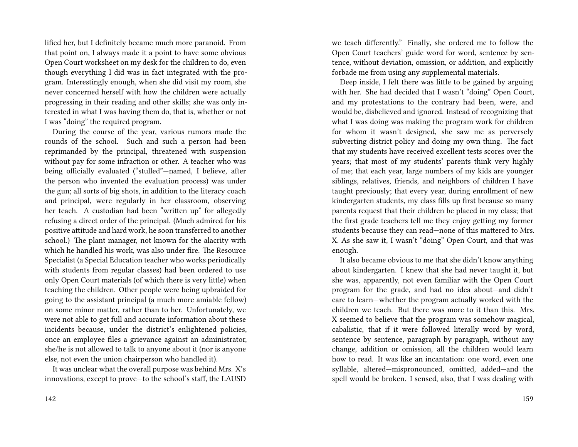lified her, but I definitely became much more paranoid. From that point on, I always made it a point to have some obvious Open Court worksheet on my desk for the children to do, even though everything I did was in fact integrated with the program. Interestingly enough, when she did visit my room, she never concerned herself with how the children were actually progressing in their reading and other skills; she was only interested in what I was having them do, that is, whether or not I was "doing" the required program.

During the course of the year, various rumors made the rounds of the school. Such and such a person had been reprimanded by the principal, threatened with suspension without pay for some infraction or other. A teacher who was being officially evaluated ("stulled"—named, I believe, after the person who invented the evaluation process) was under the gun; all sorts of big shots, in addition to the literacy coach and principal, were regularly in her classroom, observing her teach. A custodian had been "written up" for allegedly refusing a direct order of the principal. (Much admired for his positive attitude and hard work, he soon transferred to another school.) The plant manager, not known for the alacrity with which he handled his work, was also under fire. The Resource Specialist (a Special Education teacher who works periodically with students from regular classes) had been ordered to use only Open Court materials (of which there is very little) when teaching the children. Other people were being upbraided for going to the assistant principal (a much more amiable fellow) on some minor matter, rather than to her. Unfortunately, we were not able to get full and accurate information about these incidents because, under the district's enlightened policies, once an employee files a grievance against an administrator, she/he is not allowed to talk to anyone about it (nor is anyone else, not even the union chairperson who handled it).

It was unclear what the overall purpose was behind Mrs. X's innovations, except to prove—to the school's staff, the LAUSD

we teach differently." Finally, she ordered me to follow the Open Court teachers' guide word for word, sentence by sentence, without deviation, omission, or addition, and explicitly forbade me from using any supplemental materials.

Deep inside, I felt there was little to be gained by arguing with her. She had decided that I wasn't "doing" Open Court, and my protestations to the contrary had been, were, and would be, disbelieved and ignored. Instead of recognizing that what I was doing was making the program work for children for whom it wasn't designed, she saw me as perversely subverting district policy and doing my own thing. The fact that my students have received excellent tests scores over the years; that most of my students' parents think very highly of me; that each year, large numbers of my kids are younger siblings, relatives, friends, and neighbors of children I have taught previously; that every year, during enrollment of new kindergarten students, my class fills up first because so many parents request that their children be placed in my class; that the first grade teachers tell me they enjoy getting my former students because they can read—none of this mattered to Mrs. X. As she saw it, I wasn't "doing" Open Court, and that was enough.

It also became obvious to me that she didn't know anything about kindergarten. I knew that she had never taught it, but she was, apparently, not even familiar with the Open Court program for the grade, and had no idea about—and didn't care to learn—whether the program actually worked with the children we teach. But there was more to it than this. Mrs. X seemed to believe that the program was somehow magical, cabalistic, that if it were followed literally word by word, sentence by sentence, paragraph by paragraph, without any change, addition or omission, all the children would learn how to read. It was like an incantation: one word, even one syllable, altered—mispronounced, omitted, added—and the spell would be broken. I sensed, also, that I was dealing with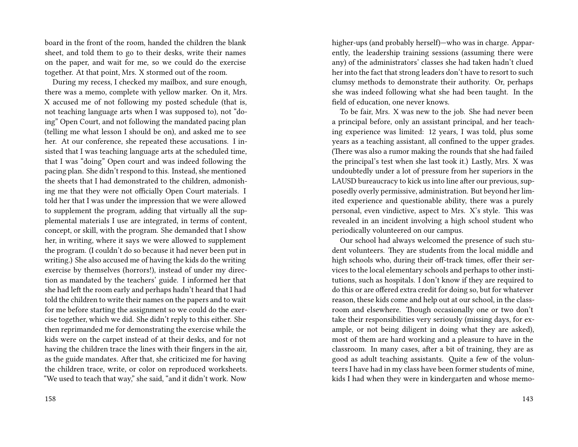board in the front of the room, handed the children the blank sheet, and told them to go to their desks, write their names on the paper, and wait for me, so we could do the exercise together. At that point, Mrs. X stormed out of the room.

During my recess, I checked my mailbox, and sure enough, there was a memo, complete with yellow marker. On it, Mrs. X accused me of not following my posted schedule (that is, not teaching language arts when I was supposed to), not "doing" Open Court, and not following the mandated pacing plan (telling me what lesson I should be on), and asked me to see her. At our conference, she repeated these accusations. I insisted that I was teaching language arts at the scheduled time, that I was "doing" Open court and was indeed following the pacing plan. She didn't respond to this. Instead, she mentioned the sheets that I had demonstrated to the children, admonishing me that they were not officially Open Court materials. I told her that I was under the impression that we were allowed to supplement the program, adding that virtually all the supplemental materials I use are integrated, in terms of content, concept, or skill, with the program. She demanded that I show her, in writing, where it says we were allowed to supplement the program. (I couldn't do so because it had never been put in writing.) She also accused me of having the kids do the writing exercise by themselves (horrors!), instead of under my direction as mandated by the teachers' guide. I informed her that she had left the room early and perhaps hadn't heard that I had told the children to write their names on the papers and to wait for me before starting the assignment so we could do the exercise together, which we did. She didn't reply to this either. She then reprimanded me for demonstrating the exercise while the kids were on the carpet instead of at their desks, and for not having the children trace the lines with their fingers in the air, as the guide mandates. After that, she criticized me for having the children trace, write, or color on reproduced worksheets. "We used to teach that way," she said, "and it didn't work. Now

she was indeed following what she had been taught. In the field of education, one never knows. To be fair, Mrs. X was new to the job. She had never been a principal before, only an assistant principal, and her teach-

ing experience was limited: 12 years, I was told, plus some years as a teaching assistant, all confined to the upper grades. (There was also a rumor making the rounds that she had failed the principal's test when she last took it.) Lastly, Mrs. X was undoubtedly under a lot of pressure from her superiors in the LAUSD bureaucracy to kick us into line after our previous, supposedly overly permissive, administration. But beyond her limited experience and questionable ability, there was a purely personal, even vindictive, aspect to Mrs. X's style. This was revealed in an incident involving a high school student who periodically volunteered on our campus.

higher-ups (and probably herself)—who was in charge. Apparently, the leadership training sessions (assuming there were any) of the administrators' classes she had taken hadn't clued her into the fact that strong leaders don't have to resort to such clumsy methods to demonstrate their authority. Or, perhaps

Our school had always welcomed the presence of such student volunteers. They are students from the local middle and high schools who, during their off-track times, offer their services to the local elementary schools and perhaps to other institutions, such as hospitals. I don't know if they are required to do this or are offered extra credit for doing so, but for whatever reason, these kids come and help out at our school, in the classroom and elsewhere. Though occasionally one or two don't take their responsibilities very seriously (missing days, for example, or not being diligent in doing what they are asked), most of them are hard working and a pleasure to have in the classroom. In many cases, after a bit of training, they are as good as adult teaching assistants. Quite a few of the volunteers I have had in my class have been former students of mine, kids I had when they were in kindergarten and whose memo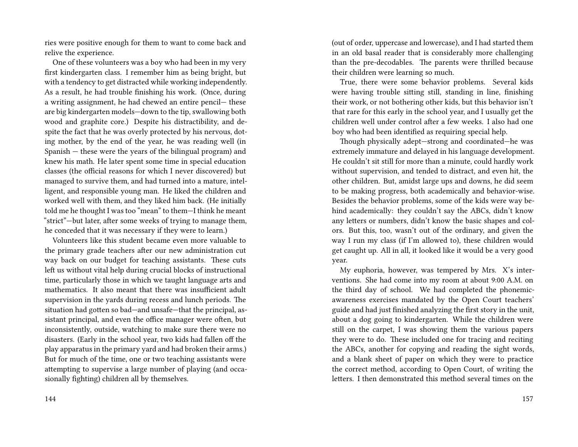ries were positive enough for them to want to come back and relive the experience.

One of these volunteers was a boy who had been in my very first kindergarten class. I remember him as being bright, but with a tendency to get distracted while working independently. As a result, he had trouble finishing his work. (Once, during a writing assignment, he had chewed an entire pencil— these are big kindergarten models—down to the tip, swallowing both wood and graphite core.) Despite his distractibility, and despite the fact that he was overly protected by his nervous, doting mother, by the end of the year, he was reading well (in Spanish — these were the years of the bilingual program) and knew his math. He later spent some time in special education classes (the official reasons for which I never discovered) but managed to survive them, and had turned into a mature, intelligent, and responsible young man. He liked the children and worked well with them, and they liked him back. (He initially told me he thought I was too "mean" to them—I think he meant "strict"—but later, after some weeks of trying to manage them, he conceded that it was necessary if they were to learn.)

Volunteers like this student became even more valuable to the primary grade teachers after our new administration cut way back on our budget for teaching assistants. These cuts left us without vital help during crucial blocks of instructional time, particularly those in which we taught language arts and mathematics. It also meant that there was insufficient adult supervision in the yards during recess and lunch periods. The situation had gotten so bad—and unsafe—that the principal, assistant principal, and even the office manager were often, but inconsistently, outside, watching to make sure there were no disasters. (Early in the school year, two kids had fallen off the play apparatus in the primary yard and had broken their arms.) But for much of the time, one or two teaching assistants were attempting to supervise a large number of playing (and occasionally fighting) children all by themselves.

(out of order, uppercase and lowercase), and I had started them in an old basal reader that is considerably more challenging than the pre-decodables. The parents were thrilled because their children were learning so much.

True, there were some behavior problems. Several kids were having trouble sitting still, standing in line, finishing their work, or not bothering other kids, but this behavior isn't that rare for this early in the school year, and I usually get the children well under control after a few weeks. I also had one boy who had been identified as requiring special help.

Though physically adept—strong and coordinated—he was extremely immature and delayed in his language development. He couldn't sit still for more than a minute, could hardly work without supervision, and tended to distract, and even hit, the other children. But, amidst large ups and downs, he did seem to be making progress, both academically and behavior-wise. Besides the behavior problems, some of the kids were way behind academically: they couldn't say the ABCs, didn't know any letters or numbers, didn't know the basic shapes and colors. But this, too, wasn't out of the ordinary, and given the way I run my class (if I'm allowed to), these children would get caught up. All in all, it looked like it would be a very good year.

My euphoria, however, was tempered by Mrs. X's interventions. She had come into my room at about 9:00 A.M. on the third day of school. We had completed the phonemicawareness exercises mandated by the Open Court teachers' guide and had just finished analyzing the first story in the unit, about a dog going to kindergarten. While the children were still on the carpet, I was showing them the various papers they were to do. These included one for tracing and reciting the ABCs, another for copying and reading the sight words, and a blank sheet of paper on which they were to practice the correct method, according to Open Court, of writing the letters. I then demonstrated this method several times on the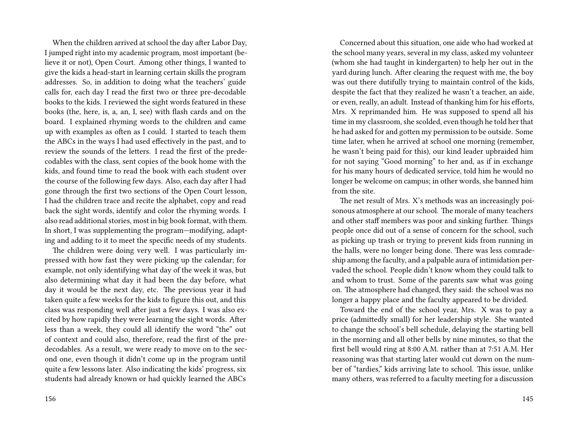When the children arrived at school the day after Labor Day, I jumped right into my academic program, most important (believe it or not), Open Court. Among other things, I wanted to give the kids a head-start in learning certain skills the program addresses. So, in addition to doing what the teachers' guide calls for, each day I read the first two or three pre-decodable books to the kids. I reviewed the sight words featured in these books (the, here, is, a, an, I, see) with flash cards and on the board. I explained rhyming words to the children and came up with examples as often as I could. I started to teach them the ABCs in the ways I had used effectively in the past, and to review the sounds of the letters. I read the first of the predecodables with the class, sent copies of the book home with the kids, and found time to read the book with each student over the course of the following few days. Also, each day after I had gone through the first two sections of the Open Court lesson, I had the children trace and recite the alphabet, copy and read back the sight words, identify and color the rhyming words. I also read additional stories, most in big book format, with them. In short, I was supplementing the program—modifying, adapting and adding to it to meet the specific needs of my students.

The children were doing very well. I was particularly impressed with how fast they were picking up the calendar; for example, not only identifying what day of the week it was, but also determining what day it had been the day before, what day it would be the next day, etc. The previous year it had taken quite a few weeks for the kids to figure this out, and this class was responding well after just a few days. I was also excited by how rapidly they were learning the sight words. After less than a week, they could all identify the word "the" out of context and could also, therefore, read the first of the predecodables. As a result, we were ready to move on to the second one, even though it didn't come up in the program until quite a few lessons later. Also indicating the kids' progress, six students had already known or had quickly learned the ABCs

Concerned about this situation, one aide who had worked at the school many years, several in my class, asked my volunteer (whom she had taught in kindergarten) to help her out in the yard during lunch. After clearing the request with me, the boy was out there dutifully trying to maintain control of the kids, despite the fact that they realized he wasn't a teacher, an aide, or even, really, an adult. Instead of thanking him for his efforts, Mrs. X reprimanded him. He was supposed to spend all his time in my classroom, she scolded, even though he told her that he had asked for and gotten my permission to be outside. Some time later, when he arrived at school one morning (remember, he wasn't being paid for this), our kind leader upbraided him for not saying "Good morning" to her and, as if in exchange for his many hours of dedicated service, told him he would no longer be welcome on campus; in other words, she banned him from the site.

The net result of Mrs. X's methods was an increasingly poisonous atmosphere at our school. The morale of many teachers and other staff members was poor and sinking further. Things people once did out of a sense of concern for the school, such as picking up trash or trying to prevent kids from running in the halls, were no longer being done. There was less comradeship among the faculty, and a palpable aura of intimidation pervaded the school. People didn't know whom they could talk to and whom to trust. Some of the parents saw what was going on. The atmosphere had changed, they said: the school was no longer a happy place and the faculty appeared to be divided.

Toward the end of the school year, Mrs. X was to pay a price (admittedly small) for her leadership style. She wanted to change the school's bell schedule, delaying the starting bell in the morning and all other bells by nine minutes, so that the first bell would ring at 8:00 A.M. rather than at 7:51 A.M. Her reasoning was that starting later would cut down on the number of "tardies," kids arriving late to school. This issue, unlike many others, was referred to a faculty meeting for a discussion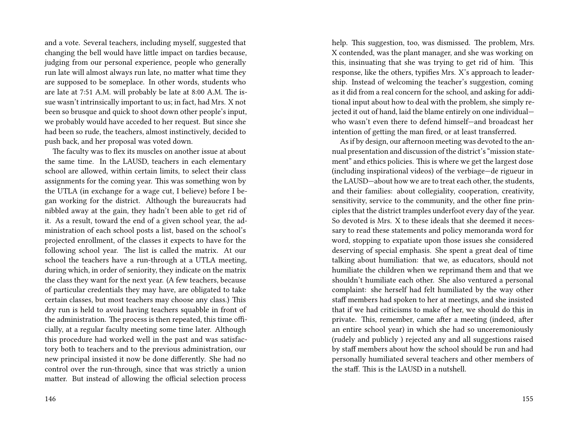and a vote. Several teachers, including myself, suggested that changing the bell would have little impact on tardies because, judging from our personal experience, people who generally run late will almost always run late, no matter what time they are supposed to be someplace. In other words, students who are late at 7:51 A.M. will probably be late at 8:00 A.M. The issue wasn't intrinsically important to us; in fact, had Mrs. X not been so brusque and quick to shoot down other people's input, we probably would have acceded to her request. But since she had been so rude, the teachers, almost instinctively, decided to push back, and her proposal was voted down.

The faculty was to flex its muscles on another issue at about the same time. In the LAUSD, teachers in each elementary school are allowed, within certain limits, to select their class assignments for the coming year. This was something won by the UTLA (in exchange for a wage cut, I believe) before I began working for the district. Although the bureaucrats had nibbled away at the gain, they hadn't been able to get rid of it. As a result, toward the end of a given school year, the administration of each school posts a list, based on the school's projected enrollment, of the classes it expects to have for the following school year. The list is called the matrix. At our school the teachers have a run-through at a UTLA meeting, during which, in order of seniority, they indicate on the matrix the class they want for the next year. (A few teachers, because of particular credentials they may have, are obligated to take certain classes, but most teachers may choose any class.) This dry run is held to avoid having teachers squabble in front of the administration. The process is then repeated, this time officially, at a regular faculty meeting some time later. Although this procedure had worked well in the past and was satisfactory both to teachers and to the previous administration, our new principal insisted it now be done differently. She had no control over the run-through, since that was strictly a union matter. But instead of allowing the official selection process

help. This suggestion, too, was dismissed. The problem, Mrs. X contended, was the plant manager, and she was working on this, insinuating that she was trying to get rid of him. This response, like the others, typifies Mrs. X's approach to leadership. Instead of welcoming the teacher's suggestion, coming as it did from a real concern for the school, and asking for additional input about how to deal with the problem, she simply rejected it out of hand, laid the blame entirely on one individual who wasn't even there to defend himself—and broadcast her intention of getting the man fired, or at least transferred.

As if by design, our afternoon meeting was devoted to the annual presentation and discussion of the district's "mission statement" and ethics policies. This is where we get the largest dose (including inspirational videos) of the verbiage—de rigueur in the LAUSD—about how we are to treat each other, the students, and their families: about collegiality, cooperation, creativity, sensitivity, service to the community, and the other fine principles that the district tramples underfoot every day of the year. So devoted is Mrs. X to these ideals that she deemed it necessary to read these statements and policy memoranda word for word, stopping to expatiate upon those issues she considered deserving of special emphasis. She spent a great deal of time talking about humiliation: that we, as educators, should not humiliate the children when we reprimand them and that we shouldn't humiliate each other. She also ventured a personal complaint: she herself had felt humiliated by the way other staff members had spoken to her at meetings, and she insisted that if we had criticisms to make of her, we should do this in private. This, remember, came after a meeting (indeed, after an entire school year) in which she had so unceremoniously (rudely and publicly ) rejected any and all suggestions raised by staff members about how the school should be run and had personally humiliated several teachers and other members of the staff. This is the LAUSD in a nutshell.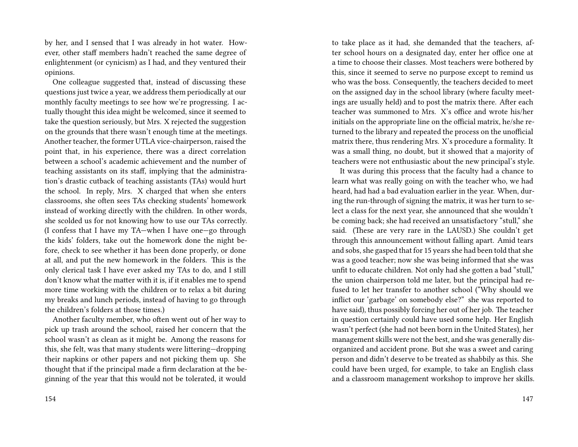by her, and I sensed that I was already in hot water. However, other staff members hadn't reached the same degree of enlightenment (or cynicism) as I had, and they ventured their opinions.

One colleague suggested that, instead of discussing these questions just twice a year, we address them periodically at our monthly faculty meetings to see how we're progressing. I actually thought this idea might be welcomed, since it seemed to take the question seriously, but Mrs. X rejected the suggestion on the grounds that there wasn't enough time at the meetings. Another teacher, the former UTLA vice-chairperson, raised the point that, in his experience, there was a direct correlation between a school's academic achievement and the number of teaching assistants on its staff, implying that the administration's drastic cutback of teaching assistants (TAs) would hurt the school. In reply, Mrs. X charged that when she enters classrooms, she often sees TAs checking students' homework instead of working directly with the children. In other words, she scolded us for not knowing how to use our TAs correctly. (I confess that I have my TA—when I have one—go through the kids' folders, take out the homework done the night before, check to see whether it has been done properly, or done at all, and put the new homework in the folders. This is the only clerical task I have ever asked my TAs to do, and I still don't know what the matter with it is, if it enables me to spend more time working with the children or to relax a bit during my breaks and lunch periods, instead of having to go through the children's folders at those times.)

Another faculty member, who often went out of her way to pick up trash around the school, raised her concern that the school wasn't as clean as it might be. Among the reasons for this, she felt, was that many students were littering—dropping their napkins or other papers and not picking them up. She thought that if the principal made a firm declaration at the beginning of the year that this would not be tolerated, it would

to take place as it had, she demanded that the teachers, after school hours on a designated day, enter her office one at a time to choose their classes. Most teachers were bothered by this, since it seemed to serve no purpose except to remind us who was the boss. Consequently, the teachers decided to meet on the assigned day in the school library (where faculty meetings are usually held) and to post the matrix there. After each teacher was summoned to Mrs. X's office and wrote his/her initials on the appropriate line on the official matrix, he/she returned to the library and repeated the process on the unofficial matrix there, thus rendering Mrs. X's procedure a formality. It was a small thing, no doubt, but it showed that a majority of teachers were not enthusiastic about the new principal's style.

It was during this process that the faculty had a chance to learn what was really going on with the teacher who, we had heard, had had a bad evaluation earlier in the year. When, during the run-through of signing the matrix, it was her turn to select a class for the next year, she announced that she wouldn't be coming back; she had received an unsatisfactory "stull," she said. (These are very rare in the LAUSD.) She couldn't get through this announcement without falling apart. Amid tears and sobs, she gasped that for 15 years she had been told that she was a good teacher; now she was being informed that she was unfit to educate children. Not only had she gotten a bad "stull," the union chairperson told me later, but the principal had refused to let her transfer to another school ("Why should we inflict our 'garbage' on somebody else?" she was reported to have said), thus possibly forcing her out of her job. The teacher in question certainly could have used some help. Her English wasn't perfect (she had not been born in the United States), her management skills were not the best, and she was generally disorganized and accident prone. But she was a sweet and caring person and didn't deserve to be treated as shabbily as this. She could have been urged, for example, to take an English class and a classroom management workshop to improve her skills.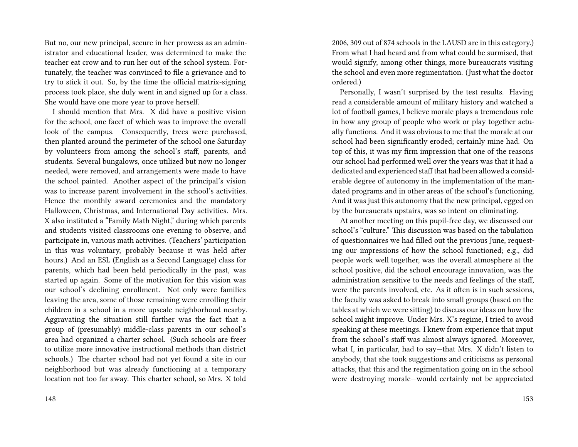But no, our new principal, secure in her prowess as an administrator and educational leader, was determined to make the teacher eat crow and to run her out of the school system. Fortunately, the teacher was convinced to file a grievance and to try to stick it out. So, by the time the official matrix-signing process took place, she duly went in and signed up for a class. She would have one more year to prove herself.

I should mention that Mrs. X did have a positive vision for the school, one facet of which was to improve the overall look of the campus. Consequently, trees were purchased, then planted around the perimeter of the school one Saturday by volunteers from among the school's staff, parents, and students. Several bungalows, once utilized but now no longer needed, were removed, and arrangements were made to have the school painted. Another aspect of the principal's vision was to increase parent involvement in the school's activities. Hence the monthly award ceremonies and the mandatory Halloween, Christmas, and International Day activities. Mrs. X also instituted a "Family Math Night," during which parents and students visited classrooms one evening to observe, and participate in, various math activities. (Teachers' participation in this was voluntary, probably because it was held after hours.) And an ESL (English as a Second Language) class for parents, which had been held periodically in the past, was started up again. Some of the motivation for this vision was our school's declining enrollment. Not only were families leaving the area, some of those remaining were enrolling their children in a school in a more upscale neighborhood nearby. Aggravating the situation still further was the fact that a group of (presumably) middle-class parents in our school's area had organized a charter school. (Such schools are freer to utilize more innovative instructional methods than district schools.) The charter school had not yet found a site in our neighborhood but was already functioning at a temporary location not too far away. This charter school, so Mrs. X told

2006, 309 out of 874 schools in the LAUSD are in this category.) From what I had heard and from what could be surmised, that would signify, among other things, more bureaucrats visiting the school and even more regimentation. (Just what the doctor ordered.)

Personally, I wasn't surprised by the test results. Having read a considerable amount of military history and watched a lot of football games, I believe morale plays a tremendous role in how any group of people who work or play together actually functions. And it was obvious to me that the morale at our school had been significantly eroded; certainly mine had. On top of this, it was my firm impression that one of the reasons our school had performed well over the years was that it had a dedicated and experienced staff that had been allowed a considerable degree of autonomy in the implementation of the mandated programs and in other areas of the school's functioning. And it was just this autonomy that the new principal, egged on by the bureaucrats upstairs, was so intent on eliminating.

At another meeting on this pupil-free day, we discussed our school's "culture." This discussion was based on the tabulation of questionnaires we had filled out the previous June, requesting our impressions of how the school functioned; e.g., did people work well together, was the overall atmosphere at the school positive, did the school encourage innovation, was the administration sensitive to the needs and feelings of the staff, were the parents involved, etc. As it often is in such sessions, the faculty was asked to break into small groups (based on the tables at which we were sitting) to discuss our ideas on how the school might improve. Under Mrs. X's regime, I tried to avoid speaking at these meetings. I knew from experience that input from the school's staff was almost always ignored. Moreover, what I, in particular, had to say—that Mrs. X didn't listen to anybody, that she took suggestions and criticisms as personal attacks, that this and the regimentation going on in the school were destroying morale—would certainly not be appreciated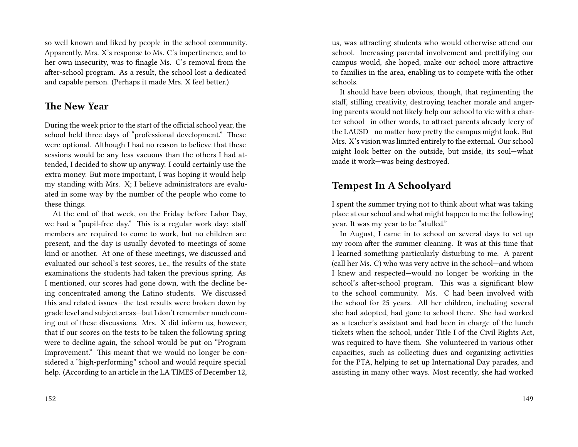so well known and liked by people in the school community. Apparently, Mrs. X's response to Ms. C's impertinence, and to her own insecurity, was to finagle Ms. C's removal from the after-school program. As a result, the school lost a dedicated and capable person. (Perhaps it made Mrs. X feel better.)

## **The New Year**

During the week prior to the start of the official school year, the school held three days of "professional development." These were optional. Although I had no reason to believe that these sessions would be any less vacuous than the others I had attended, I decided to show up anyway. I could certainly use the extra money. But more important, I was hoping it would help my standing with Mrs. X; I believe administrators are evaluated in some way by the number of the people who come to these things.

At the end of that week, on the Friday before Labor Day, we had a "pupil-free day." This is a regular work day; staff members are required to come to work, but no children are present, and the day is usually devoted to meetings of some kind or another. At one of these meetings, we discussed and evaluated our school's test scores, i.e., the results of the state examinations the students had taken the previous spring. As I mentioned, our scores had gone down, with the decline being concentrated among the Latino students. We discussed this and related issues—the test results were broken down by grade level and subject areas—but I don't remember much coming out of these discussions. Mrs. X did inform us, however, that if our scores on the tests to be taken the following spring were to decline again, the school would be put on "Program Improvement." This meant that we would no longer be considered a "high-performing" school and would require special help. (According to an article in the LA TIMES of December 12, us, was attracting students who would otherwise attend our school. Increasing parental involvement and prettifying our campus would, she hoped, make our school more attractive to families in the area, enabling us to compete with the other schools.

It should have been obvious, though, that regimenting the staff, stifling creativity, destroying teacher morale and angering parents would not likely help our school to vie with a charter school—in other words, to attract parents already leery of the LAUSD—no matter how pretty the campus might look. But Mrs. X's vision was limited entirely to the external. Our school might look better on the outside, but inside, its soul—what made it work—was being destroyed.

## **Tempest In A Schoolyard**

I spent the summer trying not to think about what was taking place at our school and what might happen to me the following year. It was my year to be "stulled."

In August, I came in to school on several days to set up my room after the summer cleaning. It was at this time that I learned something particularly disturbing to me. A parent (call her Ms. C) who was very active in the school—and whom I knew and respected—would no longer be working in the school's after-school program. This was a significant blow to the school community. Ms. C had been involved with the school for 25 years. All her children, including several she had adopted, had gone to school there. She had worked as a teacher's assistant and had been in charge of the lunch tickets when the school, under Title I of the Civil Rights Act, was required to have them. She volunteered in various other capacities, such as collecting dues and organizing activities for the PTA, helping to set up International Day parades, and assisting in many other ways. Most recently, she had worked